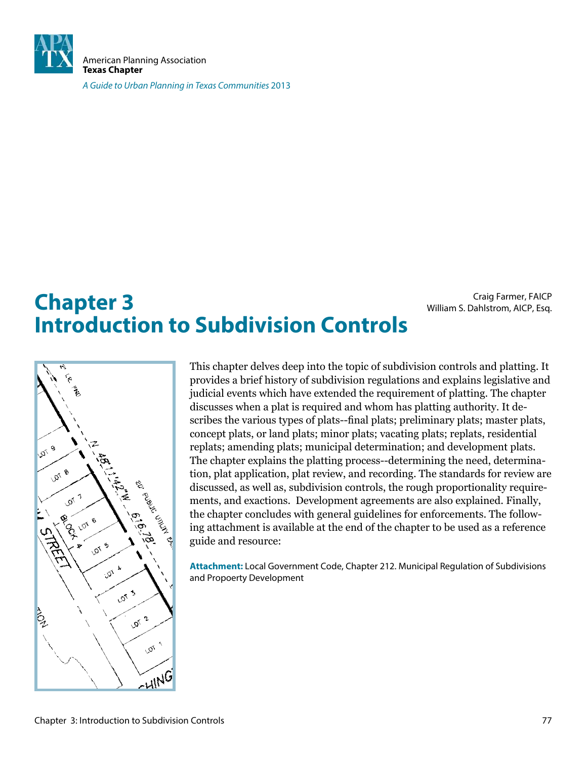

American Planning Association **Texas Chapter**

A Guide to Urban Planning in Texas Communities 2013

# **Chapter 3** Craig Farmer, FAICP<br>William S. Dahlstrom, AICP, Esq. **Introduction to Subdivision Controls**

**Lor** 9 **LOT 8 Lor** 7 101 6 م<br>مر 101 5 **101 A LOT 3** 1012  $\tilde{\mathcal{O}}'$ **MING** 

This chapter delves deep into the topic of subdivision controls and platting. It provides a brief history of subdivision regulations and explains legislative and judicial events which have extended the requirement of platting. The chapter discusses when a plat is required and whom has platting authority. It describes the various types of plats--final plats; preliminary plats; master plats, concept plats, or land plats; minor plats; vacating plats; replats, residential replats; amending plats; municipal determination; and development plats. The chapter explains the platting process--determining the need, determination, plat application, plat review, and recording. The standards for review are discussed, as well as, subdivision controls, the rough proportionality requirements, and exactions. Development agreements are also explained. Finally, the chapter concludes with general guidelines for enforcements. The following attachment is available at the end of the chapter to be used as a reference guide and resource:

**Attachment:** Local Government Code, Chapter 212. Municipal Regulation of Subdivisions and Propoerty Development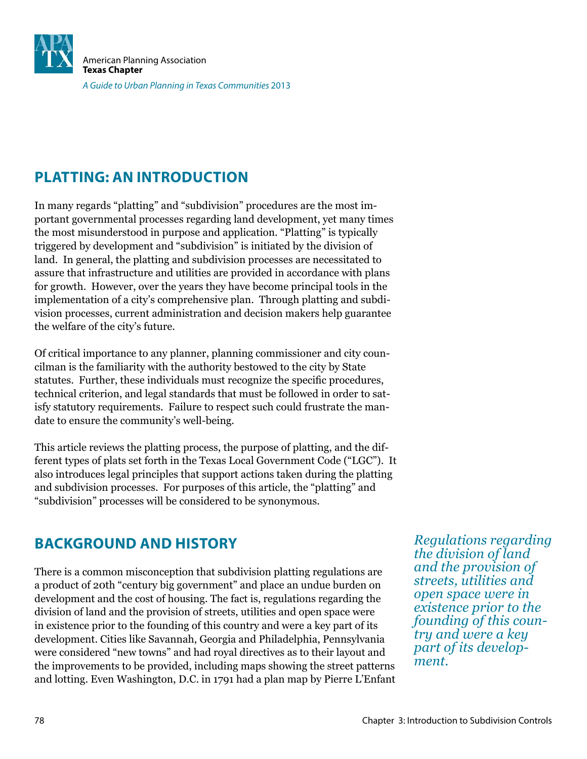

### **PLATTING: AN INTRODUCTION**

In many regards "platting" and "subdivision" procedures are the most important governmental processes regarding land development, yet many times the most misunderstood in purpose and application. "Platting" is typically triggered by development and "subdivision" is initiated by the division of land. In general, the platting and subdivision processes are necessitated to assure that infrastructure and utilities are provided in accordance with plans for growth. However, over the years they have become principal tools in the implementation of a city's comprehensive plan. Through platting and subdivision processes, current administration and decision makers help guarantee the welfare of the city's future.

Of critical importance to any planner, planning commissioner and city councilman is the familiarity with the authority bestowed to the city by State statutes. Further, these individuals must recognize the specific procedures, technical criterion, and legal standards that must be followed in order to satisfy statutory requirements. Failure to respect such could frustrate the mandate to ensure the community's well-being.

This article reviews the platting process, the purpose of platting, and the different types of plats set forth in the Texas Local Government Code ("LGC"). It also introduces legal principles that support actions taken during the platting and subdivision processes. For purposes of this article, the "platting" and "subdivision" processes will be considered to be synonymous.

### **BACKGROUND AND HISTORY**

There is a common misconception that subdivision platting regulations are a product of 20th "century big government" and place an undue burden on development and the cost of housing. The fact is, regulations regarding the division of land and the provision of streets, utilities and open space were in existence prior to the founding of this country and were a key part of its development. Cities like Savannah, Georgia and Philadelphia, Pennsylvania were considered "new towns" and had royal directives as to their layout and the improvements to be provided, including maps showing the street patterns and lotting. Even Washington, D.C. in 1791 had a plan map by Pierre L'Enfant

*Regulations regarding the division of land and the provision of streets, utilities and open space were in existence prior to the founding of this country and were a key part of its development.*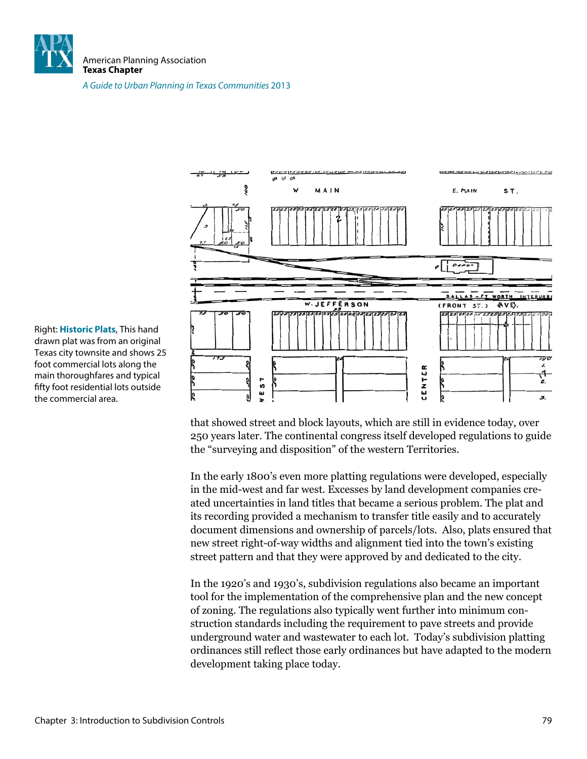

American Planning Association **Texas Chapter**

A Guide to Urban Planning in Texas Communities 2013



that showed street and block layouts, which are still in evidence today, over 250 years later. The continental congress itself developed regulations to guide the "surveying and disposition" of the western Territories.

In the early 1800's even more platting regulations were developed, especially in the mid-west and far west. Excesses by land development companies created uncertainties in land titles that became a serious problem. The plat and its recording provided a mechanism to transfer title easily and to accurately document dimensions and ownership of parcels/lots. Also, plats ensured that new street right-of-way widths and alignment tied into the town's existing street pattern and that they were approved by and dedicated to the city.

In the 1920's and 1930's, subdivision regulations also became an important tool for the implementation of the comprehensive plan and the new concept of zoning. The regulations also typically went further into minimum construction standards including the requirement to pave streets and provide underground water and wastewater to each lot. Today's subdivision platting ordinances still relect those early ordinances but have adapted to the modern development taking place today.

Right: **Historic Plats**, This hand drawn plat was from an original Texas city townsite and shows 25 foot commercial lots along the main thoroughfares and typical fifty foot residential lots outside the commercial area.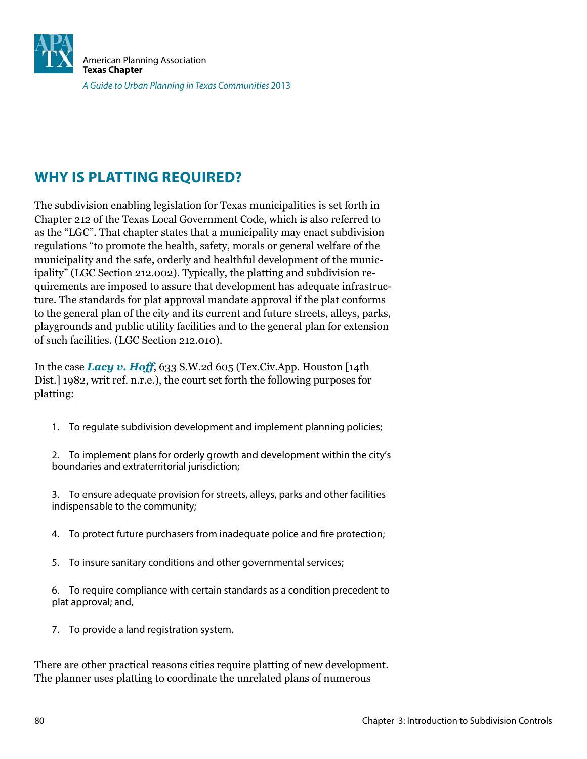

### **WHY IS PLATTING REQUIRED?**

The subdivision enabling legislation for Texas municipalities is set forth in Chapter 212 of the Texas Local Government Code, which is also referred to as the "LGC". That chapter states that a municipality may enact subdivision regulations "to promote the health, safety, morals or general welfare of the municipality and the safe, orderly and healthful development of the municipality" (LGC Section 212.002). Typically, the platting and subdivision requirements are imposed to assure that development has adequate infrastructure. The standards for plat approval mandate approval if the plat conforms to the general plan of the city and its current and future streets, alleys, parks, playgrounds and public utility facilities and to the general plan for extension of such facilities. (LGC Section 212.010).

In the case *Lacy v. Hoff*, 633 S.W.2d 605 (Tex.Civ.App. Houston [14th Dist.] 1982, writ ref. n.r.e.), the court set forth the following purposes for platting:

1. To regulate subdivision development and implement planning policies;

2. To implement plans for orderly growth and development within the city's boundaries and extraterritorial jurisdiction;

3. To ensure adequate provision for streets, alleys, parks and other facilities indispensable to the community;

- 4. To protect future purchasers from inadequate police and fire protection;
- 5. To insure sanitary conditions and other governmental services;

6. To require compliance with certain standards as a condition precedent to plat approval; and,

7. To provide a land registration system.

There are other practical reasons cities require platting of new development. The planner uses platting to coordinate the unrelated plans of numerous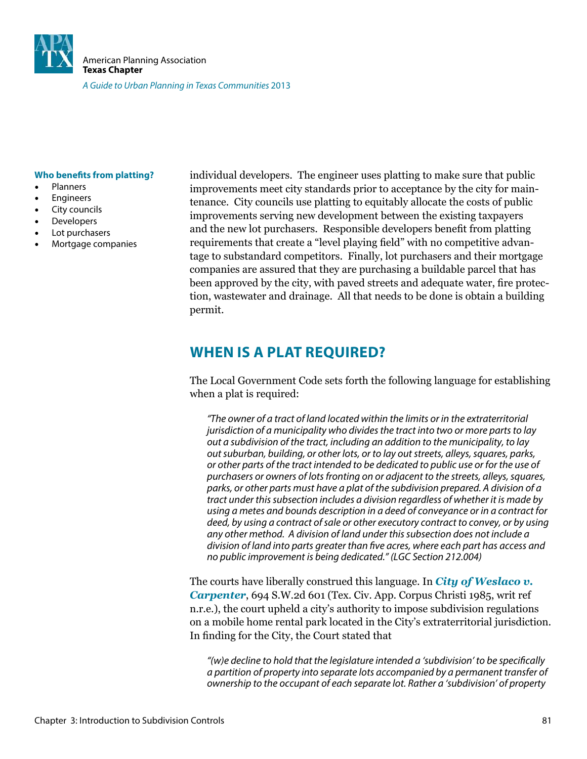

#### **Who benefits from platting?**

- **Planners**
- **Engineers**
- City councils
- **Developers**
- Lot purchasers
- Mortgage companies

individual developers. The engineer uses platting to make sure that public improvements meet city standards prior to acceptance by the city for maintenance. City councils use platting to equitably allocate the costs of public improvements serving new development between the existing taxpayers and the new lot purchasers. Responsible developers beneit from platting requirements that create a "level playing field" with no competitive advantage to substandard competitors. Finally, lot purchasers and their mortgage companies are assured that they are purchasing a buildable parcel that has been approved by the city, with paved streets and adequate water, ire protection, wastewater and drainage. All that needs to be done is obtain a building permit.

### **WHEN IS A PLAT REQUIRED?**

The Local Government Code sets forth the following language for establishing when a plat is required:

"The owner of a tract of land located within the limits or in the extraterritorial jurisdiction of a municipality who divides the tract into two or more parts to lay out a subdivision of the tract, including an addition to the municipality, to lay out suburban, building, or other lots, or to lay out streets, alleys, squares, parks, or other parts of the tract intended to be dedicated to public use or for the use of purchasers or owners of lots fronting on or adjacent to the streets, alleys, squares, parks, or other parts must have a plat of the subdivision prepared. A division of a tract under this subsection includes a division regardless of whether it is made by using a metes and bounds description in a deed of conveyance or in a contract for deed, by using a contract of sale or other executory contract to convey, or by using any other method. A division of land under this subsection does not include a division of land into parts greater than five acres, where each part has access and no public improvement is being dedicated." (LGC Section 212.004)

The courts have liberally construed this language. In *City of Weslaco v. Carpenter*, 694 S.W.2d 601 (Tex. Civ. App. Corpus Christi 1985, writ ref n.r.e.), the court upheld a city's authority to impose subdivision regulations on a mobile home rental park located in the City's extraterritorial jurisdiction. In finding for the City, the Court stated that

"(w)e decline to hold that the legislature intended a 'subdivision' to be specifically a partition of property into separate lots accompanied by a permanent transfer of ownership to the occupant of each separate lot. Rather a 'subdivision' of property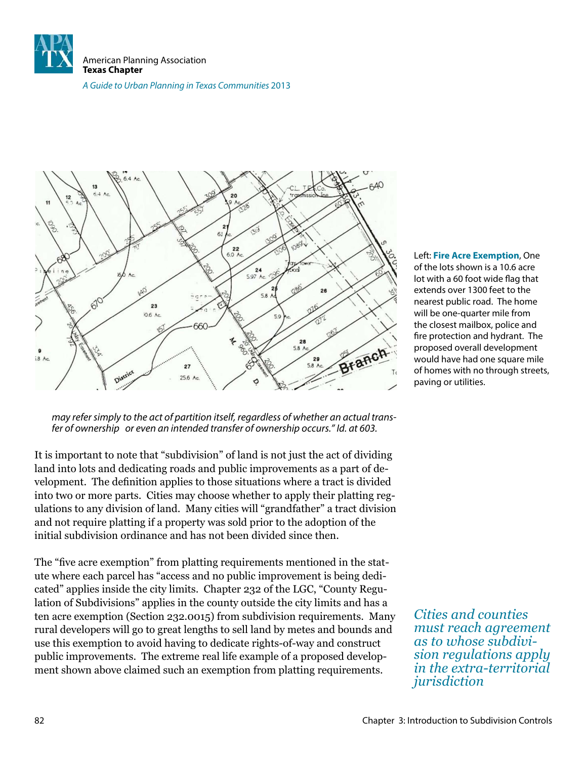

A Guide to Urban Planning in Texas Communities 2013



may refer simply to the act of partition itself, regardless of whether an actual transfer of ownership or even an intended transfer of ownership occurs." Id. at 603.

It is important to note that "subdivision" of land is not just the act of dividing land into lots and dedicating roads and public improvements as a part of development. The definition applies to those situations where a tract is divided into two or more parts. Cities may choose whether to apply their platting regulations to any division of land. Many cities will "grandfather" a tract division and not require platting if a property was sold prior to the adoption of the initial subdivision ordinance and has not been divided since then.

The "five acre exemption" from platting requirements mentioned in the statute where each parcel has "access and no public improvement is being dedicated" applies inside the city limits. Chapter 232 of the LGC, "County Regulation of Subdivisions" applies in the county outside the city limits and has a ten acre exemption (Section 232.0015) from subdivision requirements. Many rural developers will go to great lengths to sell land by metes and bounds and use this exemption to avoid having to dedicate rights-of-way and construct public improvements. The extreme real life example of a proposed development shown above claimed such an exemption from platting requirements.

Left: **Fire Acre Exemption**, One of the lots shown is a 10.6 acre lot with a 60 foot wide flag that extends over 1300 feet to the nearest public road. The home will be one-quarter mile from the closest mailbox, police and fire protection and hydrant. The proposed overall development would have had one square mile of homes with no through streets, paving or utilities.

*Cities and counties must reach agreement as to whose subdivision regulations apply in the extra-territorial jurisdiction*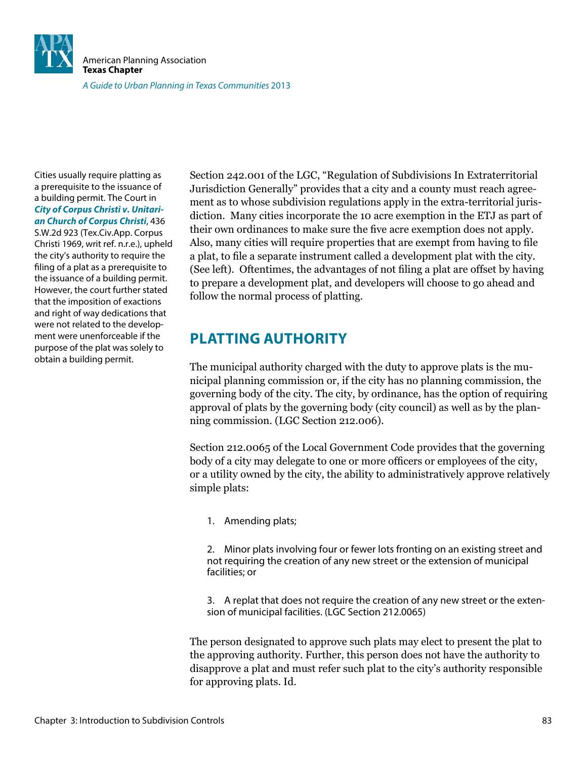

Cities usually require platting as a prerequisite to the issuance of a building permit. The Court in **City of Corpus Christi v. Unitarian Church of Corpus Christi**, 436 S.W.2d 923 (Tex.Civ.App. Corpus Christi 1969, writ ref. n.r.e.), upheld the city's authority to require the filing of a plat as a prerequisite to the issuance of a building permit. However, the court further stated that the imposition of exactions and right of way dedications that were not related to the development were unenforceable if the purpose of the plat was solely to obtain a building permit.

Section 242.001 of the LGC, "Regulation of Subdivisions In Extraterritorial Jurisdiction Generally" provides that a city and a county must reach agreement as to whose subdivision regulations apply in the extra-territorial jurisdiction. Many cities incorporate the 10 acre exemption in the ETJ as part of their own ordinances to make sure the ive acre exemption does not apply. Also, many cities will require properties that are exempt from having to file a plat, to file a separate instrument called a development plat with the city. (See left). Oftentimes, the advantages of not filing a plat are offset by having to prepare a development plat, and developers will choose to go ahead and follow the normal process of platting.

### **PLATTING AUTHORITY**

The municipal authority charged with the duty to approve plats is the municipal planning commission or, if the city has no planning commission, the governing body of the city. The city, by ordinance, has the option of requiring approval of plats by the governing body (city council) as well as by the planning commission. (LGC Section 212.006).

Section 212.0065 of the Local Government Code provides that the governing body of a city may delegate to one or more oficers or employees of the city, or a utility owned by the city, the ability to administratively approve relatively simple plats:

1. Amending plats;

2. Minor plats involving four or fewer lots fronting on an existing street and not requiring the creation of any new street or the extension of municipal facilities; or

3. A replat that does not require the creation of any new street or the extension of municipal facilities. (LGC Section 212.0065)

The person designated to approve such plats may elect to present the plat to the approving authority. Further, this person does not have the authority to disapprove a plat and must refer such plat to the city's authority responsible for approving plats. Id.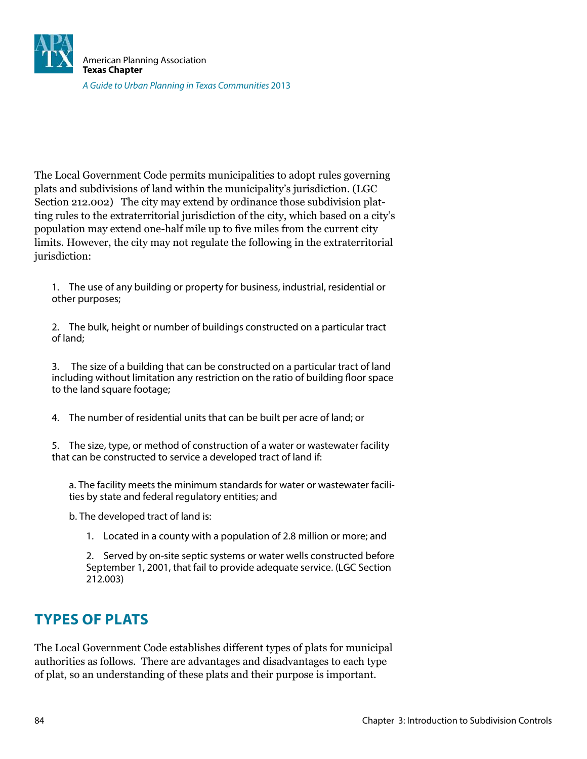

The Local Government Code permits municipalities to adopt rules governing plats and subdivisions of land within the municipality's jurisdiction. (LGC Section 212.002) The city may extend by ordinance those subdivision platting rules to the extraterritorial jurisdiction of the city, which based on a city's population may extend one-half mile up to ive miles from the current city limits. However, the city may not regulate the following in the extraterritorial jurisdiction:

1. The use of any building or property for business, industrial, residential or other purposes;

2. The bulk, height or number of buildings constructed on a particular tract of land;

3. The size of a building that can be constructed on a particular tract of land including without limitation any restriction on the ratio of building loor space to the land square footage;

4. The number of residential units that can be built per acre of land; or

5. The size, type, or method of construction of a water or wastewater facility that can be constructed to service a developed tract of land if:

a. The facility meets the minimum standards for water or wastewater facilities by state and federal regulatory entities; and

b. The developed tract of land is:

1. Located in a county with a population of 2.8 million or more; and

2. Served by on-site septic systems or water wells constructed before September 1, 2001, that fail to provide adequate service. (LGC Section 212.003)

### **TYPES OF PLATS**

The Local Government Code establishes different types of plats for municipal authorities as follows. There are advantages and disadvantages to each type of plat, so an understanding of these plats and their purpose is important.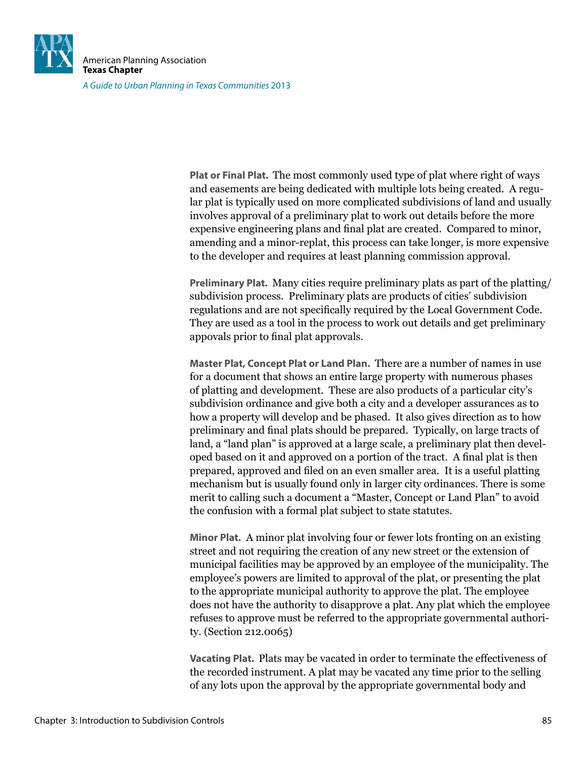

A Guide to Urban Planning in Texas Communities 2013

**Plat or Final Plat.** The most commonly used type of plat where right of ways and easements are being dedicated with multiple lots being created. A regular plat is typically used on more complicated subdivisions of land and usually involves approval of a preliminary plat to work out details before the more expensive engineering plans and final plat are created. Compared to minor, amending and a minor-replat, this process can take longer, is more expensive to the developer and requires at least planning commission approval.

**Preliminary Plat.** Many cities require preliminary plats as part of the platting/ subdivision process. Preliminary plats are products of cities' subdivision regulations and are not specifically required by the Local Government Code. They are used as a tool in the process to work out details and get preliminary appovals prior to final plat approvals.

**Master Plat, Concept Plat or Land Plan.** There are a number of names in use for a document that shows an entire large property with numerous phases of platting and development. These are also products of a particular city's subdivision ordinance and give both a city and a developer assurances as to how a property will develop and be phased. It also gives direction as to how preliminary and final plats should be prepared. Typically, on large tracts of land, a "land plan" is approved at a large scale, a preliminary plat then developed based on it and approved on a portion of the tract. A final plat is then prepared, approved and iled on an even smaller area. It is a useful platting mechanism but is usually found only in larger city ordinances. There is some merit to calling such a document a "Master, Concept or Land Plan" to avoid the confusion with a formal plat subject to state statutes.

**Minor Plat.** A minor plat involving four or fewer lots fronting on an existing street and not requiring the creation of any new street or the extension of municipal facilities may be approved by an employee of the municipality. The employee's powers are limited to approval of the plat, or presenting the plat to the appropriate municipal authority to approve the plat. The employee does not have the authority to disapprove a plat. Any plat which the employee refuses to approve must be referred to the appropriate governmental authority. (Section 212.0065)

**Vacating Plat.** Plats may be vacated in order to terminate the effectiveness of the recorded instrument. A plat may be vacated any time prior to the selling of any lots upon the approval by the appropriate governmental body and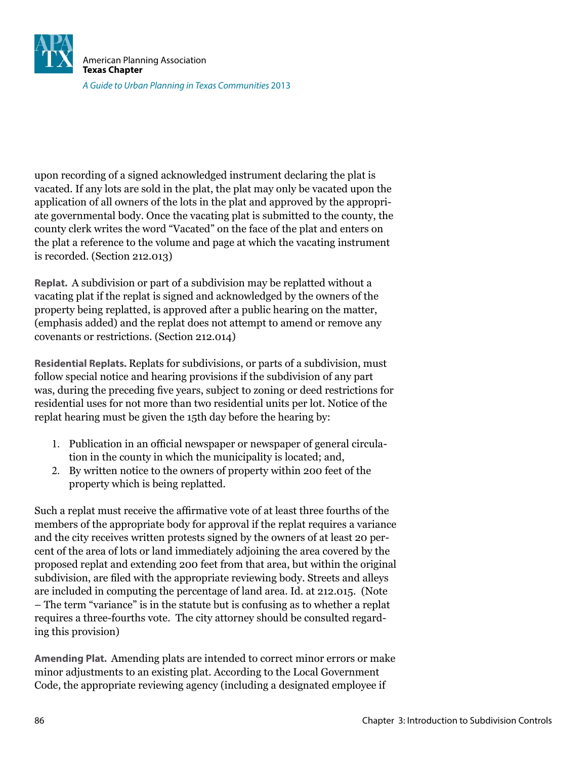

upon recording of a signed acknowledged instrument declaring the plat is vacated. If any lots are sold in the plat, the plat may only be vacated upon the application of all owners of the lots in the plat and approved by the appropriate governmental body. Once the vacating plat is submitted to the county, the county clerk writes the word "Vacated" on the face of the plat and enters on the plat a reference to the volume and page at which the vacating instrument is recorded. (Section 212.013)

**Replat.** A subdivision or part of a subdivision may be replatted without a vacating plat if the replat is signed and acknowledged by the owners of the property being replatted, is approved after a public hearing on the matter, (emphasis added) and the replat does not attempt to amend or remove any covenants or restrictions. (Section 212.014)

**Residential Replats.** Replats for subdivisions, or parts of a subdivision, must follow special notice and hearing provisions if the subdivision of any part was, during the preceding five years, subject to zoning or deed restrictions for residential uses for not more than two residential units per lot. Notice of the replat hearing must be given the 15th day before the hearing by:

- 1. Publication in an official newspaper or newspaper of general circulation in the county in which the municipality is located; and,
- 2. By written notice to the owners of property within 200 feet of the property which is being replatted.

Such a replat must receive the afirmative vote of at least three fourths of the members of the appropriate body for approval if the replat requires a variance and the city receives written protests signed by the owners of at least 20 percent of the area of lots or land immediately adjoining the area covered by the proposed replat and extending 200 feet from that area, but within the original subdivision, are iled with the appropriate reviewing body. Streets and alleys are included in computing the percentage of land area. Id. at 212.015. (Note – The term "variance" is in the statute but is confusing as to whether a replat requires a three-fourths vote. The city attorney should be consulted regarding this provision)

**Amending Plat.** Amending plats are intended to correct minor errors or make minor adjustments to an existing plat. According to the Local Government Code, the appropriate reviewing agency (including a designated employee if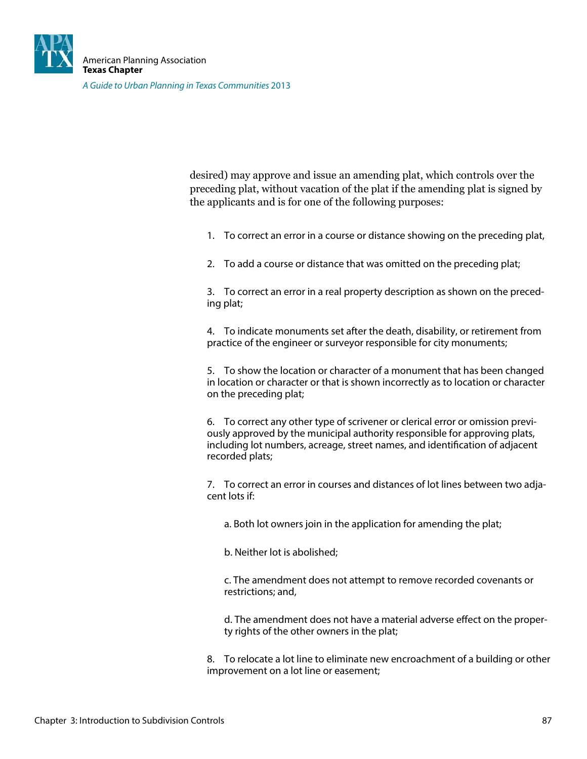

A Guide to Urban Planning in Texas Communities 2013

desired) may approve and issue an amending plat, which controls over the preceding plat, without vacation of the plat if the amending plat is signed by the applicants and is for one of the following purposes:

1. To correct an error in a course or distance showing on the preceding plat,

2. To add a course or distance that was omitted on the preceding plat;

3. To correct an error in a real property description as shown on the preceding plat;

4. To indicate monuments set after the death, disability, or retirement from practice of the engineer or surveyor responsible for city monuments;

5. To show the location or character of a monument that has been changed in location or character or that is shown incorrectly as to location or character on the preceding plat;

6. To correct any other type of scrivener or clerical error or omission previously approved by the municipal authority responsible for approving plats, including lot numbers, acreage, street names, and identification of adjacent recorded plats;

7. To correct an error in courses and distances of lot lines between two adjacent lots if:

a. Both lot owners join in the application for amending the plat;

b. Neither lot is abolished;

c. The amendment does not attempt to remove recorded covenants or restrictions; and,

d. The amendment does not have a material adverse efect on the property rights of the other owners in the plat;

8. To relocate a lot line to eliminate new encroachment of a building or other improvement on a lot line or easement;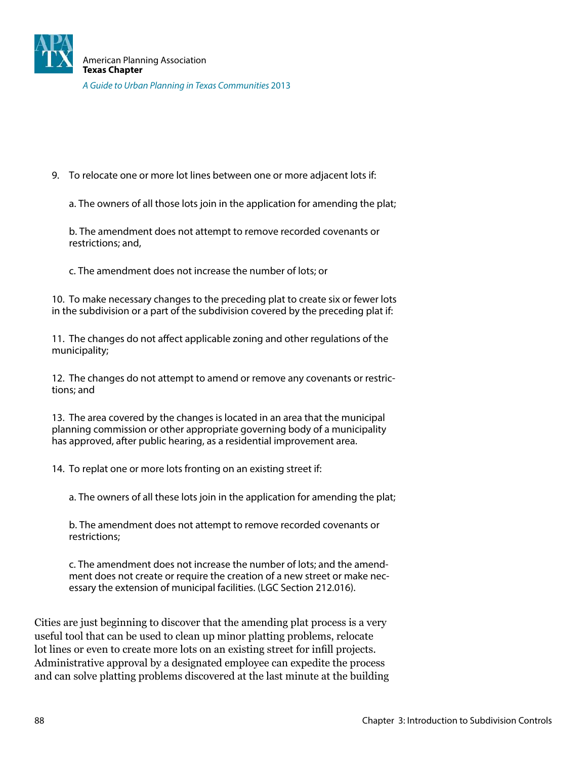9. To relocate one or more lot lines between one or more adjacent lots if:

a. The owners of all those lots join in the application for amending the plat;

b. The amendment does not attempt to remove recorded covenants or restrictions; and,

c. The amendment does not increase the number of lots; or

10. To make necessary changes to the preceding plat to create six or fewer lots in the subdivision or a part of the subdivision covered by the preceding plat if:

11. The changes do not afect applicable zoning and other regulations of the municipality;

12. The changes do not attempt to amend or remove any covenants or restrictions; and

13. The area covered by the changes is located in an area that the municipal planning commission or other appropriate governing body of a municipality has approved, after public hearing, as a residential improvement area.

14. To replat one or more lots fronting on an existing street if:

a. The owners of all these lots join in the application for amending the plat;

b. The amendment does not attempt to remove recorded covenants or restrictions;

c. The amendment does not increase the number of lots; and the amendment does not create or require the creation of a new street or make necessary the extension of municipal facilities. (LGC Section 212.016).

Cities are just beginning to discover that the amending plat process is a very useful tool that can be used to clean up minor platting problems, relocate lot lines or even to create more lots on an existing street for inill projects. Administrative approval by a designated employee can expedite the process and can solve platting problems discovered at the last minute at the building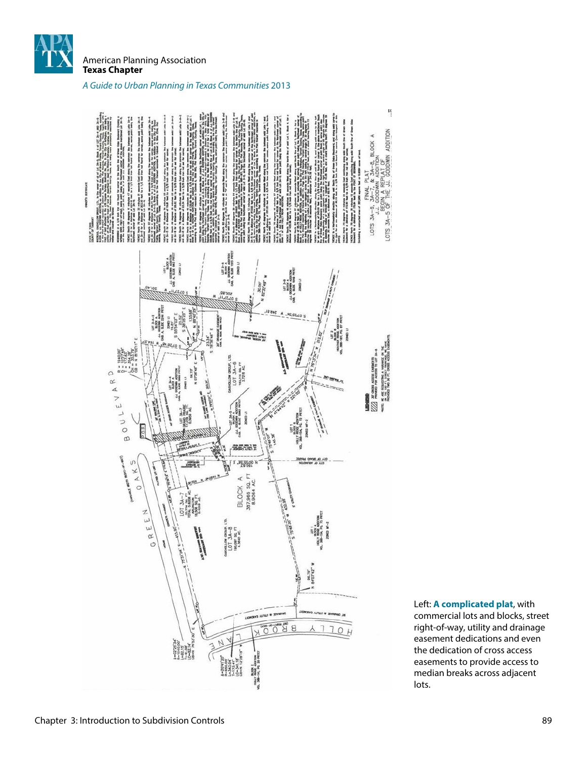

American Planning Association **Texas Chapter**

#### A Guide to Urban Planning in Texas Communities 2013



Left: **A complicated plat**, with commercial lots and blocks, street right-of-way, utility and drainage easement dedications and even the dedication of cross access easements to provide access to median breaks across adjacent

lots.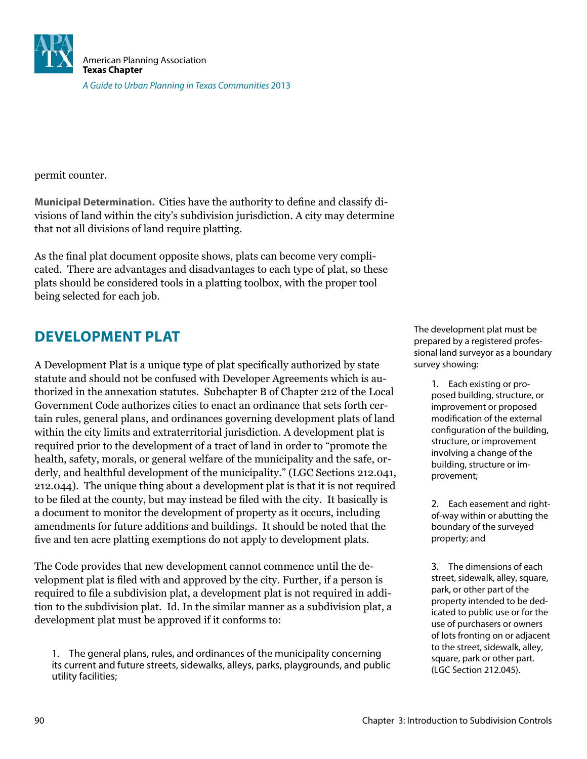

permit counter.

**Municipal Determination.** Cities have the authority to deine and classify divisions of land within the city's subdivision jurisdiction. A city may determine that not all divisions of land require platting.

As the final plat document opposite shows, plats can become very complicated. There are advantages and disadvantages to each type of plat, so these plats should be considered tools in a platting toolbox, with the proper tool being selected for each job.

### **DEVELOPMENT PLAT**

A Development Plat is a unique type of plat specifically authorized by state statute and should not be confused with Developer Agreements which is authorized in the annexation statutes. Subchapter B of Chapter 212 of the Local Government Code authorizes cities to enact an ordinance that sets forth certain rules, general plans, and ordinances governing development plats of land within the city limits and extraterritorial jurisdiction. A development plat is required prior to the development of a tract of land in order to "promote the health, safety, morals, or general welfare of the municipality and the safe, orderly, and healthful development of the municipality." (LGC Sections 212.041, 212.044). The unique thing about a development plat is that it is not required to be iled at the county, but may instead be iled with the city. It basically is a document to monitor the development of property as it occurs, including amendments for future additions and buildings. It should be noted that the five and ten acre platting exemptions do not apply to development plats.

The Code provides that new development cannot commence until the development plat is filed with and approved by the city. Further, if a person is required to file a subdivision plat, a development plat is not required in addition to the subdivision plat. Id. In the similar manner as a subdivision plat, a development plat must be approved if it conforms to:

1. The general plans, rules, and ordinances of the municipality concerning its current and future streets, sidewalks, alleys, parks, playgrounds, and public utility facilities;

The development plat must be prepared by a registered professional land surveyor as a boundary survey showing:

> 1. Each existing or proposed building, structure, or improvement or proposed modification of the external configuration of the building, structure, or improvement involving a change of the building, structure or improvement;

> 2. Each easement and rightof-way within or abutting the boundary of the surveyed property; and

> 3. The dimensions of each street, sidewalk, alley, square, park, or other part of the property intended to be dedicated to public use or for the use of purchasers or owners of lots fronting on or adjacent to the street, sidewalk, alley, square, park or other part. (LGC Section 212.045).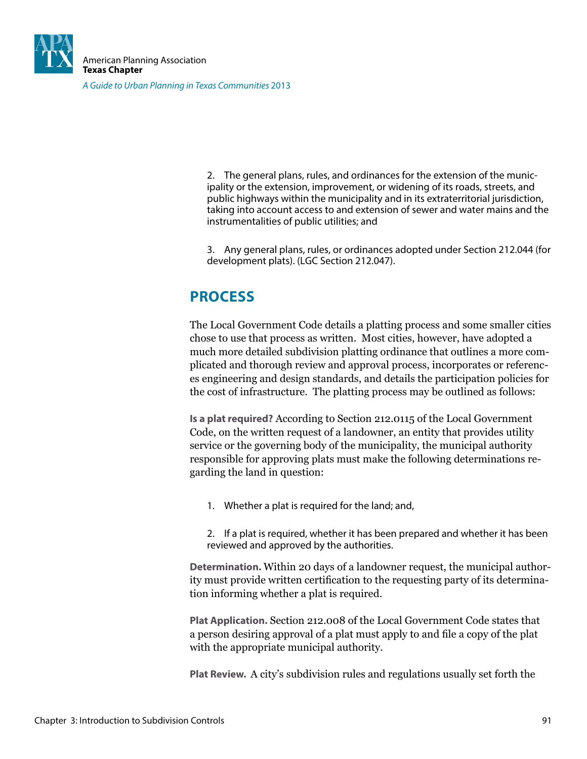![](_page_14_Picture_0.jpeg)

2. The general plans, rules, and ordinances for the extension of the municipality or the extension, improvement, or widening of its roads, streets, and public highways within the municipality and in its extraterritorial jurisdiction, taking into account access to and extension of sewer and water mains and the instrumentalities of public utilities; and

3. Any general plans, rules, or ordinances adopted under Section 212.044 (for development plats). (LGC Section 212.047).

## **PROCESS**

The Local Government Code details a platting process and some smaller cities chose to use that process as written. Most cities, however, have adopted a much more detailed subdivision platting ordinance that outlines a more complicated and thorough review and approval process, incorporates or references engineering and design standards, and details the participation policies for the cost of infrastructure. The platting process may be outlined as follows:

**Is a plat required?** According to Section 212.0115 of the Local Government Code, on the written request of a landowner, an entity that provides utility service or the governing body of the municipality, the municipal authority responsible for approving plats must make the following determinations regarding the land in question:

1. Whether a plat is required for the land; and,

2. If a plat is required, whether it has been prepared and whether it has been reviewed and approved by the authorities.

**Determination.** Within 20 days of a landowner request, the municipal authority must provide written certiication to the requesting party of its determination informing whether a plat is required.

**Plat Application.** Section 212.008 of the Local Government Code states that a person desiring approval of a plat must apply to and ile a copy of the plat with the appropriate municipal authority.

**Plat Review.** A city's subdivision rules and regulations usually set forth the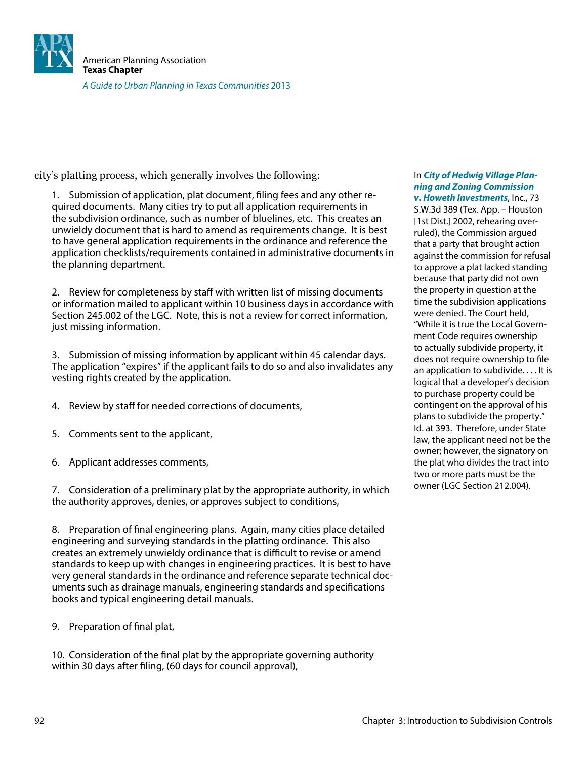![](_page_15_Picture_0.jpeg)

city's platting process, which generally involves the following:

1. Submission of application, plat document, filing fees and any other required documents. Many cities try to put all application requirements in the subdivision ordinance, such as number of bluelines, etc. This creates an unwieldy document that is hard to amend as requirements change. It is best to have general application requirements in the ordinance and reference the application checklists/requirements contained in administrative documents in the planning department.

2. Review for completeness by staff with written list of missing documents or information mailed to applicant within 10 business days in accordance with Section 245.002 of the LGC. Note, this is not a review for correct information, just missing information.

3. Submission of missing information by applicant within 45 calendar days. The application "expires" if the applicant fails to do so and also invalidates any vesting rights created by the application.

- 4. Review by staff for needed corrections of documents,
- 5. Comments sent to the applicant,
- 6. Applicant addresses comments,

7. Consideration of a preliminary plat by the appropriate authority, in which the authority approves, denies, or approves subject to conditions,

8. Preparation of final engineering plans. Again, many cities place detailed engineering and surveying standards in the platting ordinance. This also creates an extremely unwieldy ordinance that is difficult to revise or amend standards to keep up with changes in engineering practices. It is best to have very general standards in the ordinance and reference separate technical documents such as drainage manuals, engineering standards and specifications books and typical engineering detail manuals.

9. Preparation of final plat,

10. Consideration of the final plat by the appropriate governing authority within 30 days after filing, (60 days for council approval),

#### In **City of Hedwig Village Planning and Zoning Commission v. Howeth Investments**, Inc., 73

S.W.3d 389 (Tex. App. – Houston [1st Dist.] 2002, rehearing overruled), the Commission argued that a party that brought action against the commission for refusal to approve a plat lacked standing because that party did not own the property in question at the time the subdivision applications were denied. The Court held, "While it is true the Local Government Code requires ownership to actually subdivide property, it does not require ownership to file an application to subdivide. . . . It is logical that a developer's decision to purchase property could be contingent on the approval of his plans to subdivide the property." Id. at 393. Therefore, under State law, the applicant need not be the owner; however, the signatory on the plat who divides the tract into two or more parts must be the owner (LGC Section 212.004).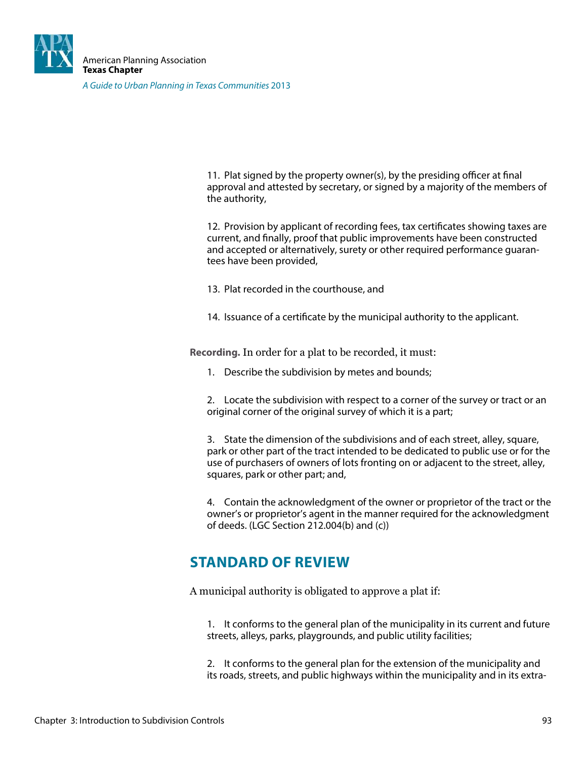![](_page_16_Picture_0.jpeg)

A Guide to Urban Planning in Texas Communities 2013

11. Plat signed by the property owner(s), by the presiding officer at final approval and attested by secretary, or signed by a majority of the members of the authority,

12. Provision by applicant of recording fees, tax certificates showing taxes are current, and finally, proof that public improvements have been constructed and accepted or alternatively, surety or other required performance guarantees have been provided,

- 13. Plat recorded in the courthouse, and
- 14. Issuance of a certificate by the municipal authority to the applicant.

**Recording.** In order for a plat to be recorded, it must:

1. Describe the subdivision by metes and bounds;

2. Locate the subdivision with respect to a corner of the survey or tract or an original corner of the original survey of which it is a part;

3. State the dimension of the subdivisions and of each street, alley, square, park or other part of the tract intended to be dedicated to public use or for the use of purchasers of owners of lots fronting on or adjacent to the street, alley, squares, park or other part; and,

4. Contain the acknowledgment of the owner or proprietor of the tract or the owner's or proprietor's agent in the manner required for the acknowledgment of deeds. (LGC Section 212.004(b) and (c))

### **STANDARD OF REVIEW**

A municipal authority is obligated to approve a plat if:

1. It conforms to the general plan of the municipality in its current and future streets, alleys, parks, playgrounds, and public utility facilities;

2. It conforms to the general plan for the extension of the municipality and its roads, streets, and public highways within the municipality and in its extra-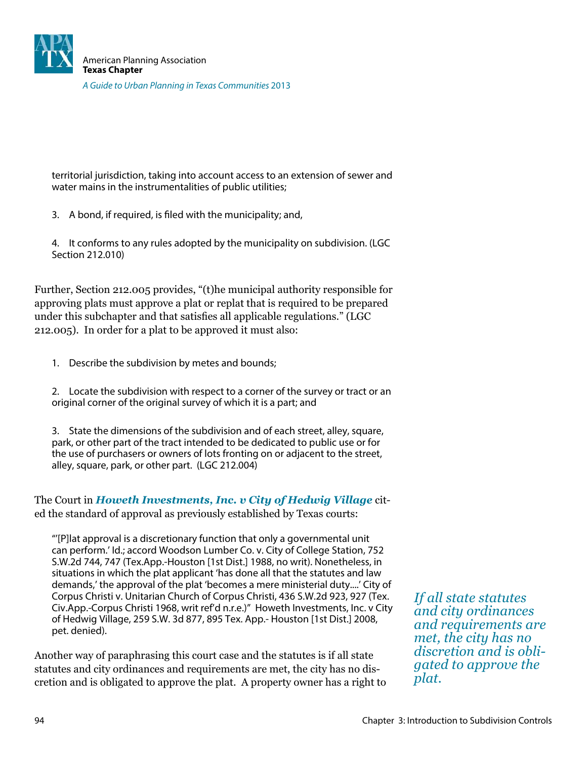![](_page_17_Picture_0.jpeg)

territorial jurisdiction, taking into account access to an extension of sewer and water mains in the instrumentalities of public utilities;

- 3. A bond, if required, is filed with the municipality; and,
- 4. It conforms to any rules adopted by the municipality on subdivision. (LGC Section 212.010)

Further, Section 212.005 provides, "(t)he municipal authority responsible for approving plats must approve a plat or replat that is required to be prepared under this subchapter and that satisies all applicable regulations." (LGC 212.005). In order for a plat to be approved it must also:

1. Describe the subdivision by metes and bounds;

2. Locate the subdivision with respect to a corner of the survey or tract or an original corner of the original survey of which it is a part; and

3. State the dimensions of the subdivision and of each street, alley, square, park, or other part of the tract intended to be dedicated to public use or for the use of purchasers or owners of lots fronting on or adjacent to the street, alley, square, park, or other part. (LGC 212.004)

The Court in *Howeth Investments, Inc. v City of Hedwig Village* cited the standard of approval as previously established by Texas courts:

"'[P]lat approval is a discretionary function that only a governmental unit can perform.' Id.; accord Woodson Lumber Co. v. City of College Station, 752 S.W.2d 744, 747 (Tex.App.-Houston [1st Dist.] 1988, no writ). Nonetheless, in situations in which the plat applicant 'has done all that the statutes and law demands,' the approval of the plat 'becomes a mere ministerial duty....' City of Corpus Christi v. Unitarian Church of Corpus Christi, 436 S.W.2d 923, 927 (Tex. Civ.App.-Corpus Christi 1968, writ ref'd n.r.e.)" Howeth Investments, Inc. v City of Hedwig Village, 259 S.W. 3d 877, 895 Tex. App.- Houston [1st Dist.] 2008, pet. denied).

Another way of paraphrasing this court case and the statutes is if all state statutes and city ordinances and requirements are met, the city has no discretion and is obligated to approve the plat. A property owner has a right to

*If all state statutes and city ordinances and requirements are met, the city has no discretion and is obligated to approve the plat.*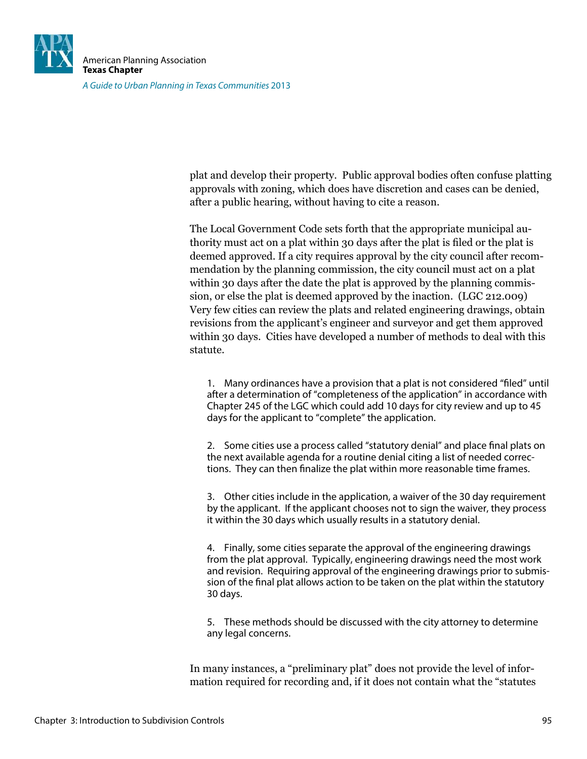![](_page_18_Picture_0.jpeg)

plat and develop their property. Public approval bodies often confuse platting approvals with zoning, which does have discretion and cases can be denied, after a public hearing, without having to cite a reason.

The Local Government Code sets forth that the appropriate municipal authority must act on a plat within 30 days after the plat is filed or the plat is deemed approved. If a city requires approval by the city council after recommendation by the planning commission, the city council must act on a plat within 30 days after the date the plat is approved by the planning commission, or else the plat is deemed approved by the inaction. (LGC 212.009) Very few cities can review the plats and related engineering drawings, obtain revisions from the applicant's engineer and surveyor and get them approved within 30 days. Cities have developed a number of methods to deal with this statute.

1. Many ordinances have a provision that a plat is not considered "filed" until after a determination of "completeness of the application" in accordance with Chapter 245 of the LGC which could add 10 days for city review and up to 45 days for the applicant to "complete" the application.

2. Some cities use a process called "statutory denial" and place final plats on the next available agenda for a routine denial citing a list of needed corrections. They can then finalize the plat within more reasonable time frames.

3. Other cities include in the application, a waiver of the 30 day requirement by the applicant. If the applicant chooses not to sign the waiver, they process it within the 30 days which usually results in a statutory denial.

4. Finally, some cities separate the approval of the engineering drawings from the plat approval. Typically, engineering drawings need the most work and revision. Requiring approval of the engineering drawings prior to submission of the final plat allows action to be taken on the plat within the statutory 30 days.

5. These methods should be discussed with the city attorney to determine any legal concerns.

In many instances, a "preliminary plat" does not provide the level of information required for recording and, if it does not contain what the "statutes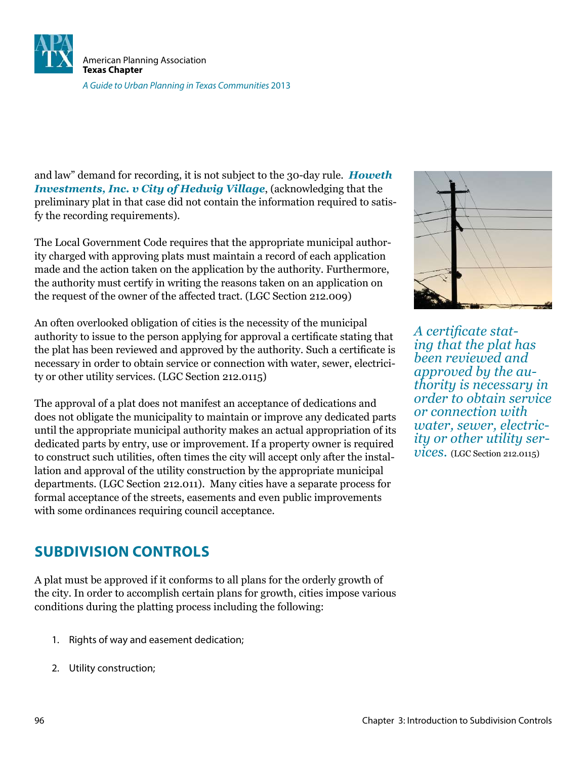![](_page_19_Picture_0.jpeg)

and law" demand for recording, it is not subject to the 30-day rule. *Howeth Investments, Inc. v City of Hedwig Village*, (acknowledging that the preliminary plat in that case did not contain the information required to satisfy the recording requirements).

The Local Government Code requires that the appropriate municipal authority charged with approving plats must maintain a record of each application made and the action taken on the application by the authority. Furthermore, the authority must certify in writing the reasons taken on an application on the request of the owner of the affected tract. (LGC Section 212.009)

An often overlooked obligation of cities is the necessity of the municipal authority to issue to the person applying for approval a certiicate stating that the plat has been reviewed and approved by the authority. Such a certificate is necessary in order to obtain service or connection with water, sewer, electricity or other utility services. (LGC Section 212.0115)

The approval of a plat does not manifest an acceptance of dedications and does not obligate the municipality to maintain or improve any dedicated parts until the appropriate municipal authority makes an actual appropriation of its dedicated parts by entry, use or improvement. If a property owner is required to construct such utilities, often times the city will accept only after the installation and approval of the utility construction by the appropriate municipal departments. (LGC Section 212.011). Many cities have a separate process for formal acceptance of the streets, easements and even public improvements with some ordinances requiring council acceptance.

*A certiicate stating that the plat has been reviewed and approved by the authority is necessary in order to obtain service or connection with water, sewer, electricity or other utility services.* (LGC Section 212.0115)

### **SUBDIVISION CONTROLS**

A plat must be approved if it conforms to all plans for the orderly growth of the city. In order to accomplish certain plans for growth, cities impose various conditions during the platting process including the following:

- 1. Rights of way and easement dedication;
- 2. Utility construction;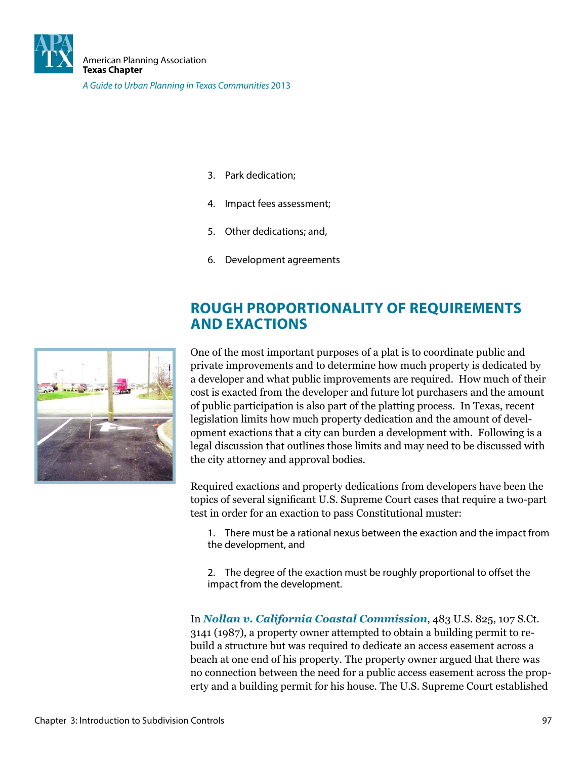![](_page_20_Picture_0.jpeg)

A Guide to Urban Planning in Texas Communities 2013

- 3. Park dedication;
- 4. Impact fees assessment;
- 5. Other dedications; and,
- 6. Development agreements

### **ROUGH PROPORTIONALITY OF REQUIREMENTS AND EXACTIONS**

![](_page_20_Picture_8.jpeg)

One of the most important purposes of a plat is to coordinate public and private improvements and to determine how much property is dedicated by a developer and what public improvements are required. How much of their cost is exacted from the developer and future lot purchasers and the amount of public participation is also part of the platting process. In Texas, recent legislation limits how much property dedication and the amount of development exactions that a city can burden a development with. Following is a legal discussion that outlines those limits and may need to be discussed with the city attorney and approval bodies.

Required exactions and property dedications from developers have been the topics of several signiicant U.S. Supreme Court cases that require a two-part test in order for an exaction to pass Constitutional muster:

1. There must be a rational nexus between the exaction and the impact from the development, and

2. The degree of the exaction must be roughly proportional to offset the impact from the development.

In *Nollan v. California Coastal Commission*, 483 U.S. 825, 107 S.Ct. 3141 (1987), a property owner attempted to obtain a building permit to rebuild a structure but was required to dedicate an access easement across a beach at one end of his property. The property owner argued that there was no connection between the need for a public access easement across the property and a building permit for his house. The U.S. Supreme Court established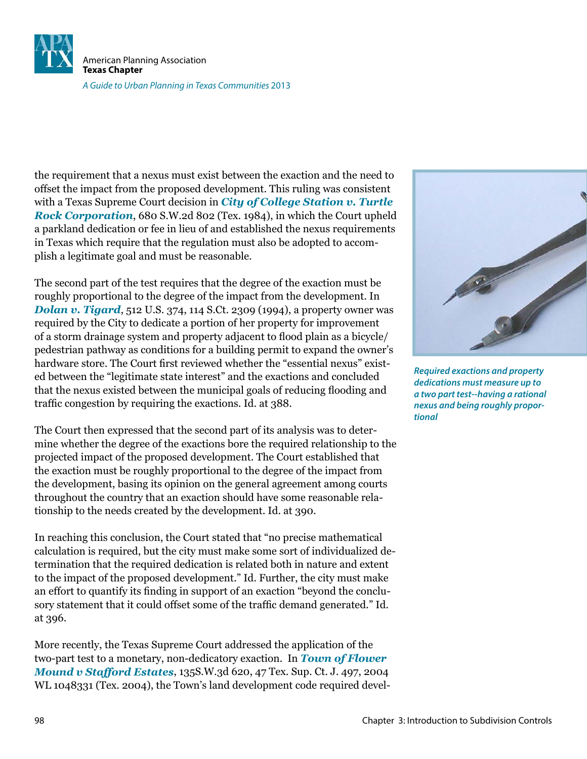![](_page_21_Picture_0.jpeg)

the requirement that a nexus must exist between the exaction and the need to offset the impact from the proposed development. This ruling was consistent with a Texas Supreme Court decision in *City of College Station v. Turtle Rock Corporation*, 680 S.W.2d 802 (Tex. 1984), in which the Court upheld a parkland dedication or fee in lieu of and established the nexus requirements in Texas which require that the regulation must also be adopted to accomplish a legitimate goal and must be reasonable.

The second part of the test requires that the degree of the exaction must be roughly proportional to the degree of the impact from the development. In *Dolan v. Tigard*, 512 U.S. 374, 114 S.Ct. 2309 (1994), a property owner was required by the City to dedicate a portion of her property for improvement of a storm drainage system and property adjacent to lood plain as a bicycle/ pedestrian pathway as conditions for a building permit to expand the owner's hardware store. The Court first reviewed whether the "essential nexus" existed between the "legitimate state interest" and the exactions and concluded that the nexus existed between the municipal goals of reducing looding and trafic congestion by requiring the exactions. Id. at 388.

The Court then expressed that the second part of its analysis was to determine whether the degree of the exactions bore the required relationship to the projected impact of the proposed development. The Court established that the exaction must be roughly proportional to the degree of the impact from the development, basing its opinion on the general agreement among courts throughout the country that an exaction should have some reasonable relationship to the needs created by the development. Id. at 390.

In reaching this conclusion, the Court stated that "no precise mathematical calculation is required, but the city must make some sort of individualized determination that the required dedication is related both in nature and extent to the impact of the proposed development." Id. Further, the city must make an effort to quantify its finding in support of an exaction "beyond the conclusory statement that it could offset some of the trafic demand generated." Id. at 396.

More recently, the Texas Supreme Court addressed the application of the two-part test to a monetary, non-dedicatory exaction. In *Town of Flower Mound v Stafford Estates*, 135S.W.3d 620, 47 Tex. Sup. Ct. J. 497, 2004 WL 1048331 (Tex. 2004), the Town's land development code required devel-

![](_page_21_Picture_6.jpeg)

**Required exactions and property dedications must measure up to a two part test--having a rational nexus and being roughly proportional**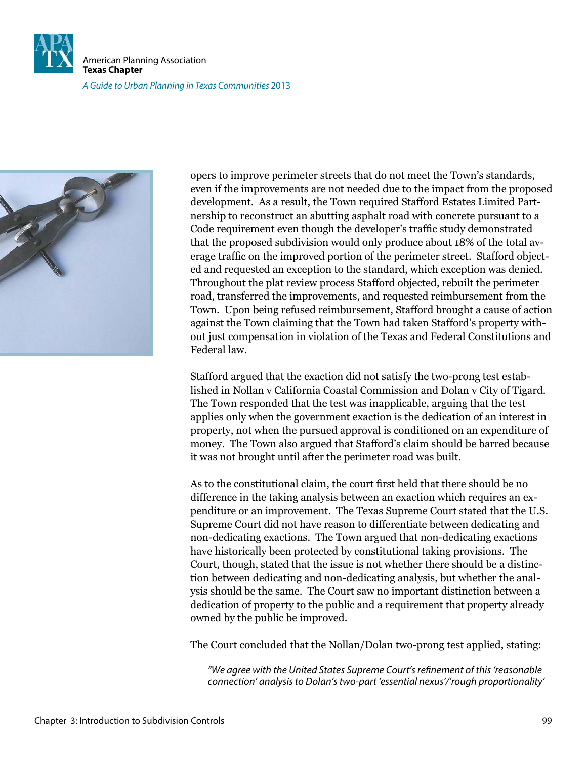![](_page_22_Picture_0.jpeg)

American Planning Association **Texas Chapter** A Guide to Urban Planning in Texas Communities 2013

![](_page_22_Picture_2.jpeg)

opers to improve perimeter streets that do not meet the Town's standards, even if the improvements are not needed due to the impact from the proposed development. As a result, the Town required Stafford Estates Limited Partnership to reconstruct an abutting asphalt road with concrete pursuant to a Code requirement even though the developer's trafic study demonstrated that the proposed subdivision would only produce about 18% of the total average trafic on the improved portion of the perimeter street. Stafford objected and requested an exception to the standard, which exception was denied. Throughout the plat review process Stafford objected, rebuilt the perimeter road, transferred the improvements, and requested reimbursement from the Town. Upon being refused reimbursement, Stafford brought a cause of action against the Town claiming that the Town had taken Stafford's property without just compensation in violation of the Texas and Federal Constitutions and Federal law.

Stafford argued that the exaction did not satisfy the two-prong test established in Nollan v California Coastal Commission and Dolan v City of Tigard. The Town responded that the test was inapplicable, arguing that the test applies only when the government exaction is the dedication of an interest in property, not when the pursued approval is conditioned on an expenditure of money. The Town also argued that Stafford's claim should be barred because it was not brought until after the perimeter road was built.

As to the constitutional claim, the court first held that there should be no difference in the taking analysis between an exaction which requires an expenditure or an improvement. The Texas Supreme Court stated that the U.S. Supreme Court did not have reason to differentiate between dedicating and non-dedicating exactions. The Town argued that non-dedicating exactions have historically been protected by constitutional taking provisions. The Court, though, stated that the issue is not whether there should be a distinction between dedicating and non-dedicating analysis, but whether the analysis should be the same. The Court saw no important distinction between a dedication of property to the public and a requirement that property already owned by the public be improved.

The Court concluded that the Nollan/Dolan two-prong test applied, stating:

"We agree with the United States Supreme Court's reinement of this 'reasonable connection' analysis to Dolan's two-part 'essential nexus'/'rough proportionality'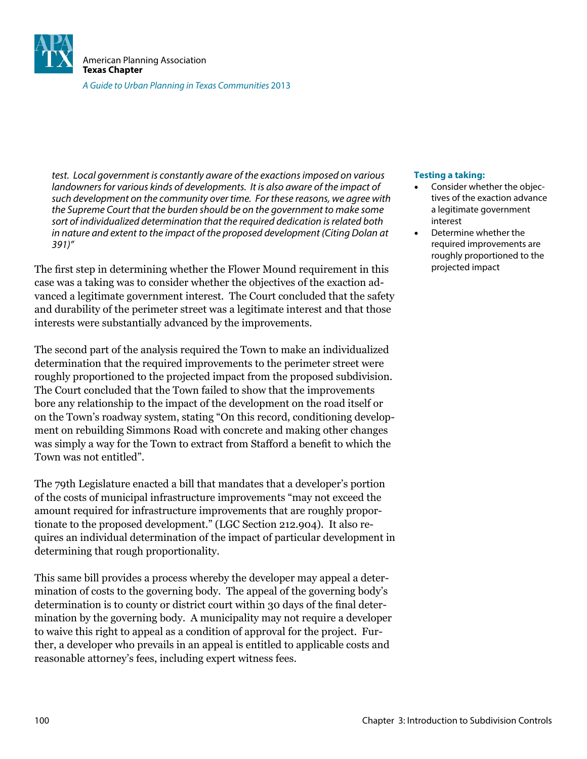![](_page_23_Picture_0.jpeg)

test. Local government is constantly aware of the exactions imposed on various landowners for various kinds of developments. It is also aware of the impact of such development on the community over time. For these reasons, we agree with the Supreme Court that the burden should be on the government to make some sort of individualized determination that the required dedication is related both in nature and extent to the impact of the proposed development (Citing Dolan at 391)"

The first step in determining whether the Flower Mound requirement in this case was a taking was to consider whether the objectives of the exaction advanced a legitimate government interest. The Court concluded that the safety and durability of the perimeter street was a legitimate interest and that those interests were substantially advanced by the improvements.

The second part of the analysis required the Town to make an individualized determination that the required improvements to the perimeter street were roughly proportioned to the projected impact from the proposed subdivision. The Court concluded that the Town failed to show that the improvements bore any relationship to the impact of the development on the road itself or on the Town's roadway system, stating "On this record, conditioning development on rebuilding Simmons Road with concrete and making other changes was simply a way for the Town to extract from Stafford a benefit to which the Town was not entitled".

The 79th Legislature enacted a bill that mandates that a developer's portion of the costs of municipal infrastructure improvements "may not exceed the amount required for infrastructure improvements that are roughly proportionate to the proposed development." (LGC Section 212.904). It also requires an individual determination of the impact of particular development in determining that rough proportionality.

This same bill provides a process whereby the developer may appeal a determination of costs to the governing body. The appeal of the governing body's determination is to county or district court within 30 days of the final determination by the governing body. A municipality may not require a developer to waive this right to appeal as a condition of approval for the project. Further, a developer who prevails in an appeal is entitled to applicable costs and reasonable attorney's fees, including expert witness fees.

#### **Testing a taking:**

- Consider whether the objectives of the exaction advance a legitimate government interest
- Determine whether the required improvements are roughly proportioned to the projected impact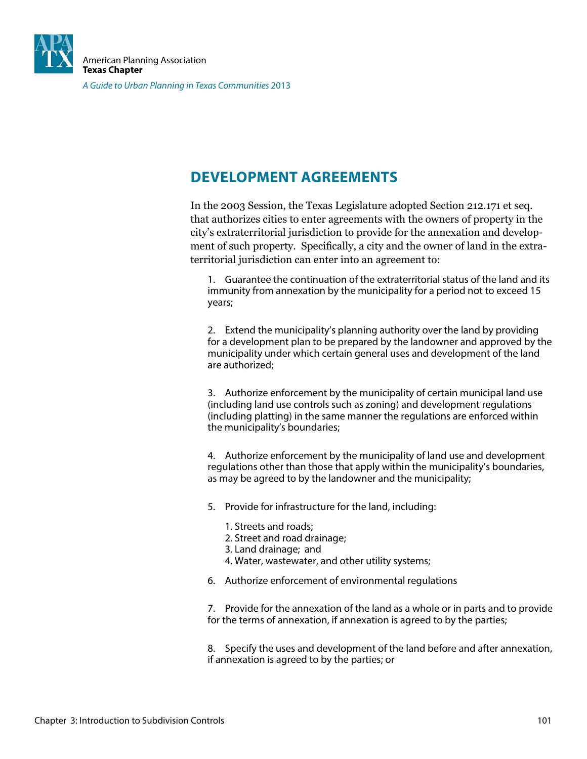![](_page_24_Picture_0.jpeg)

### **DEVELOPMENT AGREEMENTS**

In the 2003 Session, the Texas Legislature adopted Section 212.171 et seq. that authorizes cities to enter agreements with the owners of property in the city's extraterritorial jurisdiction to provide for the annexation and development of such property. Specifically, a city and the owner of land in the extraterritorial jurisdiction can enter into an agreement to:

1. Guarantee the continuation of the extraterritorial status of the land and its immunity from annexation by the municipality for a period not to exceed 15 years;

2. Extend the municipality's planning authority over the land by providing for a development plan to be prepared by the landowner and approved by the municipality under which certain general uses and development of the land are authorized;

3. Authorize enforcement by the municipality of certain municipal land use (including land use controls such as zoning) and development regulations (including platting) in the same manner the regulations are enforced within the municipality's boundaries;

4. Authorize enforcement by the municipality of land use and development regulations other than those that apply within the municipality's boundaries, as may be agreed to by the landowner and the municipality;

- 5. Provide for infrastructure for the land, including:
	- 1. Streets and roads;
	- 2. Street and road drainage;
	- 3. Land drainage; and
	- 4. Water, wastewater, and other utility systems;
- 6. Authorize enforcement of environmental regulations

7. Provide for the annexation of the land as a whole or in parts and to provide for the terms of annexation, if annexation is agreed to by the parties;

8. Specify the uses and development of the land before and after annexation, if annexation is agreed to by the parties; or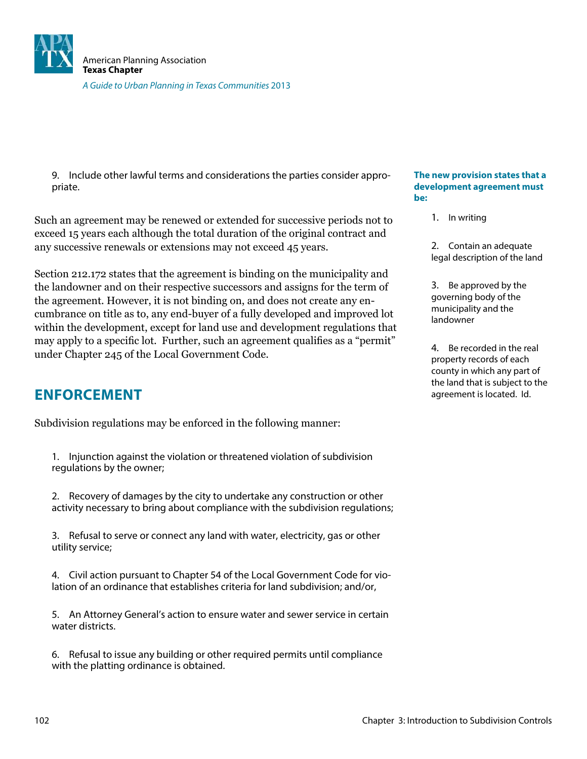![](_page_25_Picture_0.jpeg)

9. Include other lawful terms and considerations the parties consider appropriate.

Such an agreement may be renewed or extended for successive periods not to exceed 15 years each although the total duration of the original contract and any successive renewals or extensions may not exceed 45 years.

Section 212.172 states that the agreement is binding on the municipality and the landowner and on their respective successors and assigns for the term of the agreement. However, it is not binding on, and does not create any encumbrance on title as to, any end-buyer of a fully developed and improved lot within the development, except for land use and development regulations that may apply to a specific lot. Further, such an agreement qualifies as a "permit" under Chapter 245 of the Local Government Code.

### **ENFORCEMENT**

Subdivision regulations may be enforced in the following manner:

1. Injunction against the violation or threatened violation of subdivision regulations by the owner;

2. Recovery of damages by the city to undertake any construction or other activity necessary to bring about compliance with the subdivision regulations;

3. Refusal to serve or connect any land with water, electricity, gas or other utility service;

4. Civil action pursuant to Chapter 54 of the Local Government Code for violation of an ordinance that establishes criteria for land subdivision; and/or,

5. An Attorney General's action to ensure water and sewer service in certain water districts.

6. Refusal to issue any building or other required permits until compliance with the platting ordinance is obtained.

#### **The new provision states that a development agreement must be:**

- 1. In writing
- 2. Contain an adequate legal description of the land

3. Be approved by the governing body of the municipality and the landowner

4. Be recorded in the real property records of each county in which any part of the land that is subject to the agreement is located. Id.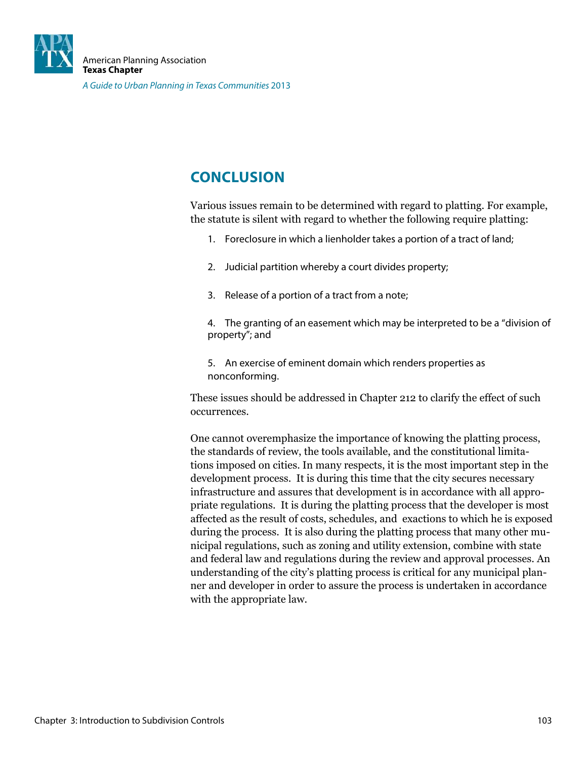![](_page_26_Picture_0.jpeg)

### **CONCLUSION**

Various issues remain to be determined with regard to platting. For example, the statute is silent with regard to whether the following require platting:

- 1. Foreclosure in which a lienholder takes a portion of a tract of land;
- 2. Judicial partition whereby a court divides property;
- 3. Release of a portion of a tract from a note;

4. The granting of an easement which may be interpreted to be a "division of property"; and

5. An exercise of eminent domain which renders properties as nonconforming.

These issues should be addressed in Chapter 212 to clarify the effect of such occurrences.

One cannot overemphasize the importance of knowing the platting process, the standards of review, the tools available, and the constitutional limitations imposed on cities. In many respects, it is the most important step in the development process. It is during this time that the city secures necessary infrastructure and assures that development is in accordance with all appropriate regulations. It is during the platting process that the developer is most affected as the result of costs, schedules, and exactions to which he is exposed during the process. It is also during the platting process that many other municipal regulations, such as zoning and utility extension, combine with state and federal law and regulations during the review and approval processes. An understanding of the city's platting process is critical for any municipal planner and developer in order to assure the process is undertaken in accordance with the appropriate law.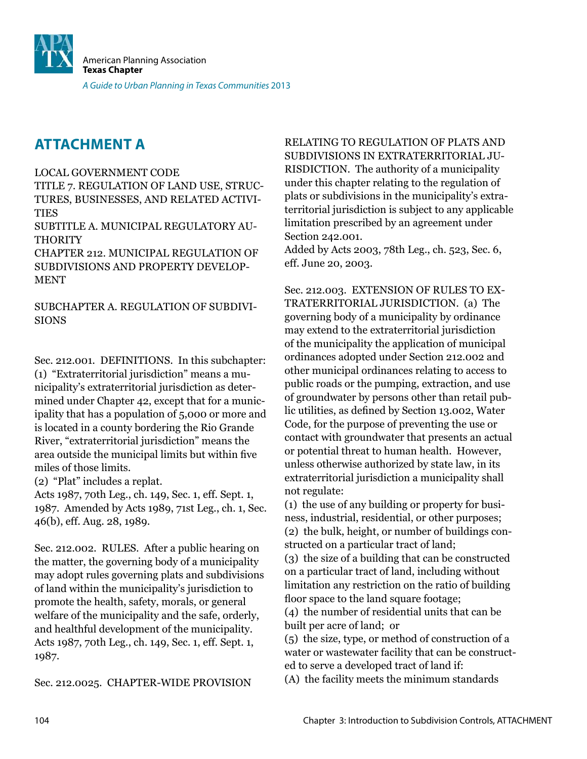![](_page_27_Picture_0.jpeg)

### **ATTACHMENT A**

#### LOCAL GOVERNMENT CODE

TITLE 7. REGULATION OF LAND USE, STRUC-TURES, BUSINESSES, AND RELATED ACTIVI-**TIES** 

SUBTITLE A. MUNICIPAL REGULATORY AU-THORITY

CHAPTER 212. MUNICIPAL REGULATION OF SUBDIVISIONS AND PROPERTY DEVELOP-MENT

SUBCHAPTER A. REGULATION OF SUBDIVI-SIONS

Sec. 212.001. DEFINITIONS. In this subchapter: (1) "Extraterritorial jurisdiction" means a municipality's extraterritorial jurisdiction as determined under Chapter 42, except that for a municipality that has a population of 5,000 or more and is located in a county bordering the Rio Grande River, "extraterritorial jurisdiction" means the area outside the municipal limits but within ive miles of those limits.

(2) "Plat" includes a replat.

Acts 1987, 70th Leg., ch. 149, Sec. 1, eff. Sept. 1, 1987. Amended by Acts 1989, 71st Leg., ch. 1, Sec. 46(b), eff. Aug. 28, 1989.

Sec. 212.002. RULES. After a public hearing on the matter, the governing body of a municipality may adopt rules governing plats and subdivisions of land within the municipality's jurisdiction to promote the health, safety, morals, or general welfare of the municipality and the safe, orderly, and healthful development of the municipality. Acts 1987, 70th Leg., ch. 149, Sec. 1, eff. Sept. 1, 1987.

Sec. 212.0025. CHAPTER-WIDE PROVISION

RELATING TO REGULATION OF PLATS AND SUBDIVISIONS IN EXTRATERRITORIAL JU-RISDICTION. The authority of a municipality under this chapter relating to the regulation of plats or subdivisions in the municipality's extraterritorial jurisdiction is subject to any applicable limitation prescribed by an agreement under Section 242.001.

Added by Acts 2003, 78th Leg., ch. 523, Sec. 6, eff. June 20, 2003.

Sec. 212.003. EXTENSION OF RULES TO EX-TRATERRITORIAL JURISDICTION. (a) The governing body of a municipality by ordinance may extend to the extraterritorial jurisdiction of the municipality the application of municipal ordinances adopted under Section 212.002 and other municipal ordinances relating to access to public roads or the pumping, extraction, and use of groundwater by persons other than retail public utilities, as defined by Section 13.002, Water Code, for the purpose of preventing the use or contact with groundwater that presents an actual or potential threat to human health. However, unless otherwise authorized by state law, in its extraterritorial jurisdiction a municipality shall not regulate:

(1) the use of any building or property for business, industrial, residential, or other purposes; (2) the bulk, height, or number of buildings constructed on a particular tract of land;

(3) the size of a building that can be constructed on a particular tract of land, including without limitation any restriction on the ratio of building floor space to the land square footage;

(4) the number of residential units that can be built per acre of land; or

(5) the size, type, or method of construction of a water or wastewater facility that can be constructed to serve a developed tract of land if:

(A) the facility meets the minimum standards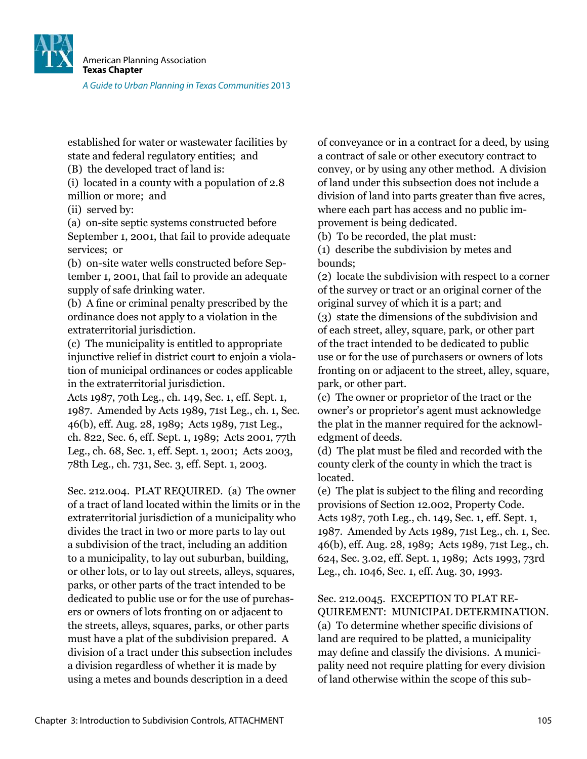![](_page_28_Picture_0.jpeg)

established for water or wastewater facilities by state and federal regulatory entities; and

(B) the developed tract of land is:

(i) located in a county with a population of 2.8 million or more; and

(ii) served by:

(a) on-site septic systems constructed before September 1, 2001, that fail to provide adequate services; or

(b) on-site water wells constructed before September 1, 2001, that fail to provide an adequate supply of safe drinking water.

(b) A ine or criminal penalty prescribed by the ordinance does not apply to a violation in the extraterritorial jurisdiction.

(c) The municipality is entitled to appropriate injunctive relief in district court to enjoin a violation of municipal ordinances or codes applicable in the extraterritorial jurisdiction.

Acts 1987, 70th Leg., ch. 149, Sec. 1, eff. Sept. 1, 1987. Amended by Acts 1989, 71st Leg., ch. 1, Sec. 46(b), eff. Aug. 28, 1989; Acts 1989, 71st Leg., ch. 822, Sec. 6, eff. Sept. 1, 1989; Acts 2001, 77th Leg., ch. 68, Sec. 1, eff. Sept. 1, 2001; Acts 2003, 78th Leg., ch. 731, Sec. 3, eff. Sept. 1, 2003.

Sec. 212.004. PLAT REQUIRED. (a) The owner of a tract of land located within the limits or in the extraterritorial jurisdiction of a municipality who divides the tract in two or more parts to lay out a subdivision of the tract, including an addition to a municipality, to lay out suburban, building, or other lots, or to lay out streets, alleys, squares, parks, or other parts of the tract intended to be dedicated to public use or for the use of purchasers or owners of lots fronting on or adjacent to the streets, alleys, squares, parks, or other parts must have a plat of the subdivision prepared. A division of a tract under this subsection includes a division regardless of whether it is made by using a metes and bounds description in a deed

of conveyance or in a contract for a deed, by using a contract of sale or other executory contract to convey, or by using any other method. A division of land under this subsection does not include a division of land into parts greater than five acres, where each part has access and no public improvement is being dedicated.

(b) To be recorded, the plat must:

(1) describe the subdivision by metes and bounds;

(2) locate the subdivision with respect to a corner of the survey or tract or an original corner of the original survey of which it is a part; and (3) state the dimensions of the subdivision and of each street, alley, square, park, or other part of the tract intended to be dedicated to public use or for the use of purchasers or owners of lots fronting on or adjacent to the street, alley, square, park, or other part.

(c) The owner or proprietor of the tract or the owner's or proprietor's agent must acknowledge the plat in the manner required for the acknowledgment of deeds.

(d) The plat must be iled and recorded with the county clerk of the county in which the tract is located.

(e) The plat is subject to the iling and recording provisions of Section 12.002, Property Code. Acts 1987, 70th Leg., ch. 149, Sec. 1, eff. Sept. 1, 1987. Amended by Acts 1989, 71st Leg., ch. 1, Sec. 46(b), eff. Aug. 28, 1989; Acts 1989, 71st Leg., ch. 624, Sec. 3.02, eff. Sept. 1, 1989; Acts 1993, 73rd Leg., ch. 1046, Sec. 1, eff. Aug. 30, 1993.

Sec. 212.0045. EXCEPTION TO PLAT RE-QUIREMENT: MUNICIPAL DETERMINATION. (a) To determine whether speciic divisions of land are required to be platted, a municipality may define and classify the divisions. A municipality need not require platting for every division of land otherwise within the scope of this sub-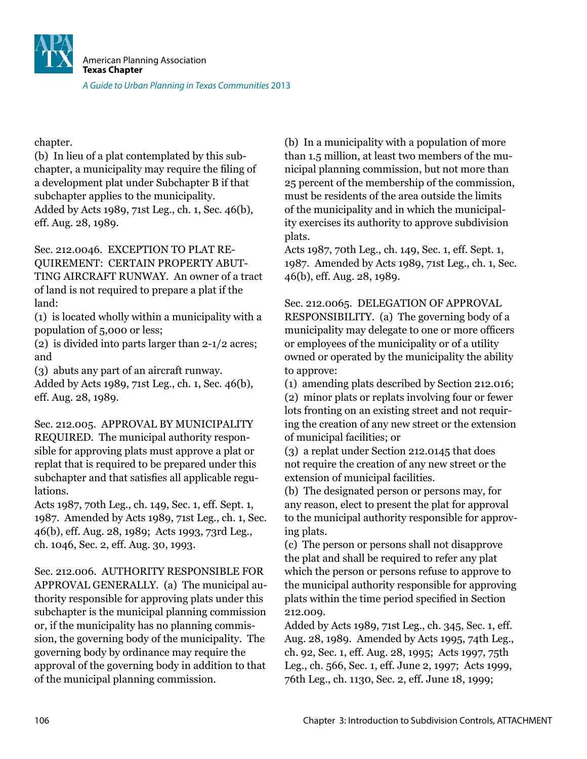![](_page_29_Picture_0.jpeg)

chapter.

(b) In lieu of a plat contemplated by this subchapter, a municipality may require the filing of a development plat under Subchapter B if that subchapter applies to the municipality. Added by Acts 1989, 71st Leg., ch. 1, Sec. 46(b), eff. Aug. 28, 1989.

Sec. 212.0046. EXCEPTION TO PLAT RE-QUIREMENT: CERTAIN PROPERTY ABUT-TING AIRCRAFT RUNWAY. An owner of a tract of land is not required to prepare a plat if the land:

(1) is located wholly within a municipality with a population of 5,000 or less;

(2) is divided into parts larger than 2-1/2 acres; and

(3) abuts any part of an aircraft runway.

Added by Acts 1989, 71st Leg., ch. 1, Sec. 46(b), eff. Aug. 28, 1989.

Sec. 212.005. APPROVAL BY MUNICIPALITY REQUIRED. The municipal authority responsible for approving plats must approve a plat or replat that is required to be prepared under this subchapter and that satisies all applicable regulations.

Acts 1987, 70th Leg., ch. 149, Sec. 1, eff. Sept. 1, 1987. Amended by Acts 1989, 71st Leg., ch. 1, Sec. 46(b), eff. Aug. 28, 1989; Acts 1993, 73rd Leg., ch. 1046, Sec. 2, eff. Aug. 30, 1993.

Sec. 212.006. AUTHORITY RESPONSIBLE FOR APPROVAL GENERALLY. (a) The municipal authority responsible for approving plats under this subchapter is the municipal planning commission or, if the municipality has no planning commission, the governing body of the municipality. The governing body by ordinance may require the approval of the governing body in addition to that of the municipal planning commission.

(b) In a municipality with a population of more than 1.5 million, at least two members of the municipal planning commission, but not more than 25 percent of the membership of the commission, must be residents of the area outside the limits of the municipality and in which the municipality exercises its authority to approve subdivision plats.

Acts 1987, 70th Leg., ch. 149, Sec. 1, eff. Sept. 1, 1987. Amended by Acts 1989, 71st Leg., ch. 1, Sec. 46(b), eff. Aug. 28, 1989.

Sec. 212.0065. DELEGATION OF APPROVAL RESPONSIBILITY. (a) The governing body of a municipality may delegate to one or more oficers or employees of the municipality or of a utility owned or operated by the municipality the ability to approve:

(1) amending plats described by Section 212.016;

(2) minor plats or replats involving four or fewer lots fronting on an existing street and not requiring the creation of any new street or the extension of municipal facilities; or

(3) a replat under Section 212.0145 that does not require the creation of any new street or the extension of municipal facilities.

(b) The designated person or persons may, for any reason, elect to present the plat for approval to the municipal authority responsible for approving plats.

(c) The person or persons shall not disapprove the plat and shall be required to refer any plat which the person or persons refuse to approve to the municipal authority responsible for approving plats within the time period specified in Section 212.009.

Added by Acts 1989, 71st Leg., ch. 345, Sec. 1, eff. Aug. 28, 1989. Amended by Acts 1995, 74th Leg., ch. 92, Sec. 1, eff. Aug. 28, 1995; Acts 1997, 75th Leg., ch. 566, Sec. 1, eff. June 2, 1997; Acts 1999, 76th Leg., ch. 1130, Sec. 2, eff. June 18, 1999;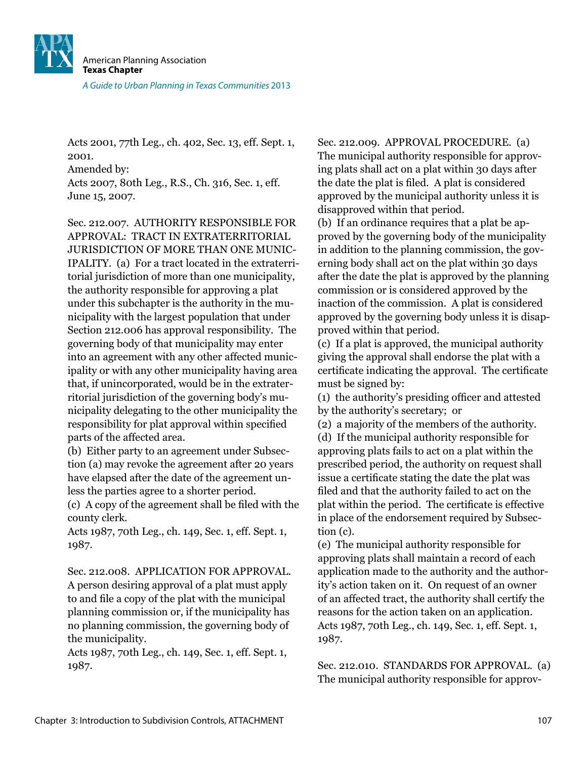![](_page_30_Picture_0.jpeg)

Acts 2001, 77th Leg., ch. 402, Sec. 13, eff. Sept. 1, 2001. Amended by: Acts 2007, 80th Leg., R.S., Ch. 316, Sec. 1, eff. June 15, 2007.

Sec. 212.007. AUTHORITY RESPONSIBLE FOR APPROVAL: TRACT IN EXTRATERRITORIAL JURISDICTION OF MORE THAN ONE MUNIC-IPALITY. (a) For a tract located in the extraterritorial jurisdiction of more than one municipality, the authority responsible for approving a plat under this subchapter is the authority in the municipality with the largest population that under Section 212.006 has approval responsibility. The governing body of that municipality may enter into an agreement with any other affected municipality or with any other municipality having area that, if unincorporated, would be in the extraterritorial jurisdiction of the governing body's municipality delegating to the other municipality the responsibility for plat approval within specified parts of the affected area.

(b) Either party to an agreement under Subsection (a) may revoke the agreement after 20 years have elapsed after the date of the agreement unless the parties agree to a shorter period.

(c) A copy of the agreement shall be iled with the county clerk.

Acts 1987, 70th Leg., ch. 149, Sec. 1, eff. Sept. 1, 1987.

Sec. 212.008. APPLICATION FOR APPROVAL. A person desiring approval of a plat must apply to and ile a copy of the plat with the municipal planning commission or, if the municipality has no planning commission, the governing body of the municipality.

Acts 1987, 70th Leg., ch. 149, Sec. 1, eff. Sept. 1, 1987.

Sec. 212.009. APPROVAL PROCEDURE. (a) The municipal authority responsible for approving plats shall act on a plat within 30 days after the date the plat is filed. A plat is considered approved by the municipal authority unless it is disapproved within that period.

(b) If an ordinance requires that a plat be approved by the governing body of the municipality in addition to the planning commission, the governing body shall act on the plat within 30 days after the date the plat is approved by the planning commission or is considered approved by the inaction of the commission. A plat is considered approved by the governing body unless it is disapproved within that period.

(c) If a plat is approved, the municipal authority giving the approval shall endorse the plat with a certificate indicating the approval. The certificate must be signed by:

(1) the authority's presiding oficer and attested by the authority's secretary; or

(2) a majority of the members of the authority. (d) If the municipal authority responsible for approving plats fails to act on a plat within the prescribed period, the authority on request shall issue a certificate stating the date the plat was filed and that the authority failed to act on the plat within the period. The certificate is effective in place of the endorsement required by Subsection (c).

(e) The municipal authority responsible for approving plats shall maintain a record of each application made to the authority and the authority's action taken on it. On request of an owner of an affected tract, the authority shall certify the reasons for the action taken on an application. Acts 1987, 70th Leg., ch. 149, Sec. 1, eff. Sept. 1, 1987.

Sec. 212.010. STANDARDS FOR APPROVAL. (a) The municipal authority responsible for approv-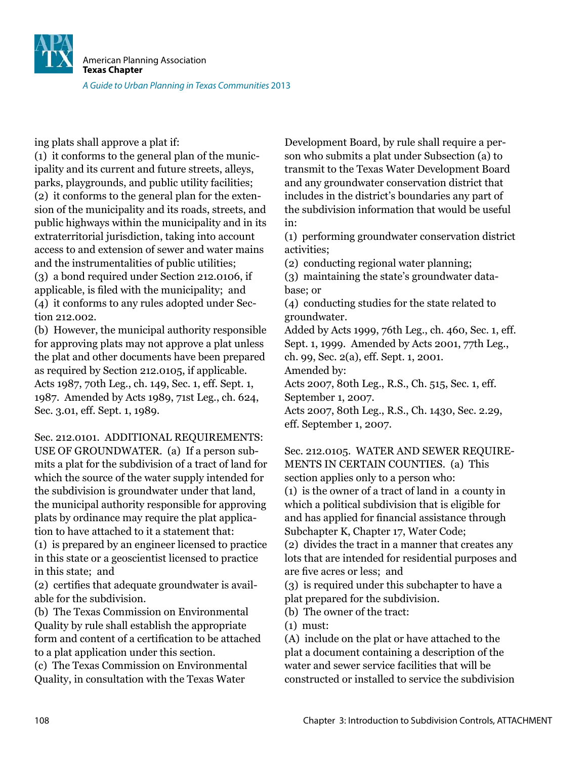American Planning Association **Texas Chapter** A Guide to Urban Planning in Texas Communities 2013

ing plats shall approve a plat if:

(1) it conforms to the general plan of the municipality and its current and future streets, alleys, parks, playgrounds, and public utility facilities; (2) it conforms to the general plan for the extension of the municipality and its roads, streets, and public highways within the municipality and in its extraterritorial jurisdiction, taking into account access to and extension of sewer and water mains and the instrumentalities of public utilities; (3) a bond required under Section 212.0106, if applicable, is filed with the municipality; and (4) it conforms to any rules adopted under Section 212.002.

(b) However, the municipal authority responsible for approving plats may not approve a plat unless the plat and other documents have been prepared as required by Section 212.0105, if applicable. Acts 1987, 70th Leg., ch. 149, Sec. 1, eff. Sept. 1, 1987. Amended by Acts 1989, 71st Leg., ch. 624, Sec. 3.01, eff. Sept. 1, 1989.

Sec. 212.0101. ADDITIONAL REQUIREMENTS: USE OF GROUNDWATER. (a) If a person submits a plat for the subdivision of a tract of land for which the source of the water supply intended for the subdivision is groundwater under that land, the municipal authority responsible for approving plats by ordinance may require the plat application to have attached to it a statement that:

(1) is prepared by an engineer licensed to practice in this state or a geoscientist licensed to practice in this state; and

(2) certiies that adequate groundwater is available for the subdivision.

(b) The Texas Commission on Environmental Quality by rule shall establish the appropriate form and content of a certification to be attached to a plat application under this section.

(c) The Texas Commission on Environmental Quality, in consultation with the Texas Water

Development Board, by rule shall require a person who submits a plat under Subsection (a) to transmit to the Texas Water Development Board and any groundwater conservation district that includes in the district's boundaries any part of the subdivision information that would be useful in:

(1) performing groundwater conservation district activities;

(2) conducting regional water planning;

(3) maintaining the state's groundwater database; or

(4) conducting studies for the state related to groundwater.

Added by Acts 1999, 76th Leg., ch. 460, Sec. 1, eff. Sept. 1, 1999. Amended by Acts 2001, 77th Leg., ch. 99, Sec. 2(a), eff. Sept. 1, 2001. Amended by:

Acts 2007, 80th Leg., R.S., Ch. 515, Sec. 1, eff. September 1, 2007.

Acts 2007, 80th Leg., R.S., Ch. 1430, Sec. 2.29, eff. September 1, 2007.

Sec. 212.0105. WATER AND SEWER REQUIRE-MENTS IN CERTAIN COUNTIES. (a) This section applies only to a person who: (1) is the owner of a tract of land in a county in which a political subdivision that is eligible for and has applied for financial assistance through Subchapter K, Chapter 17, Water Code;

(2) divides the tract in a manner that creates any lots that are intended for residential purposes and are five acres or less: and

(3) is required under this subchapter to have a

plat prepared for the subdivision.

(b) The owner of the tract:

(1) must:

(A) include on the plat or have attached to the plat a document containing a description of the water and sewer service facilities that will be constructed or installed to service the subdivision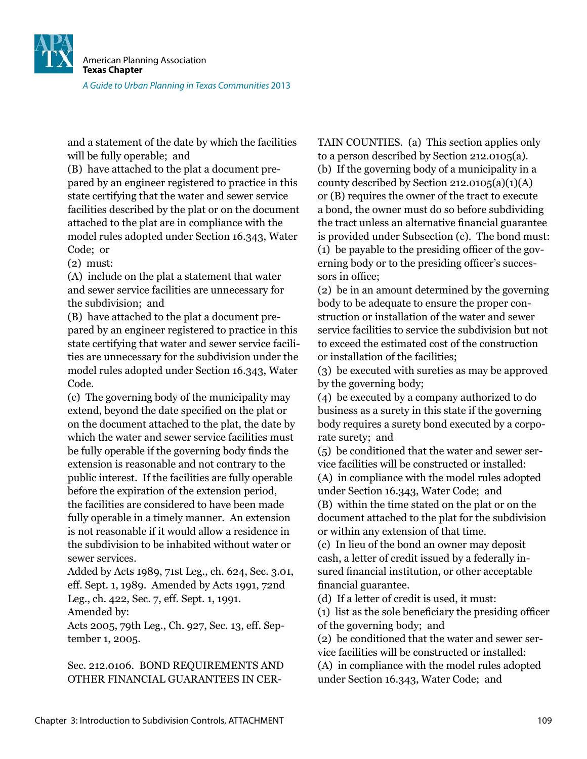![](_page_32_Picture_0.jpeg)

and a statement of the date by which the facilities will be fully operable; and

(B) have attached to the plat a document prepared by an engineer registered to practice in this state certifying that the water and sewer service facilities described by the plat or on the document attached to the plat are in compliance with the model rules adopted under Section 16.343, Water Code; or

(2) must:

(A) include on the plat a statement that water and sewer service facilities are unnecessary for the subdivision; and

(B) have attached to the plat a document prepared by an engineer registered to practice in this state certifying that water and sewer service facilities are unnecessary for the subdivision under the model rules adopted under Section 16.343, Water Code.

(c) The governing body of the municipality may extend, beyond the date specified on the plat or on the document attached to the plat, the date by which the water and sewer service facilities must be fully operable if the governing body finds the extension is reasonable and not contrary to the public interest. If the facilities are fully operable before the expiration of the extension period, the facilities are considered to have been made fully operable in a timely manner. An extension is not reasonable if it would allow a residence in the subdivision to be inhabited without water or sewer services.

Added by Acts 1989, 71st Leg., ch. 624, Sec. 3.01, eff. Sept. 1, 1989. Amended by Acts 1991, 72nd Leg., ch. 422, Sec. 7, eff. Sept. 1, 1991. Amended by:

Acts 2005, 79th Leg., Ch. 927, Sec. 13, eff. September 1, 2005.

Sec. 212.0106. BOND REQUIREMENTS AND OTHER FINANCIAL GUARANTEES IN CER-

TAIN COUNTIES. (a) This section applies only to a person described by Section 212.0105(a). (b) If the governing body of a municipality in a county described by Section 212.0105(a)(1)(A) or (B) requires the owner of the tract to execute a bond, the owner must do so before subdividing the tract unless an alternative financial guarantee is provided under Subsection (c). The bond must: (1) be payable to the presiding oficer of the governing body or to the presiding oficer's successors in ofice;

(2) be in an amount determined by the governing body to be adequate to ensure the proper construction or installation of the water and sewer service facilities to service the subdivision but not to exceed the estimated cost of the construction or installation of the facilities;

(3) be executed with sureties as may be approved by the governing body;

(4) be executed by a company authorized to do business as a surety in this state if the governing body requires a surety bond executed by a corporate surety; and

(5) be conditioned that the water and sewer service facilities will be constructed or installed:

(A) in compliance with the model rules adopted under Section 16.343, Water Code; and (B) within the time stated on the plat or on the document attached to the plat for the subdivision or within any extension of that time.

(c) In lieu of the bond an owner may deposit cash, a letter of credit issued by a federally insured financial institution, or other acceptable inancial guarantee.

(d) If a letter of credit is used, it must:

(1) list as the sole beneiciary the presiding oficer of the governing body; and

(2) be conditioned that the water and sewer service facilities will be constructed or installed:

(A) in compliance with the model rules adopted under Section 16.343, Water Code; and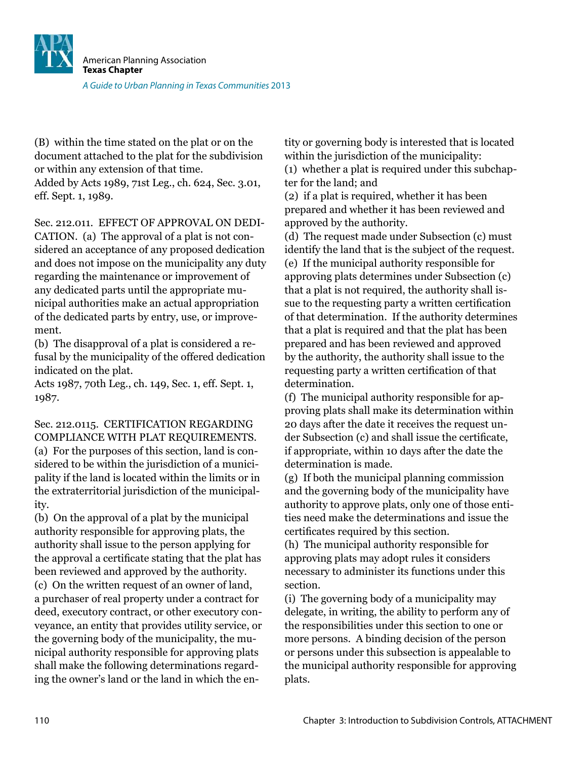![](_page_33_Picture_0.jpeg)

(B) within the time stated on the plat or on the document attached to the plat for the subdivision or within any extension of that time. Added by Acts 1989, 71st Leg., ch. 624, Sec. 3.01, eff. Sept. 1, 1989.

Sec. 212.011. EFFECT OF APPROVAL ON DEDI-CATION. (a) The approval of a plat is not considered an acceptance of any proposed dedication and does not impose on the municipality any duty regarding the maintenance or improvement of any dedicated parts until the appropriate municipal authorities make an actual appropriation of the dedicated parts by entry, use, or improvement.

(b) The disapproval of a plat is considered a refusal by the municipality of the offered dedication indicated on the plat.

Acts 1987, 70th Leg., ch. 149, Sec. 1, eff. Sept. 1, 1987.

Sec. 212.0115. CERTIFICATION REGARDING COMPLIANCE WITH PLAT REQUIREMENTS. (a) For the purposes of this section, land is considered to be within the jurisdiction of a municipality if the land is located within the limits or in the extraterritorial jurisdiction of the municipality.

(b) On the approval of a plat by the municipal authority responsible for approving plats, the authority shall issue to the person applying for the approval a certificate stating that the plat has been reviewed and approved by the authority.

(c) On the written request of an owner of land, a purchaser of real property under a contract for deed, executory contract, or other executory conveyance, an entity that provides utility service, or the governing body of the municipality, the municipal authority responsible for approving plats shall make the following determinations regarding the owner's land or the land in which the entity or governing body is interested that is located within the jurisdiction of the municipality:

(1) whether a plat is required under this subchapter for the land; and

(2) if a plat is required, whether it has been prepared and whether it has been reviewed and approved by the authority.

(d) The request made under Subsection (c) must identify the land that is the subject of the request. (e) If the municipal authority responsible for approving plats determines under Subsection (c) that a plat is not required, the authority shall issue to the requesting party a written certification of that determination. If the authority determines that a plat is required and that the plat has been prepared and has been reviewed and approved by the authority, the authority shall issue to the requesting party a written certification of that determination.

(f) The municipal authority responsible for approving plats shall make its determination within 20 days after the date it receives the request under Subsection (c) and shall issue the certificate, if appropriate, within 10 days after the date the determination is made.

(g) If both the municipal planning commission and the governing body of the municipality have authority to approve plats, only one of those entities need make the determinations and issue the certificates required by this section.

(h) The municipal authority responsible for approving plats may adopt rules it considers necessary to administer its functions under this section.

(i) The governing body of a municipality may delegate, in writing, the ability to perform any of the responsibilities under this section to one or more persons. A binding decision of the person or persons under this subsection is appealable to the municipal authority responsible for approving plats.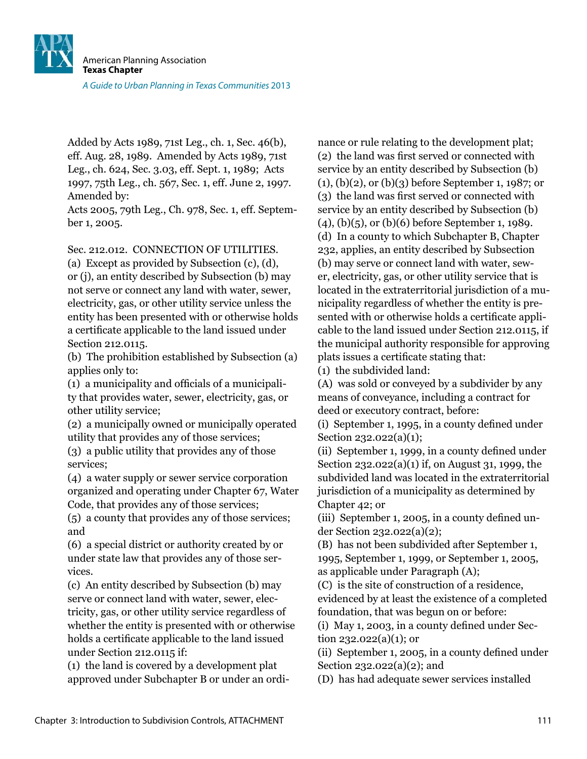![](_page_34_Picture_0.jpeg)

Added by Acts 1989, 71st Leg., ch. 1, Sec. 46(b), eff. Aug. 28, 1989. Amended by Acts 1989, 71st Leg., ch. 624, Sec. 3.03, eff. Sept. 1, 1989; Acts 1997, 75th Leg., ch. 567, Sec. 1, eff. June 2, 1997. Amended by:

Acts 2005, 79th Leg., Ch. 978, Sec. 1, eff. September 1, 2005.

Sec. 212.012. CONNECTION OF UTILITIES.

(a) Except as provided by Subsection (c), (d), or (j), an entity described by Subsection (b) may not serve or connect any land with water, sewer, electricity, gas, or other utility service unless the entity has been presented with or otherwise holds a certiicate applicable to the land issued under Section 212.0115.

(b) The prohibition established by Subsection (a) applies only to:

(1) a municipality and oficials of a municipality that provides water, sewer, electricity, gas, or other utility service;

(2) a municipally owned or municipally operated utility that provides any of those services;

(3) a public utility that provides any of those services;

(4) a water supply or sewer service corporation organized and operating under Chapter 67, Water Code, that provides any of those services;

(5) a county that provides any of those services; and

(6) a special district or authority created by or under state law that provides any of those services.

(c) An entity described by Subsection (b) may serve or connect land with water, sewer, electricity, gas, or other utility service regardless of whether the entity is presented with or otherwise holds a certificate applicable to the land issued under Section 212.0115 if:

(1) the land is covered by a development plat approved under Subchapter B or under an ordinance or rule relating to the development plat; (2) the land was irst served or connected with service by an entity described by Subsection (b) (1), (b)(2), or (b)(3) before September 1, 1987; or (3) the land was irst served or connected with service by an entity described by Subsection (b) (4), (b)(5), or (b)(6) before September 1, 1989. (d) In a county to which Subchapter B, Chapter 232, applies, an entity described by Subsection (b) may serve or connect land with water, sewer, electricity, gas, or other utility service that is located in the extraterritorial jurisdiction of a municipality regardless of whether the entity is presented with or otherwise holds a certificate applicable to the land issued under Section 212.0115, if the municipal authority responsible for approving plats issues a certificate stating that:

(1) the subdivided land:

(A) was sold or conveyed by a subdivider by any means of conveyance, including a contract for deed or executory contract, before:

(i) September 1, 1995, in a county deined under Section 232.022(a)(1);

(ii) September 1, 1999, in a county deined under Section 232.022(a)(1) if, on August 31, 1999, the subdivided land was located in the extraterritorial jurisdiction of a municipality as determined by Chapter 42; or

 $(iii)$  September 1, 2005, in a county defined under Section 232.022(a)(2);

(B) has not been subdivided after September 1, 1995, September 1, 1999, or September 1, 2005, as applicable under Paragraph (A);

(C) is the site of construction of a residence, evidenced by at least the existence of a completed foundation, that was begun on or before:

 $(i)$  May 1, 2003, in a county defined under Section  $232.022(a)(1)$ ; or

 $(ii)$  September 1, 2005, in a county defined under Section 232.022(a)(2); and

(D) has had adequate sewer services installed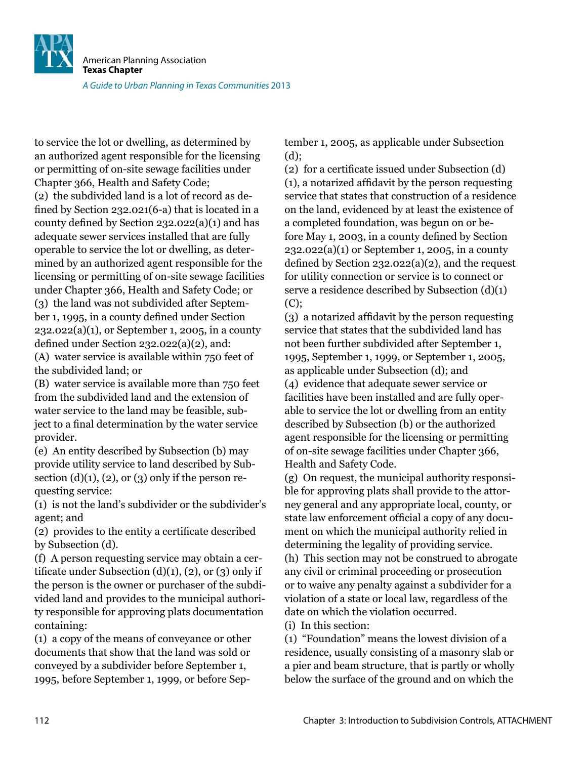![](_page_35_Picture_0.jpeg)

to service the lot or dwelling, as determined by an authorized agent responsible for the licensing or permitting of on-site sewage facilities under Chapter 366, Health and Safety Code; (2) the subdivided land is a lot of record as defined by Section 232.021(6-a) that is located in a county defined by Section  $232.022(a)(1)$  and has adequate sewer services installed that are fully operable to service the lot or dwelling, as determined by an authorized agent responsible for the licensing or permitting of on-site sewage facilities under Chapter 366, Health and Safety Code; or (3) the land was not subdivided after September 1, 1995, in a county deined under Section 232.022(a)(1), or September 1, 2005, in a county defined under Section  $232.022(a)(2)$ , and:

(A) water service is available within 750 feet of the subdivided land; or

(B) water service is available more than 750 feet from the subdivided land and the extension of water service to the land may be feasible, subject to a final determination by the water service provider.

(e) An entity described by Subsection (b) may provide utility service to land described by Subsection  $(d)(1)$ ,  $(2)$ , or  $(3)$  only if the person requesting service:

(1) is not the land's subdivider or the subdivider's agent; and

(2) provides to the entity a certiicate described by Subsection (d).

(f) A person requesting service may obtain a certificate under Subsection  $(d)(1)$ ,  $(2)$ , or  $(3)$  only if the person is the owner or purchaser of the subdivided land and provides to the municipal authority responsible for approving plats documentation containing:

(1) a copy of the means of conveyance or other documents that show that the land was sold or conveyed by a subdivider before September 1, 1995, before September 1, 1999, or before September 1, 2005, as applicable under Subsection (d);

(2) for a certiicate issued under Subsection (d) (1), a notarized afidavit by the person requesting service that states that construction of a residence on the land, evidenced by at least the existence of a completed foundation, was begun on or before May 1, 2003, in a county defined by Section 232.022(a)(1) or September 1, 2005, in a county defined by Section  $232.022(a)(2)$ , and the request for utility connection or service is to connect or serve a residence described by Subsection (d)(1)  $(C)$ :

(3) a notarized afidavit by the person requesting service that states that the subdivided land has not been further subdivided after September 1, 1995, September 1, 1999, or September 1, 2005, as applicable under Subsection (d); and (4) evidence that adequate sewer service or facilities have been installed and are fully operable to service the lot or dwelling from an entity described by Subsection (b) or the authorized agent responsible for the licensing or permitting of on-site sewage facilities under Chapter 366, Health and Safety Code.

(g) On request, the municipal authority responsible for approving plats shall provide to the attorney general and any appropriate local, county, or state law enforcement oficial a copy of any document on which the municipal authority relied in determining the legality of providing service.

(h) This section may not be construed to abrogate any civil or criminal proceeding or prosecution or to waive any penalty against a subdivider for a violation of a state or local law, regardless of the date on which the violation occurred.

(i) In this section:

(1) "Foundation" means the lowest division of a residence, usually consisting of a masonry slab or a pier and beam structure, that is partly or wholly below the surface of the ground and on which the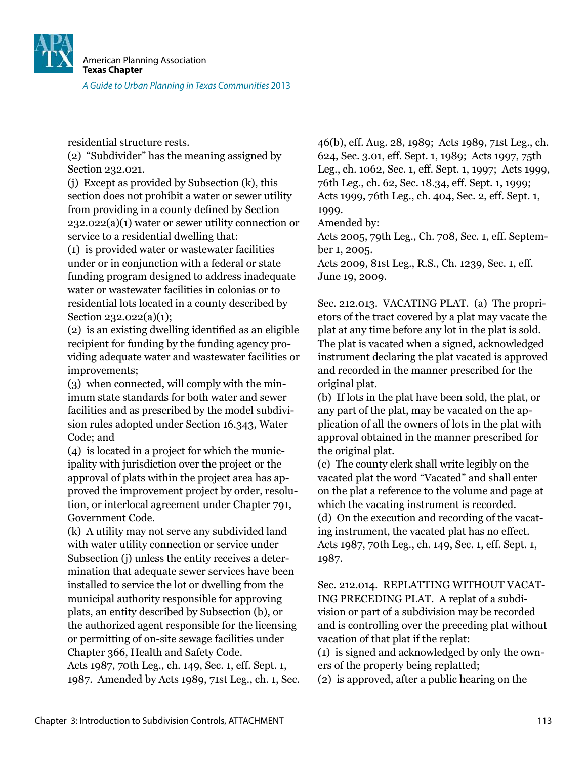![](_page_36_Picture_0.jpeg)

residential structure rests.

(2) "Subdivider" has the meaning assigned by Section 232.021.

(j) Except as provided by Subsection (k), this section does not prohibit a water or sewer utility from providing in a county defined by Section 232.022(a)(1) water or sewer utility connection or service to a residential dwelling that:

(1) is provided water or wastewater facilities under or in conjunction with a federal or state funding program designed to address inadequate water or wastewater facilities in colonias or to residential lots located in a county described by Section 232.022(a)(1);

(2) is an existing dwelling identiied as an eligible recipient for funding by the funding agency providing adequate water and wastewater facilities or improvements;

(3) when connected, will comply with the minimum state standards for both water and sewer facilities and as prescribed by the model subdivision rules adopted under Section 16.343, Water Code; and

(4) is located in a project for which the municipality with jurisdiction over the project or the approval of plats within the project area has approved the improvement project by order, resolution, or interlocal agreement under Chapter 791, Government Code.

(k) A utility may not serve any subdivided land with water utility connection or service under Subsection (j) unless the entity receives a determination that adequate sewer services have been installed to service the lot or dwelling from the municipal authority responsible for approving plats, an entity described by Subsection (b), or the authorized agent responsible for the licensing or permitting of on-site sewage facilities under Chapter 366, Health and Safety Code. Acts 1987, 70th Leg., ch. 149, Sec. 1, eff. Sept. 1, 1987. Amended by Acts 1989, 71st Leg., ch. 1, Sec. 46(b), eff. Aug. 28, 1989; Acts 1989, 71st Leg., ch. 624, Sec. 3.01, eff. Sept. 1, 1989; Acts 1997, 75th Leg., ch. 1062, Sec. 1, eff. Sept. 1, 1997; Acts 1999, 76th Leg., ch. 62, Sec. 18.34, eff. Sept. 1, 1999; Acts 1999, 76th Leg., ch. 404, Sec. 2, eff. Sept. 1, 1999.

Amended by:

Acts 2005, 79th Leg., Ch. 708, Sec. 1, eff. September 1, 2005.

Acts 2009, 81st Leg., R.S., Ch. 1239, Sec. 1, eff. June 19, 2009.

Sec. 212.013. VACATING PLAT. (a) The proprietors of the tract covered by a plat may vacate the plat at any time before any lot in the plat is sold. The plat is vacated when a signed, acknowledged instrument declaring the plat vacated is approved and recorded in the manner prescribed for the original plat.

(b) If lots in the plat have been sold, the plat, or any part of the plat, may be vacated on the application of all the owners of lots in the plat with approval obtained in the manner prescribed for the original plat.

(c) The county clerk shall write legibly on the vacated plat the word "Vacated" and shall enter on the plat a reference to the volume and page at which the vacating instrument is recorded. (d) On the execution and recording of the vacating instrument, the vacated plat has no effect. Acts 1987, 70th Leg., ch. 149, Sec. 1, eff. Sept. 1, 1987.

Sec. 212.014. REPLATTING WITHOUT VACAT-ING PRECEDING PLAT. A replat of a subdivision or part of a subdivision may be recorded and is controlling over the preceding plat without vacation of that plat if the replat:

(1) is signed and acknowledged by only the owners of the property being replatted;

(2) is approved, after a public hearing on the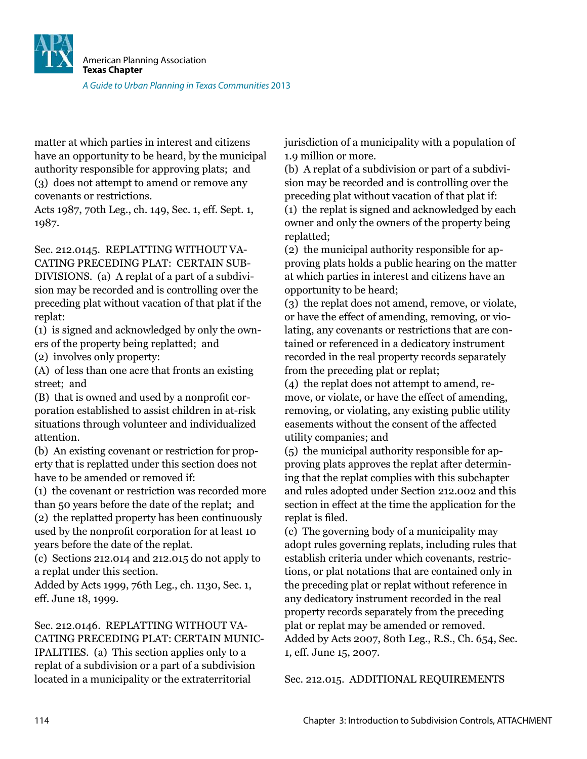![](_page_37_Picture_0.jpeg)

matter at which parties in interest and citizens have an opportunity to be heard, by the municipal authority responsible for approving plats; and (3) does not attempt to amend or remove any covenants or restrictions.

Acts 1987, 70th Leg., ch. 149, Sec. 1, eff. Sept. 1, 1987.

Sec. 212.0145. REPLATTING WITHOUT VA-CATING PRECEDING PLAT: CERTAIN SUB-DIVISIONS. (a) A replat of a part of a subdivision may be recorded and is controlling over the preceding plat without vacation of that plat if the replat:

(1) is signed and acknowledged by only the owners of the property being replatted; and

(2) involves only property:

(A) of less than one acre that fronts an existing street; and

(B) that is owned and used by a nonprofit corporation established to assist children in at-risk situations through volunteer and individualized attention.

(b) An existing covenant or restriction for property that is replatted under this section does not have to be amended or removed if:

(1) the covenant or restriction was recorded more than 50 years before the date of the replat; and (2) the replatted property has been continuously used by the nonprofit corporation for at least 10 years before the date of the replat.

(c) Sections 212.014 and 212.015 do not apply to a replat under this section.

Added by Acts 1999, 76th Leg., ch. 1130, Sec. 1, eff. June 18, 1999.

### Sec. 212.0146. REPLATTING WITHOUT VA-

CATING PRECEDING PLAT: CERTAIN MUNIC-IPALITIES. (a) This section applies only to a replat of a subdivision or a part of a subdivision located in a municipality or the extraterritorial

jurisdiction of a municipality with a population of 1.9 million or more.

(b) A replat of a subdivision or part of a subdivision may be recorded and is controlling over the preceding plat without vacation of that plat if: (1) the replat is signed and acknowledged by each owner and only the owners of the property being replatted;

(2) the municipal authority responsible for approving plats holds a public hearing on the matter at which parties in interest and citizens have an opportunity to be heard;

(3) the replat does not amend, remove, or violate, or have the effect of amending, removing, or violating, any covenants or restrictions that are contained or referenced in a dedicatory instrument recorded in the real property records separately from the preceding plat or replat;

(4) the replat does not attempt to amend, remove, or violate, or have the effect of amending, removing, or violating, any existing public utility easements without the consent of the affected utility companies; and

(5) the municipal authority responsible for approving plats approves the replat after determining that the replat complies with this subchapter and rules adopted under Section 212.002 and this section in effect at the time the application for the replat is filed.

(c) The governing body of a municipality may adopt rules governing replats, including rules that establish criteria under which covenants, restrictions, or plat notations that are contained only in the preceding plat or replat without reference in any dedicatory instrument recorded in the real property records separately from the preceding plat or replat may be amended or removed. Added by Acts 2007, 80th Leg., R.S., Ch. 654, Sec. 1, eff. June 15, 2007.

Sec. 212.015. ADDITIONAL REQUIREMENTS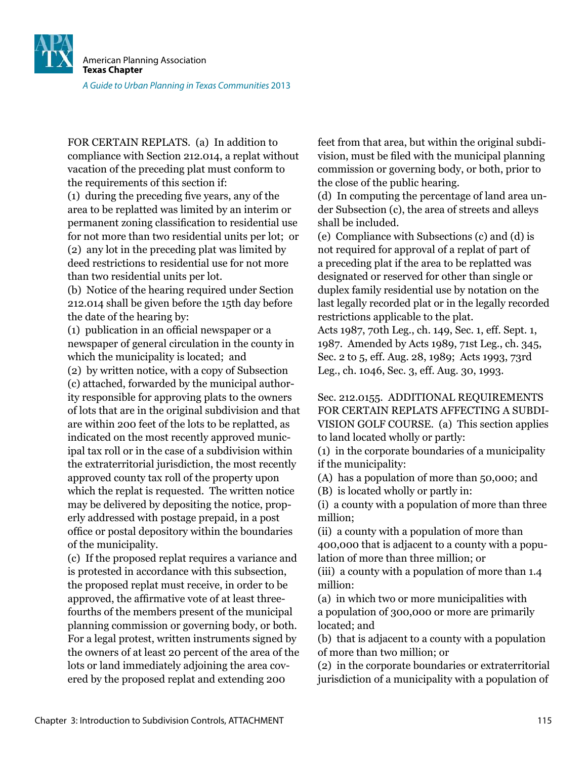![](_page_38_Picture_0.jpeg)

FOR CERTAIN REPLATS. (a) In addition to compliance with Section 212.014, a replat without vacation of the preceding plat must conform to the requirements of this section if:

(1) during the preceding ive years, any of the area to be replatted was limited by an interim or permanent zoning classiication to residential use for not more than two residential units per lot; or (2) any lot in the preceding plat was limited by deed restrictions to residential use for not more than two residential units per lot.

(b) Notice of the hearing required under Section 212.014 shall be given before the 15th day before the date of the hearing by:

(1) publication in an oficial newspaper or a newspaper of general circulation in the county in which the municipality is located; and

(2) by written notice, with a copy of Subsection (c) attached, forwarded by the municipal authority responsible for approving plats to the owners of lots that are in the original subdivision and that are within 200 feet of the lots to be replatted, as indicated on the most recently approved municipal tax roll or in the case of a subdivision within the extraterritorial jurisdiction, the most recently approved county tax roll of the property upon which the replat is requested. The written notice may be delivered by depositing the notice, properly addressed with postage prepaid, in a post ofice or postal depository within the boundaries of the municipality.

(c) If the proposed replat requires a variance and is protested in accordance with this subsection, the proposed replat must receive, in order to be approved, the afirmative vote of at least threefourths of the members present of the municipal planning commission or governing body, or both. For a legal protest, written instruments signed by the owners of at least 20 percent of the area of the lots or land immediately adjoining the area covered by the proposed replat and extending 200

feet from that area, but within the original subdivision, must be iled with the municipal planning commission or governing body, or both, prior to the close of the public hearing.

(d) In computing the percentage of land area under Subsection (c), the area of streets and alleys shall be included.

(e) Compliance with Subsections (c) and (d) is not required for approval of a replat of part of a preceding plat if the area to be replatted was designated or reserved for other than single or duplex family residential use by notation on the last legally recorded plat or in the legally recorded restrictions applicable to the plat.

Acts 1987, 70th Leg., ch. 149, Sec. 1, eff. Sept. 1, 1987. Amended by Acts 1989, 71st Leg., ch. 345, Sec. 2 to 5, eff. Aug. 28, 1989; Acts 1993, 73rd Leg., ch. 1046, Sec. 3, eff. Aug. 30, 1993.

Sec. 212.0155. ADDITIONAL REQUIREMENTS FOR CERTAIN REPLATS AFFECTING A SUBDI-VISION GOLF COURSE. (a) This section applies to land located wholly or partly:

(1) in the corporate boundaries of a municipality if the municipality:

(A) has a population of more than 50,000; and

(B) is located wholly or partly in:

(i) a county with a population of more than three million;

(ii) a county with a population of more than 400,000 that is adjacent to a county with a population of more than three million; or

(iii) a county with a population of more than 1.4 million:

(a) in which two or more municipalities with a population of 300,000 or more are primarily located; and

(b) that is adjacent to a county with a population of more than two million; or

(2) in the corporate boundaries or extraterritorial jurisdiction of a municipality with a population of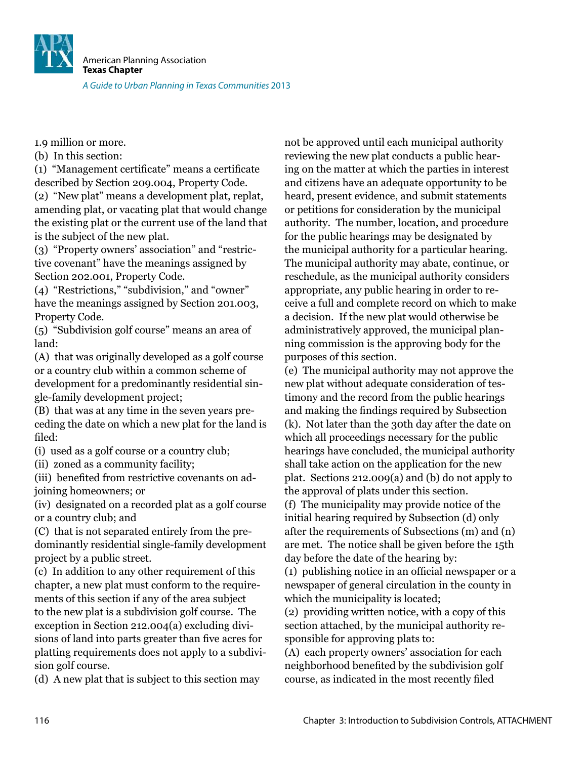![](_page_39_Picture_0.jpeg)

1.9 million or more.

(b) In this section:

(1) "Management certiicate" means a certiicate described by Section 209.004, Property Code.

(2) "New plat" means a development plat, replat, amending plat, or vacating plat that would change the existing plat or the current use of the land that is the subject of the new plat.

(3) "Property owners' association" and "restrictive covenant" have the meanings assigned by Section 202.001, Property Code.

(4) "Restrictions," "subdivision," and "owner" have the meanings assigned by Section 201.003, Property Code.

(5) "Subdivision golf course" means an area of land:

(A) that was originally developed as a golf course or a country club within a common scheme of development for a predominantly residential single-family development project;

(B) that was at any time in the seven years preceding the date on which a new plat for the land is filed:

(i) used as a golf course or a country club;

(ii) zoned as a community facility;

(iii) benefited from restrictive covenants on adjoining homeowners; or

(iv) designated on a recorded plat as a golf course or a country club; and

(C) that is not separated entirely from the predominantly residential single-family development project by a public street.

(c) In addition to any other requirement of this chapter, a new plat must conform to the requirements of this section if any of the area subject to the new plat is a subdivision golf course. The exception in Section 212.004(a) excluding divisions of land into parts greater than five acres for platting requirements does not apply to a subdivision golf course.

(d) A new plat that is subject to this section may

not be approved until each municipal authority reviewing the new plat conducts a public hearing on the matter at which the parties in interest and citizens have an adequate opportunity to be heard, present evidence, and submit statements or petitions for consideration by the municipal authority. The number, location, and procedure for the public hearings may be designated by the municipal authority for a particular hearing. The municipal authority may abate, continue, or reschedule, as the municipal authority considers appropriate, any public hearing in order to receive a full and complete record on which to make a decision. If the new plat would otherwise be administratively approved, the municipal planning commission is the approving body for the purposes of this section.

(e) The municipal authority may not approve the new plat without adequate consideration of testimony and the record from the public hearings and making the findings required by Subsection (k). Not later than the 30th day after the date on which all proceedings necessary for the public hearings have concluded, the municipal authority shall take action on the application for the new plat. Sections 212.009(a) and (b) do not apply to the approval of plats under this section.

(f) The municipality may provide notice of the initial hearing required by Subsection (d) only after the requirements of Subsections (m) and (n) are met. The notice shall be given before the 15th day before the date of the hearing by:

(1) publishing notice in an oficial newspaper or a newspaper of general circulation in the county in which the municipality is located;

(2) providing written notice, with a copy of this section attached, by the municipal authority responsible for approving plats to:

(A) each property owners' association for each neighborhood beneited by the subdivision golf course, as indicated in the most recently iled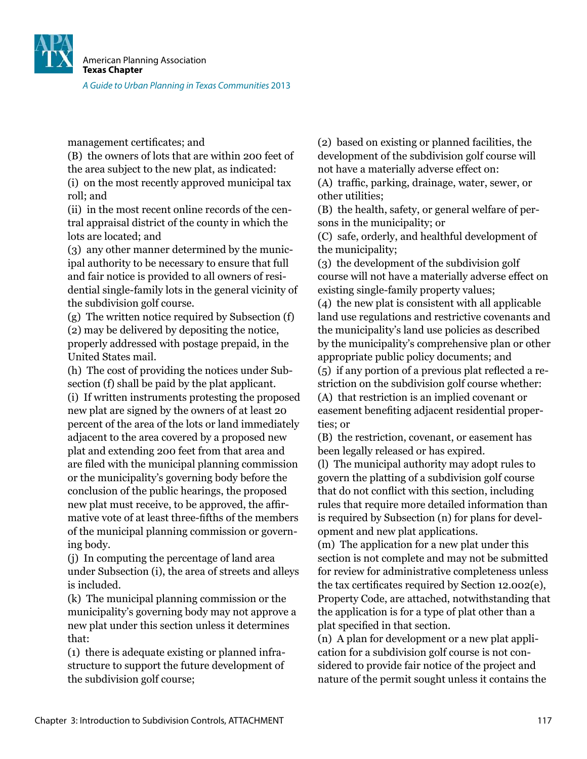![](_page_40_Picture_0.jpeg)

management certificates; and

(B) the owners of lots that are within 200 feet of the area subject to the new plat, as indicated:

(i) on the most recently approved municipal tax roll; and

(ii) in the most recent online records of the central appraisal district of the county in which the lots are located; and

(3) any other manner determined by the municipal authority to be necessary to ensure that full and fair notice is provided to all owners of residential single-family lots in the general vicinity of the subdivision golf course.

(g) The written notice required by Subsection (f) (2) may be delivered by depositing the notice, properly addressed with postage prepaid, in the United States mail.

(h) The cost of providing the notices under Subsection (f) shall be paid by the plat applicant.

(i) If written instruments protesting the proposed new plat are signed by the owners of at least 20 percent of the area of the lots or land immediately adjacent to the area covered by a proposed new plat and extending 200 feet from that area and are iled with the municipal planning commission or the municipality's governing body before the conclusion of the public hearings, the proposed new plat must receive, to be approved, the afirmative vote of at least three-fifths of the members of the municipal planning commission or governing body.

(j) In computing the percentage of land area under Subsection (i), the area of streets and alleys is included.

(k) The municipal planning commission or the municipality's governing body may not approve a new plat under this section unless it determines that:

(1) there is adequate existing or planned infrastructure to support the future development of the subdivision golf course;

(2) based on existing or planned facilities, the development of the subdivision golf course will not have a materially adverse effect on:

(A) trafic, parking, drainage, water, sewer, or other utilities;

(B) the health, safety, or general welfare of persons in the municipality; or

(C) safe, orderly, and healthful development of the municipality;

(3) the development of the subdivision golf course will not have a materially adverse effect on existing single-family property values;

(4) the new plat is consistent with all applicable land use regulations and restrictive covenants and the municipality's land use policies as described by the municipality's comprehensive plan or other appropriate public policy documents; and (5) if any portion of a previous plat relected a restriction on the subdivision golf course whether: (A) that restriction is an implied covenant or easement benefiting adjacent residential properties; or

(B) the restriction, covenant, or easement has been legally released or has expired.

(l) The municipal authority may adopt rules to govern the platting of a subdivision golf course that do not conflict with this section, including rules that require more detailed information than is required by Subsection (n) for plans for development and new plat applications.

(m) The application for a new plat under this section is not complete and may not be submitted for review for administrative completeness unless the tax certificates required by Section 12.002(e), Property Code, are attached, notwithstanding that the application is for a type of plat other than a plat specified in that section.

(n) A plan for development or a new plat application for a subdivision golf course is not considered to provide fair notice of the project and nature of the permit sought unless it contains the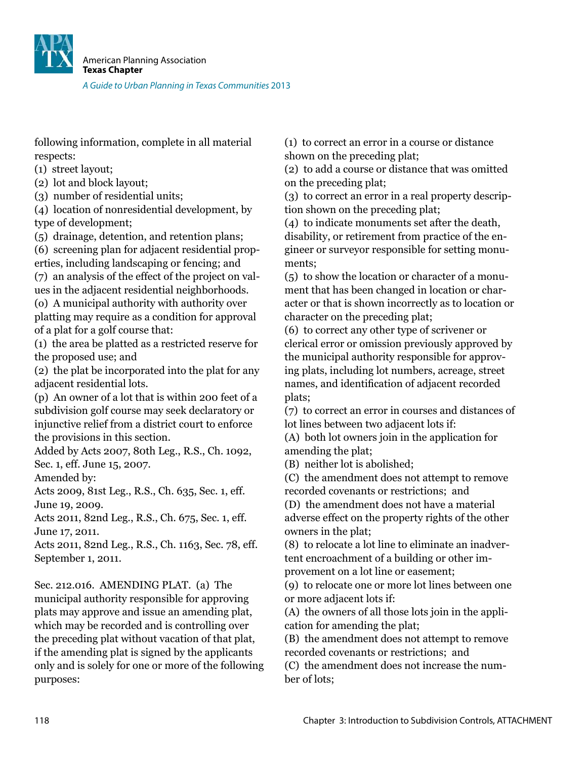![](_page_41_Picture_0.jpeg)

following information, complete in all material respects:

(1) street layout;

(2) lot and block layout;

(3) number of residential units;

(4) location of nonresidential development, by type of development;

(5) drainage, detention, and retention plans;

(6) screening plan for adjacent residential properties, including landscaping or fencing; and

(7) an analysis of the effect of the project on values in the adjacent residential neighborhoods.

(o) A municipal authority with authority over platting may require as a condition for approval of a plat for a golf course that:

(1) the area be platted as a restricted reserve for the proposed use; and

(2) the plat be incorporated into the plat for any adjacent residential lots.

(p) An owner of a lot that is within 200 feet of a subdivision golf course may seek declaratory or injunctive relief from a district court to enforce the provisions in this section.

Added by Acts 2007, 80th Leg., R.S., Ch. 1092, Sec. 1, eff. June 15, 2007.

Amended by:

Acts 2009, 81st Leg., R.S., Ch. 635, Sec. 1, eff. June 19, 2009.

Acts 2011, 82nd Leg., R.S., Ch. 675, Sec. 1, eff. June 17, 2011.

Acts 2011, 82nd Leg., R.S., Ch. 1163, Sec. 78, eff. September 1, 2011.

Sec. 212.016. AMENDING PLAT. (a) The municipal authority responsible for approving plats may approve and issue an amending plat, which may be recorded and is controlling over the preceding plat without vacation of that plat, if the amending plat is signed by the applicants only and is solely for one or more of the following purposes:

(1) to correct an error in a course or distance shown on the preceding plat;

(2) to add a course or distance that was omitted on the preceding plat;

(3) to correct an error in a real property description shown on the preceding plat;

(4) to indicate monuments set after the death, disability, or retirement from practice of the engineer or surveyor responsible for setting monuments;

(5) to show the location or character of a monument that has been changed in location or character or that is shown incorrectly as to location or character on the preceding plat;

(6) to correct any other type of scrivener or clerical error or omission previously approved by the municipal authority responsible for approving plats, including lot numbers, acreage, street names, and identification of adjacent recorded plats;

(7) to correct an error in courses and distances of lot lines between two adjacent lots if:

(A) both lot owners join in the application for amending the plat;

(B) neither lot is abolished;

(C) the amendment does not attempt to remove recorded covenants or restrictions; and

(D) the amendment does not have a material

adverse effect on the property rights of the other owners in the plat;

(8) to relocate a lot line to eliminate an inadvertent encroachment of a building or other improvement on a lot line or easement;

(9) to relocate one or more lot lines between one or more adjacent lots if:

(A) the owners of all those lots join in the application for amending the plat;

(B) the amendment does not attempt to remove recorded covenants or restrictions; and

(C) the amendment does not increase the number of lots;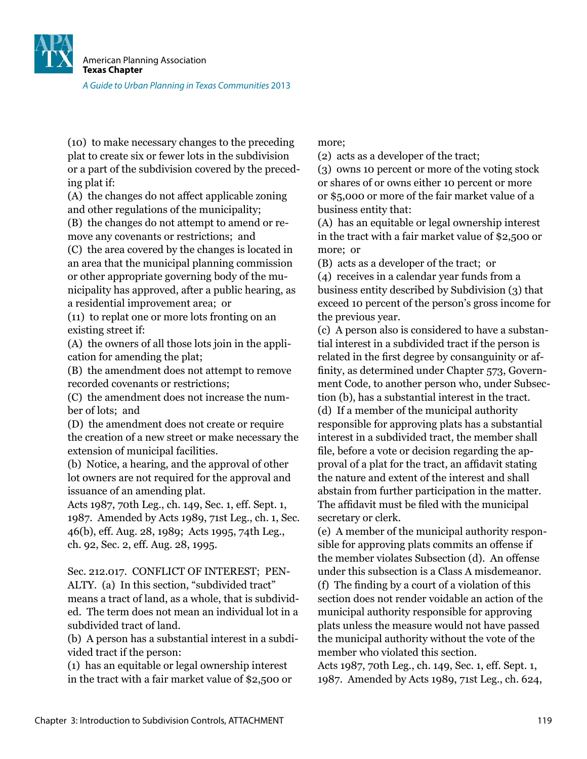![](_page_42_Picture_0.jpeg)

(10) to make necessary changes to the preceding plat to create six or fewer lots in the subdivision or a part of the subdivision covered by the preceding plat if:

(A) the changes do not affect applicable zoning and other regulations of the municipality;

(B) the changes do not attempt to amend or remove any covenants or restrictions; and

(C) the area covered by the changes is located in an area that the municipal planning commission or other appropriate governing body of the municipality has approved, after a public hearing, as a residential improvement area; or

(11) to replat one or more lots fronting on an existing street if:

(A) the owners of all those lots join in the application for amending the plat;

(B) the amendment does not attempt to remove recorded covenants or restrictions;

(C) the amendment does not increase the number of lots; and

(D) the amendment does not create or require the creation of a new street or make necessary the extension of municipal facilities.

(b) Notice, a hearing, and the approval of other lot owners are not required for the approval and issuance of an amending plat.

Acts 1987, 70th Leg., ch. 149, Sec. 1, eff. Sept. 1, 1987. Amended by Acts 1989, 71st Leg., ch. 1, Sec. 46(b), eff. Aug. 28, 1989; Acts 1995, 74th Leg., ch. 92, Sec. 2, eff. Aug. 28, 1995.

Sec. 212.017. CONFLICT OF INTEREST; PEN-ALTY. (a) In this section, "subdivided tract" means a tract of land, as a whole, that is subdivided. The term does not mean an individual lot in a subdivided tract of land.

(b) A person has a substantial interest in a subdivided tract if the person:

(1) has an equitable or legal ownership interest in the tract with a fair market value of \$2,500 or more;

(2) acts as a developer of the tract;

(3) owns 10 percent or more of the voting stock or shares of or owns either 10 percent or more or \$5,000 or more of the fair market value of a business entity that:

(A) has an equitable or legal ownership interest in the tract with a fair market value of \$2,500 or more; or

(B) acts as a developer of the tract; or

(4) receives in a calendar year funds from a business entity described by Subdivision (3) that exceed 10 percent of the person's gross income for the previous year.

(c) A person also is considered to have a substantial interest in a subdivided tract if the person is related in the first degree by consanguinity or affinity, as determined under Chapter 573, Government Code, to another person who, under Subsection (b), has a substantial interest in the tract. (d) If a member of the municipal authority responsible for approving plats has a substantial interest in a subdivided tract, the member shall file, before a vote or decision regarding the approval of a plat for the tract, an afidavit stating the nature and extent of the interest and shall abstain from further participation in the matter. The affidavit must be filed with the municipal secretary or clerk.

(e) A member of the municipal authority responsible for approving plats commits an offense if the member violates Subsection (d). An offense under this subsection is a Class A misdemeanor. (f) The inding by a court of a violation of this section does not render voidable an action of the municipal authority responsible for approving plats unless the measure would not have passed the municipal authority without the vote of the member who violated this section.

Acts 1987, 70th Leg., ch. 149, Sec. 1, eff. Sept. 1, 1987. Amended by Acts 1989, 71st Leg., ch. 624,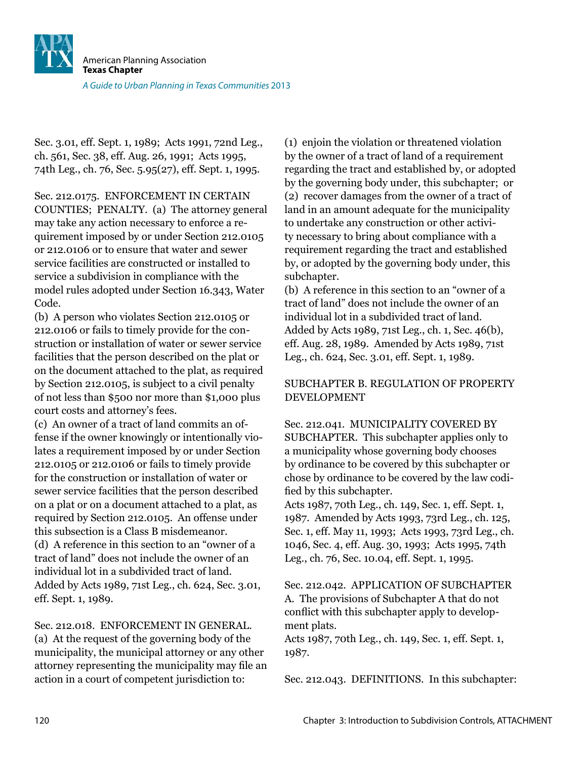Sec. 3.01, eff. Sept. 1, 1989; Acts 1991, 72nd Leg., ch. 561, Sec. 38, eff. Aug. 26, 1991; Acts 1995, 74th Leg., ch. 76, Sec. 5.95(27), eff. Sept. 1, 1995.

Sec. 212.0175. ENFORCEMENT IN CERTAIN COUNTIES; PENALTY. (a) The attorney general may take any action necessary to enforce a requirement imposed by or under Section 212.0105 or 212.0106 or to ensure that water and sewer service facilities are constructed or installed to service a subdivision in compliance with the model rules adopted under Section 16.343, Water Code.

(b) A person who violates Section 212.0105 or 212.0106 or fails to timely provide for the construction or installation of water or sewer service facilities that the person described on the plat or on the document attached to the plat, as required by Section 212.0105, is subject to a civil penalty of not less than \$500 nor more than \$1,000 plus court costs and attorney's fees.

(c) An owner of a tract of land commits an offense if the owner knowingly or intentionally violates a requirement imposed by or under Section 212.0105 or 212.0106 or fails to timely provide for the construction or installation of water or sewer service facilities that the person described on a plat or on a document attached to a plat, as required by Section 212.0105. An offense under this subsection is a Class B misdemeanor. (d) A reference in this section to an "owner of a tract of land" does not include the owner of an individual lot in a subdivided tract of land. Added by Acts 1989, 71st Leg., ch. 624, Sec. 3.01, eff. Sept. 1, 1989.

Sec. 212.018. ENFORCEMENT IN GENERAL.

(a) At the request of the governing body of the municipality, the municipal attorney or any other attorney representing the municipality may ile an action in a court of competent jurisdiction to:

(1) enjoin the violation or threatened violation by the owner of a tract of land of a requirement regarding the tract and established by, or adopted by the governing body under, this subchapter; or (2) recover damages from the owner of a tract of land in an amount adequate for the municipality to undertake any construction or other activity necessary to bring about compliance with a requirement regarding the tract and established by, or adopted by the governing body under, this subchapter.

(b) A reference in this section to an "owner of a tract of land" does not include the owner of an individual lot in a subdivided tract of land. Added by Acts 1989, 71st Leg., ch. 1, Sec. 46(b), eff. Aug. 28, 1989. Amended by Acts 1989, 71st Leg., ch. 624, Sec. 3.01, eff. Sept. 1, 1989.

#### SUBCHAPTER B. REGULATION OF PROPERTY DEVELOPMENT

Sec. 212.041. MUNICIPALITY COVERED BY SUBCHAPTER. This subchapter applies only to a municipality whose governing body chooses by ordinance to be covered by this subchapter or chose by ordinance to be covered by the law codified by this subchapter.

Acts 1987, 70th Leg., ch. 149, Sec. 1, eff. Sept. 1, 1987. Amended by Acts 1993, 73rd Leg., ch. 125, Sec. 1, eff. May 11, 1993; Acts 1993, 73rd Leg., ch. 1046, Sec. 4, eff. Aug. 30, 1993; Acts 1995, 74th Leg., ch. 76, Sec. 10.04, eff. Sept. 1, 1995.

#### Sec. 212.042. APPLICATION OF SUBCHAPTER A. The provisions of Subchapter A that do not conflict with this subchapter apply to development plats.

Acts 1987, 70th Leg., ch. 149, Sec. 1, eff. Sept. 1, 1987.

Sec. 212.043. DEFINITIONS. In this subchapter: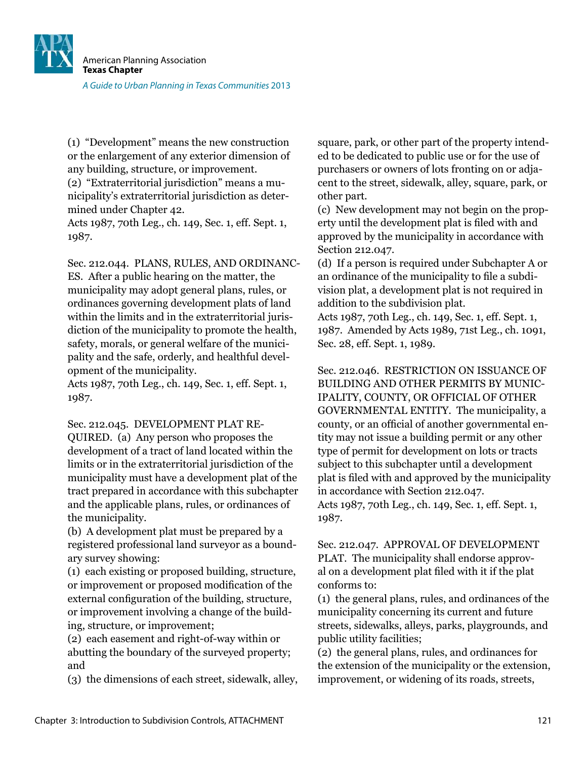![](_page_44_Picture_0.jpeg)

(1) "Development" means the new construction or the enlargement of any exterior dimension of any building, structure, or improvement.

(2) "Extraterritorial jurisdiction" means a municipality's extraterritorial jurisdiction as determined under Chapter 42.

Acts 1987, 70th Leg., ch. 149, Sec. 1, eff. Sept. 1, 1987.

Sec. 212.044. PLANS, RULES, AND ORDINANC-ES. After a public hearing on the matter, the municipality may adopt general plans, rules, or ordinances governing development plats of land within the limits and in the extraterritorial jurisdiction of the municipality to promote the health, safety, morals, or general welfare of the municipality and the safe, orderly, and healthful development of the municipality.

Acts 1987, 70th Leg., ch. 149, Sec. 1, eff. Sept. 1, 1987.

Sec. 212.045. DEVELOPMENT PLAT RE-

QUIRED. (a) Any person who proposes the development of a tract of land located within the limits or in the extraterritorial jurisdiction of the municipality must have a development plat of the tract prepared in accordance with this subchapter and the applicable plans, rules, or ordinances of the municipality.

(b) A development plat must be prepared by a registered professional land surveyor as a boundary survey showing:

(1) each existing or proposed building, structure, or improvement or proposed modiication of the external configuration of the building, structure, or improvement involving a change of the building, structure, or improvement;

(2) each easement and right-of-way within or abutting the boundary of the surveyed property; and

(3) the dimensions of each street, sidewalk, alley,

square, park, or other part of the property intended to be dedicated to public use or for the use of purchasers or owners of lots fronting on or adjacent to the street, sidewalk, alley, square, park, or other part.

(c) New development may not begin on the property until the development plat is filed with and approved by the municipality in accordance with Section 212.047.

(d) If a person is required under Subchapter A or an ordinance of the municipality to file a subdivision plat, a development plat is not required in addition to the subdivision plat.

Acts 1987, 70th Leg., ch. 149, Sec. 1, eff. Sept. 1, 1987. Amended by Acts 1989, 71st Leg., ch. 1091, Sec. 28, eff. Sept. 1, 1989.

Sec. 212.046. RESTRICTION ON ISSUANCE OF BUILDING AND OTHER PERMITS BY MUNIC-IPALITY, COUNTY, OR OFFICIAL OF OTHER GOVERNMENTAL ENTITY. The municipality, a county, or an oficial of another governmental entity may not issue a building permit or any other type of permit for development on lots or tracts subject to this subchapter until a development plat is iled with and approved by the municipality in accordance with Section 212.047. Acts 1987, 70th Leg., ch. 149, Sec. 1, eff. Sept. 1, 1987.

Sec. 212.047. APPROVAL OF DEVELOPMENT PLAT. The municipality shall endorse approval on a development plat filed with it if the plat conforms to:

(1) the general plans, rules, and ordinances of the municipality concerning its current and future streets, sidewalks, alleys, parks, playgrounds, and public utility facilities;

(2) the general plans, rules, and ordinances for the extension of the municipality or the extension, improvement, or widening of its roads, streets,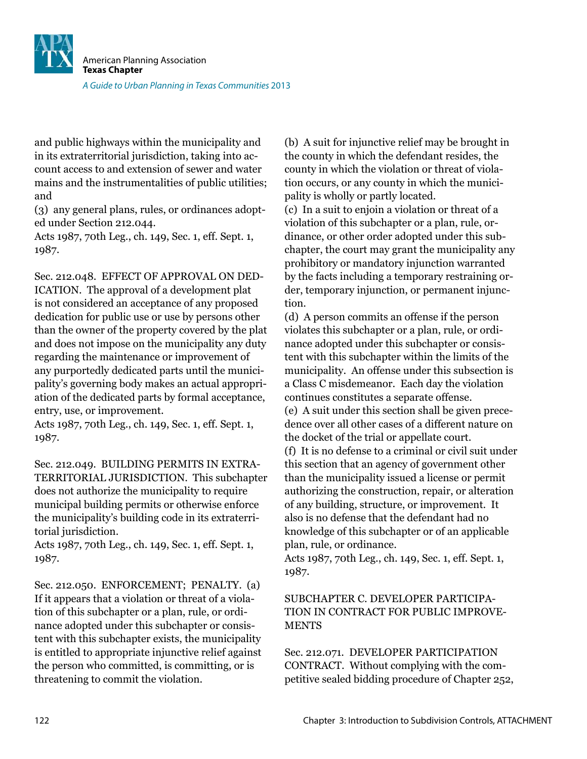![](_page_45_Picture_0.jpeg)

and public highways within the municipality and in its extraterritorial jurisdiction, taking into account access to and extension of sewer and water mains and the instrumentalities of public utilities; and

(3) any general plans, rules, or ordinances adopted under Section 212.044.

Acts 1987, 70th Leg., ch. 149, Sec. 1, eff. Sept. 1, 1987.

Sec. 212.048. EFFECT OF APPROVAL ON DED-ICATION. The approval of a development plat is not considered an acceptance of any proposed dedication for public use or use by persons other than the owner of the property covered by the plat and does not impose on the municipality any duty regarding the maintenance or improvement of any purportedly dedicated parts until the municipality's governing body makes an actual appropriation of the dedicated parts by formal acceptance, entry, use, or improvement.

Acts 1987, 70th Leg., ch. 149, Sec. 1, eff. Sept. 1, 1987.

Sec. 212.049. BUILDING PERMITS IN EXTRA-TERRITORIAL JURISDICTION. This subchapter does not authorize the municipality to require municipal building permits or otherwise enforce the municipality's building code in its extraterritorial jurisdiction.

Acts 1987, 70th Leg., ch. 149, Sec. 1, eff. Sept. 1, 1987.

Sec. 212.050. ENFORCEMENT; PENALTY. (a) If it appears that a violation or threat of a violation of this subchapter or a plan, rule, or ordinance adopted under this subchapter or consistent with this subchapter exists, the municipality is entitled to appropriate injunctive relief against the person who committed, is committing, or is threatening to commit the violation.

(b) A suit for injunctive relief may be brought in the county in which the defendant resides, the county in which the violation or threat of violation occurs, or any county in which the municipality is wholly or partly located.

(c) In a suit to enjoin a violation or threat of a violation of this subchapter or a plan, rule, ordinance, or other order adopted under this subchapter, the court may grant the municipality any prohibitory or mandatory injunction warranted by the facts including a temporary restraining order, temporary injunction, or permanent injunction.

(d) A person commits an offense if the person violates this subchapter or a plan, rule, or ordinance adopted under this subchapter or consistent with this subchapter within the limits of the municipality. An offense under this subsection is a Class C misdemeanor. Each day the violation continues constitutes a separate offense.

(e) A suit under this section shall be given precedence over all other cases of a different nature on the docket of the trial or appellate court.

(f) It is no defense to a criminal or civil suit under this section that an agency of government other than the municipality issued a license or permit authorizing the construction, repair, or alteration of any building, structure, or improvement. It also is no defense that the defendant had no knowledge of this subchapter or of an applicable plan, rule, or ordinance.

Acts 1987, 70th Leg., ch. 149, Sec. 1, eff. Sept. 1, 1987.

#### SUBCHAPTER C. DEVELOPER PARTICIPA-TION IN CONTRACT FOR PUBLIC IMPROVE-**MENTS**

Sec. 212.071. DEVELOPER PARTICIPATION CONTRACT. Without complying with the competitive sealed bidding procedure of Chapter 252,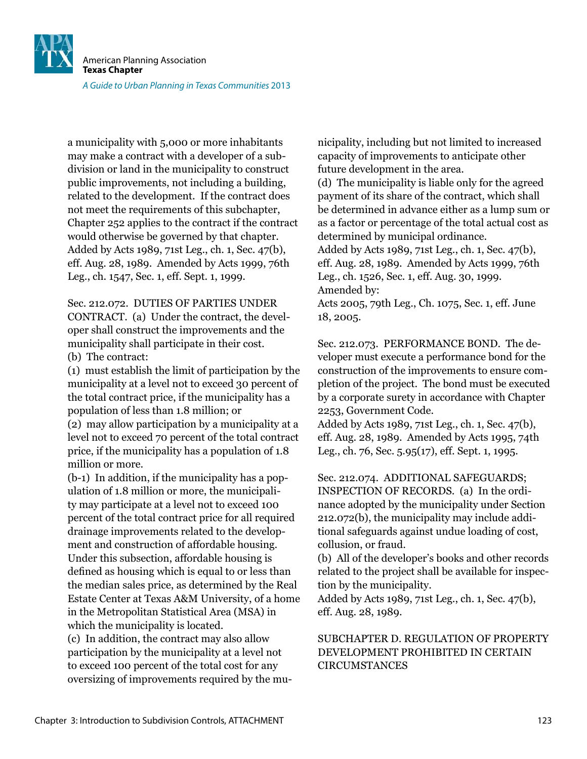![](_page_46_Picture_0.jpeg)

a municipality with 5,000 or more inhabitants may make a contract with a developer of a subdivision or land in the municipality to construct public improvements, not including a building, related to the development. If the contract does not meet the requirements of this subchapter, Chapter 252 applies to the contract if the contract would otherwise be governed by that chapter. Added by Acts 1989, 71st Leg., ch. 1, Sec. 47(b), eff. Aug. 28, 1989. Amended by Acts 1999, 76th Leg., ch. 1547, Sec. 1, eff. Sept. 1, 1999.

Sec. 212.072. DUTIES OF PARTIES UNDER CONTRACT. (a) Under the contract, the developer shall construct the improvements and the municipality shall participate in their cost.

(b) The contract:

(1) must establish the limit of participation by the municipality at a level not to exceed 30 percent of the total contract price, if the municipality has a population of less than 1.8 million; or

(2) may allow participation by a municipality at a level not to exceed 70 percent of the total contract price, if the municipality has a population of 1.8 million or more.

(b-1) In addition, if the municipality has a population of 1.8 million or more, the municipality may participate at a level not to exceed 100 percent of the total contract price for all required drainage improvements related to the development and construction of affordable housing. Under this subsection, affordable housing is defined as housing which is equal to or less than the median sales price, as determined by the Real Estate Center at Texas A&M University, of a home in the Metropolitan Statistical Area (MSA) in which the municipality is located.

(c) In addition, the contract may also allow participation by the municipality at a level not to exceed 100 percent of the total cost for any oversizing of improvements required by the municipality, including but not limited to increased capacity of improvements to anticipate other future development in the area.

(d) The municipality is liable only for the agreed payment of its share of the contract, which shall be determined in advance either as a lump sum or as a factor or percentage of the total actual cost as determined by municipal ordinance.

Added by Acts 1989, 71st Leg., ch. 1, Sec. 47(b), eff. Aug. 28, 1989. Amended by Acts 1999, 76th Leg., ch. 1526, Sec. 1, eff. Aug. 30, 1999.

Amended by:

Acts 2005, 79th Leg., Ch. 1075, Sec. 1, eff. June 18, 2005.

Sec. 212.073. PERFORMANCE BOND. The developer must execute a performance bond for the construction of the improvements to ensure completion of the project. The bond must be executed by a corporate surety in accordance with Chapter 2253, Government Code.

Added by Acts 1989, 71st Leg., ch. 1, Sec. 47(b), eff. Aug. 28, 1989. Amended by Acts 1995, 74th Leg., ch. 76, Sec. 5.95(17), eff. Sept. 1, 1995.

Sec. 212.074. ADDITIONAL SAFEGUARDS; INSPECTION OF RECORDS. (a) In the ordinance adopted by the municipality under Section 212.072(b), the municipality may include additional safeguards against undue loading of cost, collusion, or fraud.

(b) All of the developer's books and other records related to the project shall be available for inspection by the municipality.

Added by Acts 1989, 71st Leg., ch. 1, Sec. 47(b), eff. Aug. 28, 1989.

#### SUBCHAPTER D. REGULATION OF PROPERTY DEVELOPMENT PROHIBITED IN CERTAIN CIRCUMSTANCES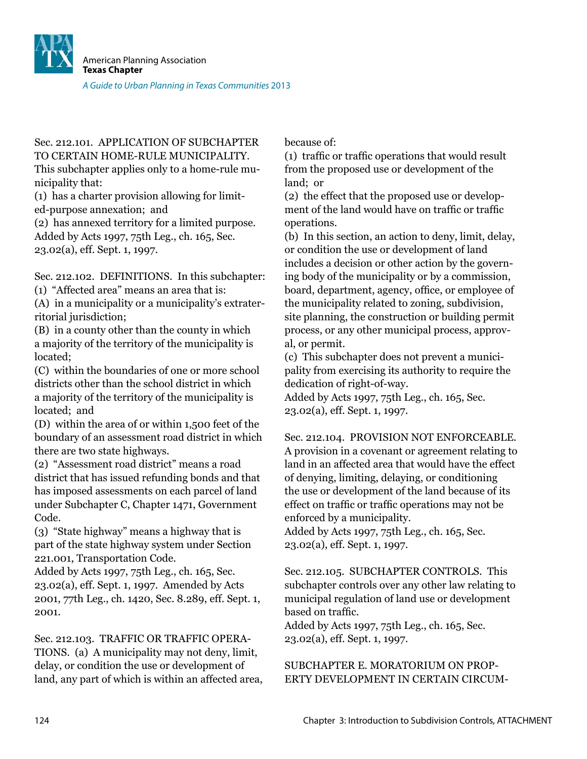![](_page_47_Picture_0.jpeg)

Sec. 212.101. APPLICATION OF SUBCHAPTER TO CERTAIN HOME-RULE MUNICIPALITY. This subchapter applies only to a home-rule municipality that:

(1) has a charter provision allowing for limited-purpose annexation; and

(2) has annexed territory for a limited purpose. Added by Acts 1997, 75th Leg., ch. 165, Sec. 23.02(a), eff. Sept. 1, 1997.

Sec. 212.102. DEFINITIONS. In this subchapter:

(1) "Affected area" means an area that is:

(A) in a municipality or a municipality's extraterritorial jurisdiction;

(B) in a county other than the county in which a majority of the territory of the municipality is located;

(C) within the boundaries of one or more school districts other than the school district in which a majority of the territory of the municipality is located; and

(D) within the area of or within 1,500 feet of the boundary of an assessment road district in which there are two state highways.

(2) "Assessment road district" means a road district that has issued refunding bonds and that has imposed assessments on each parcel of land under Subchapter C, Chapter 1471, Government Code.

(3) "State highway" means a highway that is part of the state highway system under Section 221.001, Transportation Code.

Added by Acts 1997, 75th Leg., ch. 165, Sec. 23.02(a), eff. Sept. 1, 1997. Amended by Acts 2001, 77th Leg., ch. 1420, Sec. 8.289, eff. Sept. 1, 2001.

Sec. 212.103. TRAFFIC OR TRAFFIC OPERA-TIONS. (a) A municipality may not deny, limit, delay, or condition the use or development of land, any part of which is within an affected area, because of:

(1) trafic or trafic operations that would result from the proposed use or development of the land; or

(2) the effect that the proposed use or development of the land would have on trafic or trafic operations.

(b) In this section, an action to deny, limit, delay, or condition the use or development of land includes a decision or other action by the governing body of the municipality or by a commission, board, department, agency, ofice, or employee of the municipality related to zoning, subdivision, site planning, the construction or building permit process, or any other municipal process, approval, or permit.

(c) This subchapter does not prevent a municipality from exercising its authority to require the dedication of right-of-way.

Added by Acts 1997, 75th Leg., ch. 165, Sec. 23.02(a), eff. Sept. 1, 1997.

Sec. 212.104. PROVISION NOT ENFORCEABLE. A provision in a covenant or agreement relating to land in an affected area that would have the effect of denying, limiting, delaying, or conditioning the use or development of the land because of its effect on trafic or trafic operations may not be enforced by a municipality.

Added by Acts 1997, 75th Leg., ch. 165, Sec. 23.02(a), eff. Sept. 1, 1997.

Sec. 212.105. SUBCHAPTER CONTROLS. This subchapter controls over any other law relating to municipal regulation of land use or development based on trafic.

Added by Acts 1997, 75th Leg., ch. 165, Sec. 23.02(a), eff. Sept. 1, 1997.

### SUBCHAPTER E. MORATORIUM ON PROP-ERTY DEVELOPMENT IN CERTAIN CIRCUM-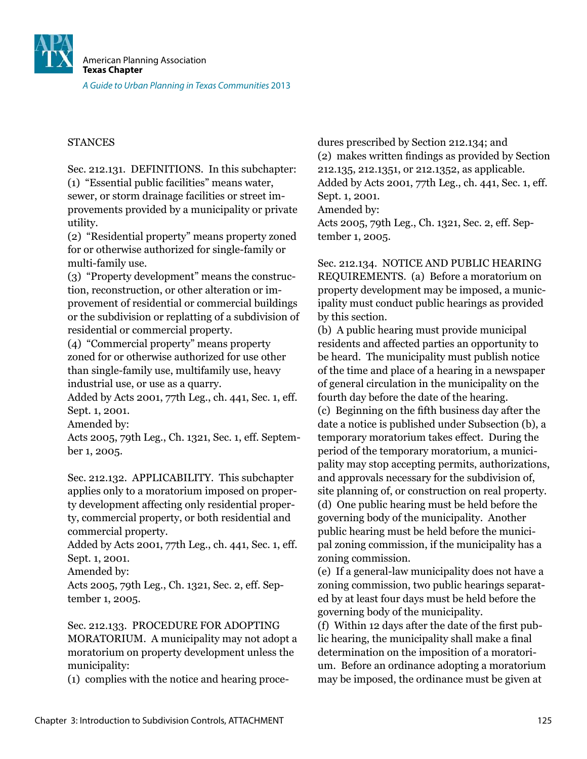![](_page_48_Picture_0.jpeg)

#### **STANCES**

Sec. 212.131. DEFINITIONS. In this subchapter: (1) "Essential public facilities" means water, sewer, or storm drainage facilities or street improvements provided by a municipality or private utility.

(2) "Residential property" means property zoned for or otherwise authorized for single-family or multi-family use.

(3) "Property development" means the construction, reconstruction, or other alteration or improvement of residential or commercial buildings or the subdivision or replatting of a subdivision of residential or commercial property.

(4) "Commercial property" means property zoned for or otherwise authorized for use other than single-family use, multifamily use, heavy industrial use, or use as a quarry.

Added by Acts 2001, 77th Leg., ch. 441, Sec. 1, eff. Sept. 1, 2001.

Amended by:

Acts 2005, 79th Leg., Ch. 1321, Sec. 1, eff. September 1, 2005.

Sec. 212.132. APPLICABILITY. This subchapter applies only to a moratorium imposed on property development affecting only residential property, commercial property, or both residential and commercial property.

Added by Acts 2001, 77th Leg., ch. 441, Sec. 1, eff. Sept. 1, 2001.

Amended by:

Acts 2005, 79th Leg., Ch. 1321, Sec. 2, eff. September 1, 2005.

Sec. 212.133. PROCEDURE FOR ADOPTING

MORATORIUM. A municipality may not adopt a moratorium on property development unless the municipality:

(1) complies with the notice and hearing proce-

dures prescribed by Section 212.134; and (2) makes written indings as provided by Section 212.135, 212.1351, or 212.1352, as applicable. Added by Acts 2001, 77th Leg., ch. 441, Sec. 1, eff. Sept. 1, 2001. Amended by: Acts 2005, 79th Leg., Ch. 1321, Sec. 2, eff. September 1, 2005.

Sec. 212.134. NOTICE AND PUBLIC HEARING REQUIREMENTS. (a) Before a moratorium on property development may be imposed, a municipality must conduct public hearings as provided by this section.

(b) A public hearing must provide municipal residents and affected parties an opportunity to be heard. The municipality must publish notice of the time and place of a hearing in a newspaper of general circulation in the municipality on the fourth day before the date of the hearing. (c) Beginning on the ifth business day after the date a notice is published under Subsection (b), a temporary moratorium takes effect. During the period of the temporary moratorium, a municipality may stop accepting permits, authorizations, and approvals necessary for the subdivision of, site planning of, or construction on real property. (d) One public hearing must be held before the governing body of the municipality. Another public hearing must be held before the municipal zoning commission, if the municipality has a zoning commission.

(e) If a general-law municipality does not have a zoning commission, two public hearings separated by at least four days must be held before the governing body of the municipality.

(f) Within 12 days after the date of the first public hearing, the municipality shall make a final determination on the imposition of a moratorium. Before an ordinance adopting a moratorium may be imposed, the ordinance must be given at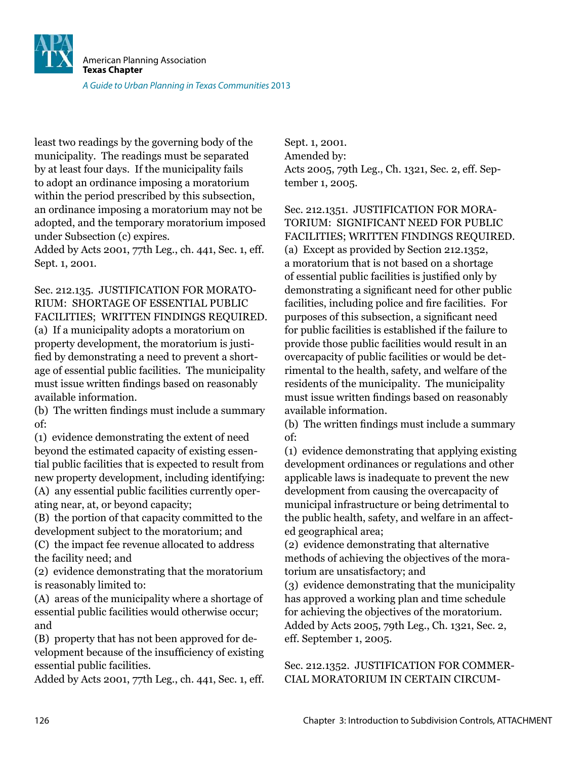![](_page_49_Picture_0.jpeg)

least two readings by the governing body of the municipality. The readings must be separated by at least four days. If the municipality fails to adopt an ordinance imposing a moratorium within the period prescribed by this subsection, an ordinance imposing a moratorium may not be adopted, and the temporary moratorium imposed under Subsection (c) expires.

Added by Acts 2001, 77th Leg., ch. 441, Sec. 1, eff. Sept. 1, 2001.

Sec. 212.135. JUSTIFICATION FOR MORATO-RIUM: SHORTAGE OF ESSENTIAL PUBLIC FACILITIES; WRITTEN FINDINGS REQUIRED. (a) If a municipality adopts a moratorium on property development, the moratorium is justified by demonstrating a need to prevent a shortage of essential public facilities. The municipality must issue written findings based on reasonably available information.

(b) The written findings must include a summary of:

(1) evidence demonstrating the extent of need beyond the estimated capacity of existing essential public facilities that is expected to result from new property development, including identifying: (A) any essential public facilities currently operating near, at, or beyond capacity;

(B) the portion of that capacity committed to the development subject to the moratorium; and

(C) the impact fee revenue allocated to address the facility need; and

(2) evidence demonstrating that the moratorium is reasonably limited to:

(A) areas of the municipality where a shortage of essential public facilities would otherwise occur; and

(B) property that has not been approved for development because of the insuficiency of existing essential public facilities.

Added by Acts 2001, 77th Leg., ch. 441, Sec. 1, eff.

Sept. 1, 2001. Amended by: Acts 2005, 79th Leg., Ch. 1321, Sec. 2, eff. September 1, 2005.

Sec. 212.1351. JUSTIFICATION FOR MORA-TORIUM: SIGNIFICANT NEED FOR PUBLIC FACILITIES; WRITTEN FINDINGS REQUIRED. (a) Except as provided by Section 212.1352, a moratorium that is not based on a shortage of essential public facilities is justiied only by demonstrating a significant need for other public facilities, including police and ire facilities. For purposes of this subsection, a significant need for public facilities is established if the failure to provide those public facilities would result in an overcapacity of public facilities or would be detrimental to the health, safety, and welfare of the residents of the municipality. The municipality must issue written findings based on reasonably available information.

(b) The written findings must include a summary of:

(1) evidence demonstrating that applying existing development ordinances or regulations and other applicable laws is inadequate to prevent the new development from causing the overcapacity of municipal infrastructure or being detrimental to the public health, safety, and welfare in an affected geographical area;

(2) evidence demonstrating that alternative methods of achieving the objectives of the moratorium are unsatisfactory; and

(3) evidence demonstrating that the municipality has approved a working plan and time schedule for achieving the objectives of the moratorium. Added by Acts 2005, 79th Leg., Ch. 1321, Sec. 2, eff. September 1, 2005.

Sec. 212.1352. JUSTIFICATION FOR COMMER-CIAL MORATORIUM IN CERTAIN CIRCUM-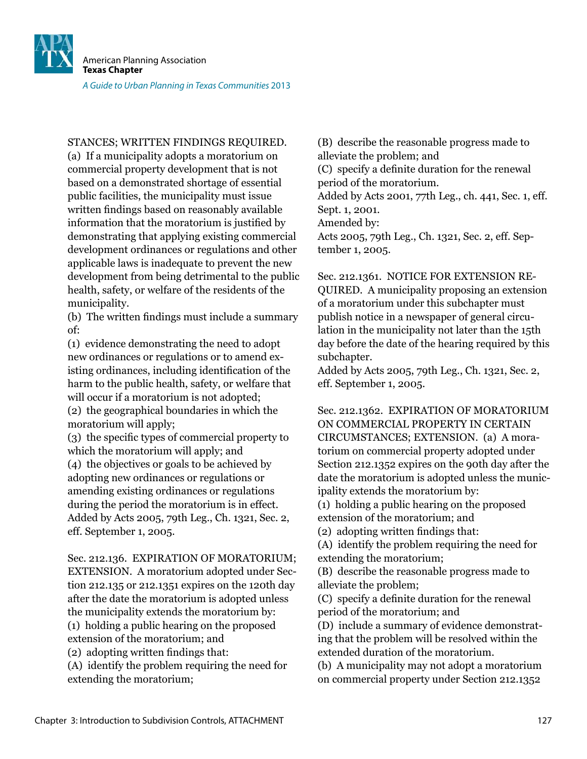![](_page_50_Picture_0.jpeg)

STANCES; WRITTEN FINDINGS REQUIRED.

(a) If a municipality adopts a moratorium on commercial property development that is not based on a demonstrated shortage of essential public facilities, the municipality must issue written findings based on reasonably available information that the moratorium is justified by demonstrating that applying existing commercial development ordinances or regulations and other applicable laws is inadequate to prevent the new development from being detrimental to the public health, safety, or welfare of the residents of the municipality.

(b) The written findings must include a summary of:

(1) evidence demonstrating the need to adopt new ordinances or regulations or to amend existing ordinances, including identification of the harm to the public health, safety, or welfare that will occur if a moratorium is not adopted: (2) the geographical boundaries in which the moratorium will apply;

(3) the speciic types of commercial property to which the moratorium will apply; and

(4) the objectives or goals to be achieved by adopting new ordinances or regulations or amending existing ordinances or regulations during the period the moratorium is in effect. Added by Acts 2005, 79th Leg., Ch. 1321, Sec. 2, eff. September 1, 2005.

Sec. 212.136. EXPIRATION OF MORATORIUM; EXTENSION. A moratorium adopted under Section 212.135 or 212.1351 expires on the 120th day after the date the moratorium is adopted unless the municipality extends the moratorium by: (1) holding a public hearing on the proposed

extension of the moratorium; and

(2) adopting written findings that:

(A) identify the problem requiring the need for extending the moratorium;

(B) describe the reasonable progress made to alleviate the problem; and

(C) specify a deinite duration for the renewal period of the moratorium.

Added by Acts 2001, 77th Leg., ch. 441, Sec. 1, eff. Sept. 1, 2001.

Amended by:

Acts 2005, 79th Leg., Ch. 1321, Sec. 2, eff. September 1, 2005.

Sec. 212.1361. NOTICE FOR EXTENSION RE-QUIRED. A municipality proposing an extension of a moratorium under this subchapter must publish notice in a newspaper of general circulation in the municipality not later than the 15th day before the date of the hearing required by this subchapter.

Added by Acts 2005, 79th Leg., Ch. 1321, Sec. 2, eff. September 1, 2005.

Sec. 212.1362. EXPIRATION OF MORATORIUM ON COMMERCIAL PROPERTY IN CERTAIN CIRCUMSTANCES; EXTENSION. (a) A moratorium on commercial property adopted under Section 212.1352 expires on the 90th day after the date the moratorium is adopted unless the municipality extends the moratorium by:

(1) holding a public hearing on the proposed extension of the moratorium; and

(2) adopting written findings that:

(A) identify the problem requiring the need for extending the moratorium;

(B) describe the reasonable progress made to alleviate the problem;

(C) specify a deinite duration for the renewal period of the moratorium; and

(D) include a summary of evidence demonstrating that the problem will be resolved within the extended duration of the moratorium.

(b) A municipality may not adopt a moratorium on commercial property under Section 212.1352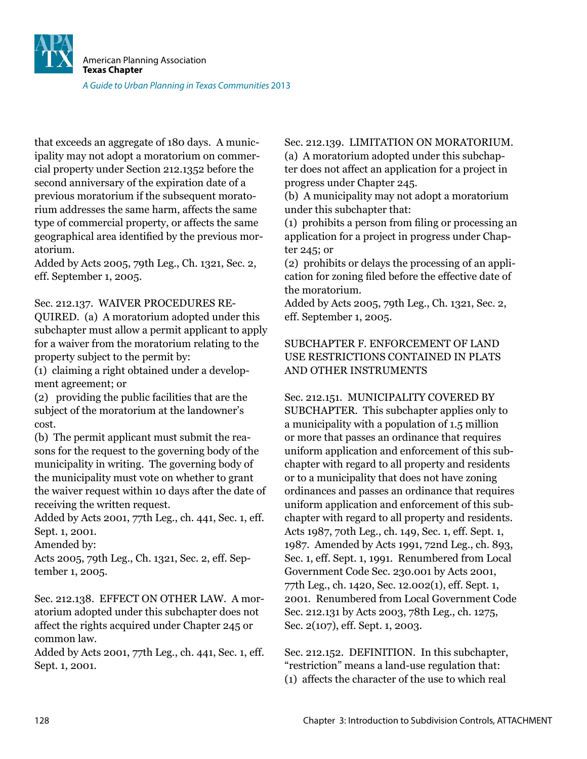![](_page_51_Picture_0.jpeg)

that exceeds an aggregate of 180 days. A municipality may not adopt a moratorium on commercial property under Section 212.1352 before the second anniversary of the expiration date of a previous moratorium if the subsequent moratorium addresses the same harm, affects the same type of commercial property, or affects the same geographical area identiied by the previous moratorium.

Added by Acts 2005, 79th Leg., Ch. 1321, Sec. 2, eff. September 1, 2005.

Sec. 212.137. WAIVER PROCEDURES RE-

QUIRED. (a) A moratorium adopted under this subchapter must allow a permit applicant to apply for a waiver from the moratorium relating to the property subject to the permit by:

(1) claiming a right obtained under a development agreement; or

(2) providing the public facilities that are the subject of the moratorium at the landowner's cost.

(b) The permit applicant must submit the reasons for the request to the governing body of the municipality in writing. The governing body of the municipality must vote on whether to grant the waiver request within 10 days after the date of receiving the written request.

Added by Acts 2001, 77th Leg., ch. 441, Sec. 1, eff. Sept. 1, 2001.

Amended by:

Acts 2005, 79th Leg., Ch. 1321, Sec. 2, eff. September 1, 2005.

Sec. 212.138. EFFECT ON OTHER LAW. A moratorium adopted under this subchapter does not affect the rights acquired under Chapter 245 or common law.

Added by Acts 2001, 77th Leg., ch. 441, Sec. 1, eff. Sept. 1, 2001.

### Sec. 212.139. LIMITATION ON MORATORIUM.

(a) A moratorium adopted under this subchapter does not affect an application for a project in progress under Chapter 245.

(b) A municipality may not adopt a moratorium under this subchapter that:

(1) prohibits a person from iling or processing an application for a project in progress under Chapter 245; or

(2) prohibits or delays the processing of an application for zoning filed before the effective date of the moratorium.

Added by Acts 2005, 79th Leg., Ch. 1321, Sec. 2, eff. September 1, 2005.

#### SUBCHAPTER F. ENFORCEMENT OF LAND USE RESTRICTIONS CONTAINED IN PLATS AND OTHER INSTRUMENTS

Sec. 212.151. MUNICIPALITY COVERED BY SUBCHAPTER. This subchapter applies only to a municipality with a population of 1.5 million or more that passes an ordinance that requires uniform application and enforcement of this subchapter with regard to all property and residents or to a municipality that does not have zoning ordinances and passes an ordinance that requires uniform application and enforcement of this subchapter with regard to all property and residents. Acts 1987, 70th Leg., ch. 149, Sec. 1, eff. Sept. 1, 1987. Amended by Acts 1991, 72nd Leg., ch. 893, Sec. 1, eff. Sept. 1, 1991. Renumbered from Local Government Code Sec. 230.001 by Acts 2001, 77th Leg., ch. 1420, Sec. 12.002(1), eff. Sept. 1, 2001. Renumbered from Local Government Code Sec. 212.131 by Acts 2003, 78th Leg., ch. 1275, Sec. 2(107), eff. Sept. 1, 2003.

Sec. 212.152. DEFINITION. In this subchapter, "restriction" means a land-use regulation that: (1) affects the character of the use to which real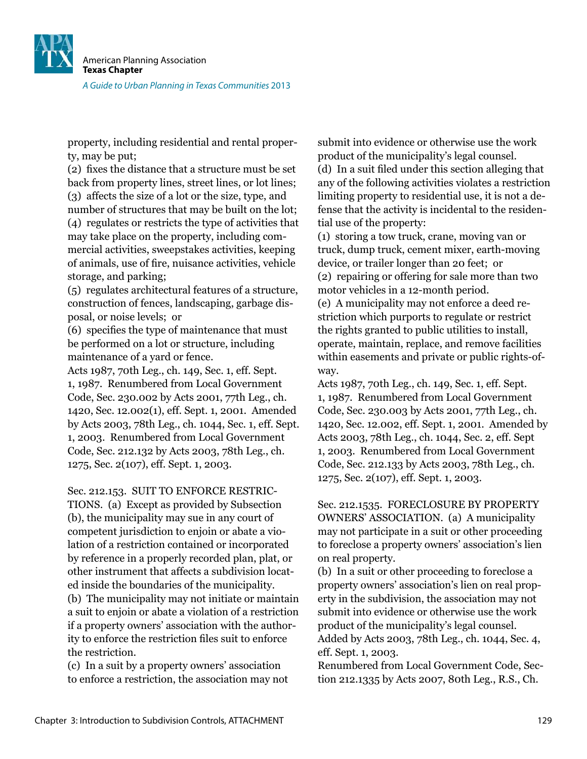![](_page_52_Picture_0.jpeg)

property, including residential and rental property, may be put;

(2) fixes the distance that a structure must be set back from property lines, street lines, or lot lines; (3) affects the size of a lot or the size, type, and number of structures that may be built on the lot; (4) regulates or restricts the type of activities that may take place on the property, including commercial activities, sweepstakes activities, keeping of animals, use of ire, nuisance activities, vehicle storage, and parking;

(5) regulates architectural features of a structure, construction of fences, landscaping, garbage disposal, or noise levels; or

(6) speciies the type of maintenance that must be performed on a lot or structure, including maintenance of a yard or fence.

Acts 1987, 70th Leg., ch. 149, Sec. 1, eff. Sept. 1, 1987. Renumbered from Local Government Code, Sec. 230.002 by Acts 2001, 77th Leg., ch. 1420, Sec. 12.002(1), eff. Sept. 1, 2001. Amended by Acts 2003, 78th Leg., ch. 1044, Sec. 1, eff. Sept. 1, 2003. Renumbered from Local Government Code, Sec. 212.132 by Acts 2003, 78th Leg., ch. 1275, Sec. 2(107), eff. Sept. 1, 2003.

Sec. 212.153. SUIT TO ENFORCE RESTRIC-

TIONS. (a) Except as provided by Subsection (b), the municipality may sue in any court of competent jurisdiction to enjoin or abate a violation of a restriction contained or incorporated by reference in a properly recorded plan, plat, or other instrument that affects a subdivision located inside the boundaries of the municipality. (b) The municipality may not initiate or maintain a suit to enjoin or abate a violation of a restriction if a property owners' association with the authority to enforce the restriction files suit to enforce the restriction.

(c) In a suit by a property owners' association to enforce a restriction, the association may not submit into evidence or otherwise use the work product of the municipality's legal counsel. (d) In a suit iled under this section alleging that any of the following activities violates a restriction limiting property to residential use, it is not a defense that the activity is incidental to the residential use of the property:

(1) storing a tow truck, crane, moving van or truck, dump truck, cement mixer, earth-moving device, or trailer longer than 20 feet; or (2) repairing or offering for sale more than two motor vehicles in a 12-month period.

(e) A municipality may not enforce a deed restriction which purports to regulate or restrict the rights granted to public utilities to install, operate, maintain, replace, and remove facilities within easements and private or public rights-ofway.

Acts 1987, 70th Leg., ch. 149, Sec. 1, eff. Sept. 1, 1987. Renumbered from Local Government Code, Sec. 230.003 by Acts 2001, 77th Leg., ch. 1420, Sec. 12.002, eff. Sept. 1, 2001. Amended by Acts 2003, 78th Leg., ch. 1044, Sec. 2, eff. Sept 1, 2003. Renumbered from Local Government Code, Sec. 212.133 by Acts 2003, 78th Leg., ch. 1275, Sec. 2(107), eff. Sept. 1, 2003.

Sec. 212.1535. FORECLOSURE BY PROPERTY OWNERS' ASSOCIATION. (a) A municipality may not participate in a suit or other proceeding to foreclose a property owners' association's lien on real property.

(b) In a suit or other proceeding to foreclose a property owners' association's lien on real property in the subdivision, the association may not submit into evidence or otherwise use the work product of the municipality's legal counsel. Added by Acts 2003, 78th Leg., ch. 1044, Sec. 4,

eff. Sept. 1, 2003.

Renumbered from Local Government Code, Section 212.1335 by Acts 2007, 80th Leg., R.S., Ch.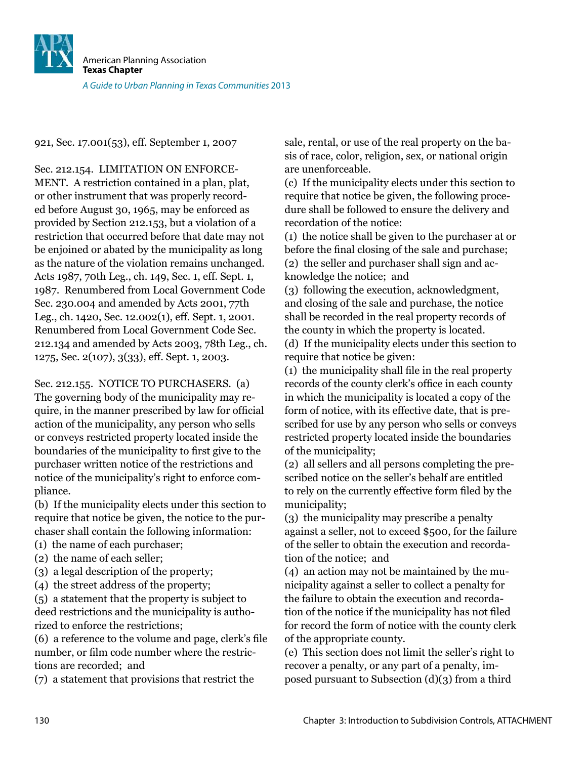![](_page_53_Picture_0.jpeg)

921, Sec. 17.001(53), eff. September 1, 2007

Sec. 212.154. LIMITATION ON ENFORCE-MENT. A restriction contained in a plan, plat, or other instrument that was properly recorded before August 30, 1965, may be enforced as provided by Section 212.153, but a violation of a restriction that occurred before that date may not be enjoined or abated by the municipality as long as the nature of the violation remains unchanged. Acts 1987, 70th Leg., ch. 149, Sec. 1, eff. Sept. 1, 1987. Renumbered from Local Government Code Sec. 230.004 and amended by Acts 2001, 77th Leg., ch. 1420, Sec. 12.002(1), eff. Sept. 1, 2001. Renumbered from Local Government Code Sec. 212.134 and amended by Acts 2003, 78th Leg., ch. 1275, Sec. 2(107), 3(33), eff. Sept. 1, 2003.

Sec. 212.155. NOTICE TO PURCHASERS. (a) The governing body of the municipality may require, in the manner prescribed by law for oficial action of the municipality, any person who sells or conveys restricted property located inside the boundaries of the municipality to first give to the purchaser written notice of the restrictions and notice of the municipality's right to enforce compliance.

(b) If the municipality elects under this section to require that notice be given, the notice to the purchaser shall contain the following information:

- (1) the name of each purchaser;
- (2) the name of each seller;
- (3) a legal description of the property;
- (4) the street address of the property;

(5) a statement that the property is subject to deed restrictions and the municipality is authorized to enforce the restrictions;

(6) a reference to the volume and page, clerk's ile number, or film code number where the restrictions are recorded; and

(7) a statement that provisions that restrict the

sale, rental, or use of the real property on the basis of race, color, religion, sex, or national origin are unenforceable.

(c) If the municipality elects under this section to require that notice be given, the following procedure shall be followed to ensure the delivery and recordation of the notice:

(1) the notice shall be given to the purchaser at or before the final closing of the sale and purchase; (2) the seller and purchaser shall sign and acknowledge the notice; and

(3) following the execution, acknowledgment, and closing of the sale and purchase, the notice shall be recorded in the real property records of the county in which the property is located. (d) If the municipality elects under this section to require that notice be given:

(1) the municipality shall ile in the real property records of the county clerk's ofice in each county in which the municipality is located a copy of the form of notice, with its effective date, that is prescribed for use by any person who sells or conveys restricted property located inside the boundaries of the municipality;

(2) all sellers and all persons completing the prescribed notice on the seller's behalf are entitled to rely on the currently effective form iled by the municipality;

(3) the municipality may prescribe a penalty against a seller, not to exceed \$500, for the failure of the seller to obtain the execution and recordation of the notice; and

(4) an action may not be maintained by the municipality against a seller to collect a penalty for the failure to obtain the execution and recordation of the notice if the municipality has not iled for record the form of notice with the county clerk of the appropriate county.

(e) This section does not limit the seller's right to recover a penalty, or any part of a penalty, imposed pursuant to Subsection (d)(3) from a third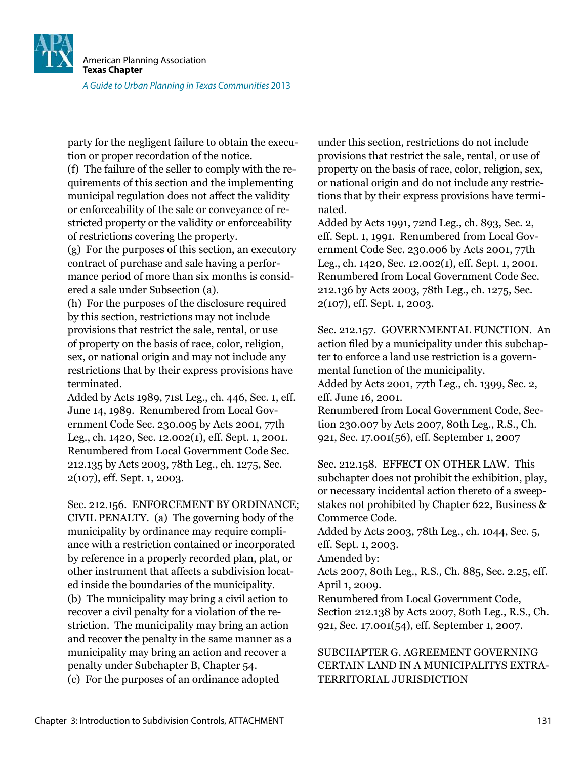![](_page_54_Picture_0.jpeg)

party for the negligent failure to obtain the execution or proper recordation of the notice.

(f) The failure of the seller to comply with the requirements of this section and the implementing municipal regulation does not affect the validity or enforceability of the sale or conveyance of restricted property or the validity or enforceability of restrictions covering the property.

(g) For the purposes of this section, an executory contract of purchase and sale having a performance period of more than six months is considered a sale under Subsection (a).

(h) For the purposes of the disclosure required by this section, restrictions may not include provisions that restrict the sale, rental, or use of property on the basis of race, color, religion, sex, or national origin and may not include any restrictions that by their express provisions have terminated.

Added by Acts 1989, 71st Leg., ch. 446, Sec. 1, eff. June 14, 1989. Renumbered from Local Government Code Sec. 230.005 by Acts 2001, 77th Leg., ch. 1420, Sec. 12.002(1), eff. Sept. 1, 2001. Renumbered from Local Government Code Sec. 212.135 by Acts 2003, 78th Leg., ch. 1275, Sec. 2(107), eff. Sept. 1, 2003.

Sec. 212.156. ENFORCEMENT BY ORDINANCE; CIVIL PENALTY. (a) The governing body of the municipality by ordinance may require compliance with a restriction contained or incorporated by reference in a properly recorded plan, plat, or other instrument that affects a subdivision located inside the boundaries of the municipality. (b) The municipality may bring a civil action to recover a civil penalty for a violation of the restriction. The municipality may bring an action and recover the penalty in the same manner as a municipality may bring an action and recover a penalty under Subchapter B, Chapter 54. (c) For the purposes of an ordinance adopted

under this section, restrictions do not include provisions that restrict the sale, rental, or use of property on the basis of race, color, religion, sex, or national origin and do not include any restrictions that by their express provisions have terminated.

Added by Acts 1991, 72nd Leg., ch. 893, Sec. 2, eff. Sept. 1, 1991. Renumbered from Local Government Code Sec. 230.006 by Acts 2001, 77th Leg., ch. 1420, Sec. 12.002(1), eff. Sept. 1, 2001. Renumbered from Local Government Code Sec. 212.136 by Acts 2003, 78th Leg., ch. 1275, Sec. 2(107), eff. Sept. 1, 2003.

Sec. 212.157. GOVERNMENTAL FUNCTION. An action filed by a municipality under this subchapter to enforce a land use restriction is a governmental function of the municipality. Added by Acts 2001, 77th Leg., ch. 1399, Sec. 2,

eff. June 16, 2001.

Renumbered from Local Government Code, Section 230.007 by Acts 2007, 80th Leg., R.S., Ch. 921, Sec. 17.001(56), eff. September 1, 2007

Sec. 212.158. EFFECT ON OTHER LAW. This subchapter does not prohibit the exhibition, play, or necessary incidental action thereto of a sweepstakes not prohibited by Chapter 622, Business & Commerce Code.

Added by Acts 2003, 78th Leg., ch. 1044, Sec. 5, eff. Sept. 1, 2003.

Amended by:

Acts 2007, 80th Leg., R.S., Ch. 885, Sec. 2.25, eff. April 1, 2009.

Renumbered from Local Government Code, Section 212.138 by Acts 2007, 80th Leg., R.S., Ch. 921, Sec. 17.001(54), eff. September 1, 2007.

### SUBCHAPTER G. AGREEMENT GOVERNING CERTAIN LAND IN A MUNICIPALITYS EXTRA-TERRITORIAL JURISDICTION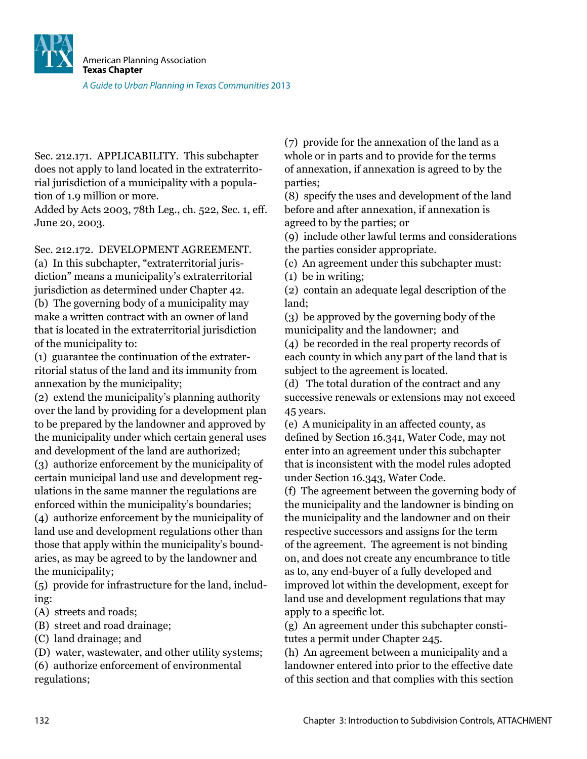![](_page_55_Picture_0.jpeg)

Sec. 212.171. APPLICABILITY. This subchapter does not apply to land located in the extraterritorial jurisdiction of a municipality with a population of 1.9 million or more.

Added by Acts 2003, 78th Leg., ch. 522, Sec. 1, eff. June 20, 2003.

Sec. 212.172. DEVELOPMENT AGREEMENT.

(a) In this subchapter, "extraterritorial jurisdiction" means a municipality's extraterritorial jurisdiction as determined under Chapter 42.

(b) The governing body of a municipality may make a written contract with an owner of land that is located in the extraterritorial jurisdiction of the municipality to:

(1) guarantee the continuation of the extraterritorial status of the land and its immunity from annexation by the municipality;

(2) extend the municipality's planning authority over the land by providing for a development plan to be prepared by the landowner and approved by the municipality under which certain general uses and development of the land are authorized;

(3) authorize enforcement by the municipality of certain municipal land use and development regulations in the same manner the regulations are enforced within the municipality's boundaries;

(4) authorize enforcement by the municipality of land use and development regulations other than those that apply within the municipality's boundaries, as may be agreed to by the landowner and the municipality;

(5) provide for infrastructure for the land, including:

(A) streets and roads;

(B) street and road drainage;

(C) land drainage; and

(D) water, wastewater, and other utility systems;

(6) authorize enforcement of environmental regulations;

(7) provide for the annexation of the land as a whole or in parts and to provide for the terms of annexation, if annexation is agreed to by the parties;

(8) specify the uses and development of the land before and after annexation, if annexation is agreed to by the parties; or

(9) include other lawful terms and considerations the parties consider appropriate.

(c) An agreement under this subchapter must:

(1) be in writing;

(2) contain an adequate legal description of the land;

(3) be approved by the governing body of the municipality and the landowner; and

(4) be recorded in the real property records of each county in which any part of the land that is subject to the agreement is located.

(d) The total duration of the contract and any successive renewals or extensions may not exceed 45 years.

(e) A municipality in an affected county, as defined by Section 16.341, Water Code, may not enter into an agreement under this subchapter that is inconsistent with the model rules adopted under Section 16.343, Water Code.

(f) The agreement between the governing body of the municipality and the landowner is binding on the municipality and the landowner and on their respective successors and assigns for the term of the agreement. The agreement is not binding on, and does not create any encumbrance to title as to, any end-buyer of a fully developed and improved lot within the development, except for land use and development regulations that may apply to a specific lot.

(g) An agreement under this subchapter constitutes a permit under Chapter 245.

(h) An agreement between a municipality and a landowner entered into prior to the effective date of this section and that complies with this section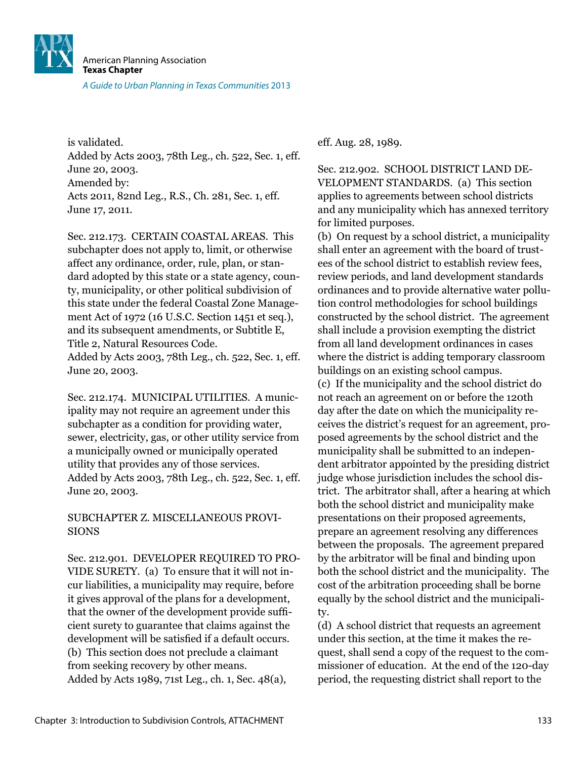![](_page_56_Picture_0.jpeg)

is validated. Added by Acts 2003, 78th Leg., ch. 522, Sec. 1, eff. June 20, 2003. Amended by: Acts 2011, 82nd Leg., R.S., Ch. 281, Sec. 1, eff. June 17, 2011.

Sec. 212.173. CERTAIN COASTAL AREAS. This subchapter does not apply to, limit, or otherwise affect any ordinance, order, rule, plan, or standard adopted by this state or a state agency, county, municipality, or other political subdivision of this state under the federal Coastal Zone Management Act of 1972 (16 U.S.C. Section 1451 et seq.), and its subsequent amendments, or Subtitle E, Title 2, Natural Resources Code. Added by Acts 2003, 78th Leg., ch. 522, Sec. 1, eff. June 20, 2003.

Sec. 212.174. MUNICIPAL UTILITIES. A municipality may not require an agreement under this subchapter as a condition for providing water, sewer, electricity, gas, or other utility service from a municipally owned or municipally operated utility that provides any of those services. Added by Acts 2003, 78th Leg., ch. 522, Sec. 1, eff. June 20, 2003.

#### SUBCHAPTER Z. MISCELLANEOUS PROVI-SIONS

Sec. 212.901. DEVELOPER REQUIRED TO PRO-VIDE SURETY. (a) To ensure that it will not incur liabilities, a municipality may require, before it gives approval of the plans for a development, that the owner of the development provide suficient surety to guarantee that claims against the development will be satisfied if a default occurs. (b) This section does not preclude a claimant from seeking recovery by other means. Added by Acts 1989, 71st Leg., ch. 1, Sec. 48(a),

eff. Aug. 28, 1989.

Sec. 212.902. SCHOOL DISTRICT LAND DE-VELOPMENT STANDARDS. (a) This section applies to agreements between school districts and any municipality which has annexed territory for limited purposes.

(b) On request by a school district, a municipality shall enter an agreement with the board of trustees of the school district to establish review fees, review periods, and land development standards ordinances and to provide alternative water pollution control methodologies for school buildings constructed by the school district. The agreement shall include a provision exempting the district from all land development ordinances in cases where the district is adding temporary classroom buildings on an existing school campus.

(c) If the municipality and the school district do not reach an agreement on or before the 120th day after the date on which the municipality receives the district's request for an agreement, proposed agreements by the school district and the municipality shall be submitted to an independent arbitrator appointed by the presiding district judge whose jurisdiction includes the school district. The arbitrator shall, after a hearing at which both the school district and municipality make presentations on their proposed agreements, prepare an agreement resolving any differences between the proposals. The agreement prepared by the arbitrator will be final and binding upon both the school district and the municipality. The cost of the arbitration proceeding shall be borne equally by the school district and the municipality.

(d) A school district that requests an agreement under this section, at the time it makes the request, shall send a copy of the request to the commissioner of education. At the end of the 120-day period, the requesting district shall report to the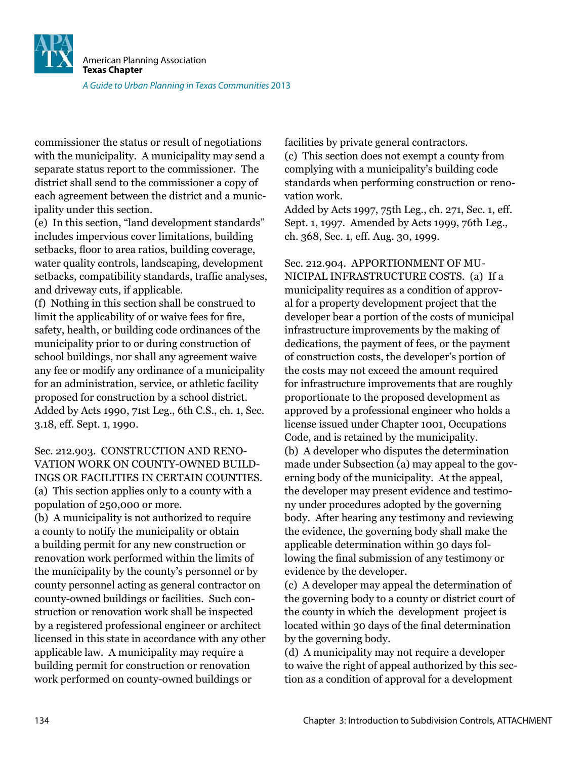![](_page_57_Picture_0.jpeg)

commissioner the status or result of negotiations with the municipality. A municipality may send a separate status report to the commissioner. The district shall send to the commissioner a copy of each agreement between the district and a municipality under this section.

(e) In this section, "land development standards" includes impervious cover limitations, building setbacks, floor to area ratios, building coverage, water quality controls, landscaping, development setbacks, compatibility standards, trafic analyses, and driveway cuts, if applicable.

(f) Nothing in this section shall be construed to limit the applicability of or waive fees for ire, safety, health, or building code ordinances of the municipality prior to or during construction of school buildings, nor shall any agreement waive any fee or modify any ordinance of a municipality for an administration, service, or athletic facility proposed for construction by a school district. Added by Acts 1990, 71st Leg., 6th C.S., ch. 1, Sec. 3.18, eff. Sept. 1, 1990.

Sec. 212.903. CONSTRUCTION AND RENO-VATION WORK ON COUNTY-OWNED BUILD-INGS OR FACILITIES IN CERTAIN COUNTIES. (a) This section applies only to a county with a population of 250,000 or more.

(b) A municipality is not authorized to require a county to notify the municipality or obtain a building permit for any new construction or renovation work performed within the limits of the municipality by the county's personnel or by county personnel acting as general contractor on county-owned buildings or facilities. Such construction or renovation work shall be inspected by a registered professional engineer or architect licensed in this state in accordance with any other applicable law. A municipality may require a building permit for construction or renovation work performed on county-owned buildings or

facilities by private general contractors.

(c) This section does not exempt a county from complying with a municipality's building code standards when performing construction or renovation work.

Added by Acts 1997, 75th Leg., ch. 271, Sec. 1, eff. Sept. 1, 1997. Amended by Acts 1999, 76th Leg., ch. 368, Sec. 1, eff. Aug. 30, 1999.

Sec. 212.904. APPORTIONMENT OF MU-NICIPAL INFRASTRUCTURE COSTS. (a) If a municipality requires as a condition of approval for a property development project that the developer bear a portion of the costs of municipal infrastructure improvements by the making of dedications, the payment of fees, or the payment of construction costs, the developer's portion of the costs may not exceed the amount required for infrastructure improvements that are roughly proportionate to the proposed development as approved by a professional engineer who holds a license issued under Chapter 1001, Occupations Code, and is retained by the municipality. (b) A developer who disputes the determination made under Subsection (a) may appeal to the governing body of the municipality. At the appeal, the developer may present evidence and testimony under procedures adopted by the governing body. After hearing any testimony and reviewing the evidence, the governing body shall make the applicable determination within 30 days following the final submission of any testimony or evidence by the developer.

(c) A developer may appeal the determination of the governing body to a county or district court of the county in which the development project is located within 30 days of the final determination by the governing body.

(d) A municipality may not require a developer to waive the right of appeal authorized by this section as a condition of approval for a development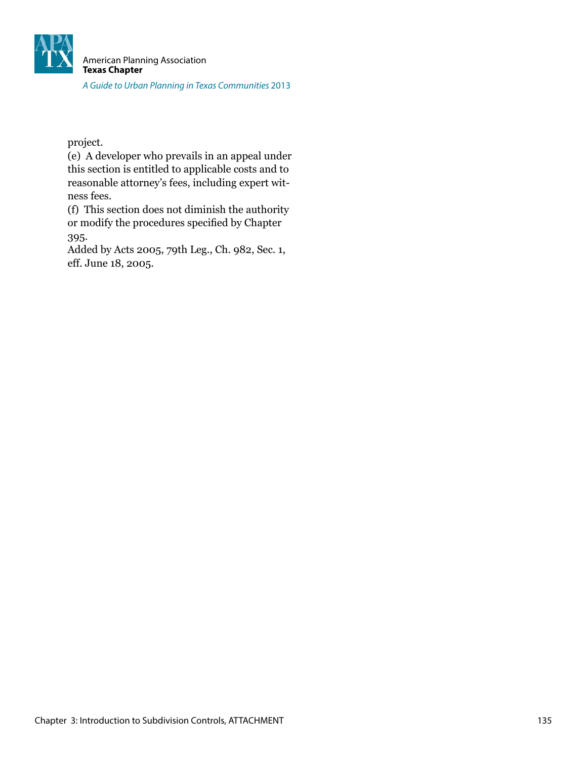![](_page_58_Picture_0.jpeg)

project.

(e) A developer who prevails in an appeal under this section is entitled to applicable costs and to reasonable attorney's fees, including expert witness fees.

(f) This section does not diminish the authority or modify the procedures specified by Chapter 395.

Added by Acts 2005, 79th Leg., Ch. 982, Sec. 1, eff. June 18, 2005.